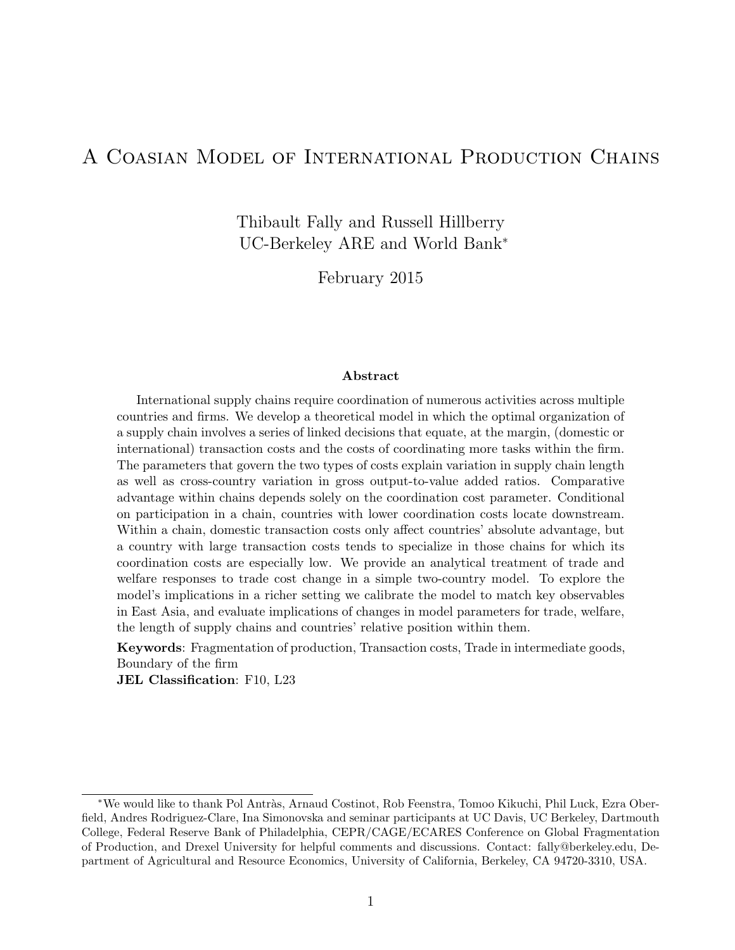## A Coasian Model of International Production Chains

Thibault Fally and Russell Hillberry UC-Berkeley ARE and World Bank<sup>∗</sup>

February 2015

#### Abstract

International supply chains require coordination of numerous activities across multiple countries and firms. We develop a theoretical model in which the optimal organization of a supply chain involves a series of linked decisions that equate, at the margin, (domestic or international) transaction costs and the costs of coordinating more tasks within the firm. The parameters that govern the two types of costs explain variation in supply chain length as well as cross-country variation in gross output-to-value added ratios. Comparative advantage within chains depends solely on the coordination cost parameter. Conditional on participation in a chain, countries with lower coordination costs locate downstream. Within a chain, domestic transaction costs only affect countries' absolute advantage, but a country with large transaction costs tends to specialize in those chains for which its coordination costs are especially low. We provide an analytical treatment of trade and welfare responses to trade cost change in a simple two-country model. To explore the model's implications in a richer setting we calibrate the model to match key observables in East Asia, and evaluate implications of changes in model parameters for trade, welfare, the length of supply chains and countries' relative position within them.

Keywords: Fragmentation of production, Transaction costs, Trade in intermediate goods, Boundary of the firm

JEL Classification: F10, L23

<sup>∗</sup>We would like to thank Pol Antr`as, Arnaud Costinot, Rob Feenstra, Tomoo Kikuchi, Phil Luck, Ezra Oberfield, Andres Rodriguez-Clare, Ina Simonovska and seminar participants at UC Davis, UC Berkeley, Dartmouth College, Federal Reserve Bank of Philadelphia, CEPR/CAGE/ECARES Conference on Global Fragmentation of Production, and Drexel University for helpful comments and discussions. Contact: fally@berkeley.edu, Department of Agricultural and Resource Economics, University of California, Berkeley, CA 94720-3310, USA.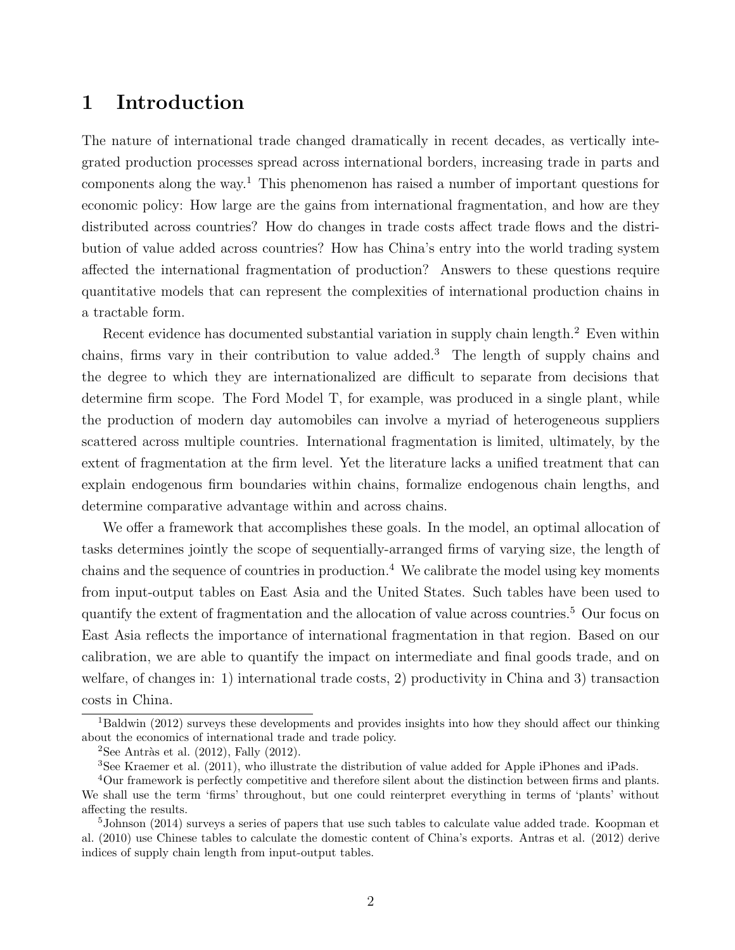# 1 Introduction

The nature of international trade changed dramatically in recent decades, as vertically integrated production processes spread across international borders, increasing trade in parts and components along the way.<sup>1</sup> This phenomenon has raised a number of important questions for economic policy: How large are the gains from international fragmentation, and how are they distributed across countries? How do changes in trade costs affect trade flows and the distribution of value added across countries? How has China's entry into the world trading system affected the international fragmentation of production? Answers to these questions require quantitative models that can represent the complexities of international production chains in a tractable form.

Recent evidence has documented substantial variation in supply chain length.<sup>2</sup> Even within chains, firms vary in their contribution to value added.<sup>3</sup> The length of supply chains and the degree to which they are internationalized are difficult to separate from decisions that determine firm scope. The Ford Model T, for example, was produced in a single plant, while the production of modern day automobiles can involve a myriad of heterogeneous suppliers scattered across multiple countries. International fragmentation is limited, ultimately, by the extent of fragmentation at the firm level. Yet the literature lacks a unified treatment that can explain endogenous firm boundaries within chains, formalize endogenous chain lengths, and determine comparative advantage within and across chains.

We offer a framework that accomplishes these goals. In the model, an optimal allocation of tasks determines jointly the scope of sequentially-arranged firms of varying size, the length of chains and the sequence of countries in production.<sup>4</sup> We calibrate the model using key moments from input-output tables on East Asia and the United States. Such tables have been used to quantify the extent of fragmentation and the allocation of value across countries.<sup>5</sup> Our focus on East Asia reflects the importance of international fragmentation in that region. Based on our calibration, we are able to quantify the impact on intermediate and final goods trade, and on welfare, of changes in: 1) international trade costs, 2) productivity in China and 3) transaction costs in China.

<sup>&</sup>lt;sup>1</sup>Baldwin (2012) surveys these developments and provides insights into how they should affect our thinking about the economics of international trade and trade policy.

<sup>&</sup>lt;sup>2</sup>See Antràs et al. (2012), Fally (2012).

<sup>3</sup>See Kraemer et al. (2011), who illustrate the distribution of value added for Apple iPhones and iPads.

<sup>4</sup>Our framework is perfectly competitive and therefore silent about the distinction between firms and plants. We shall use the term 'firms' throughout, but one could reinterpret everything in terms of 'plants' without affecting the results.

<sup>5</sup>Johnson (2014) surveys a series of papers that use such tables to calculate value added trade. Koopman et al. (2010) use Chinese tables to calculate the domestic content of China's exports. Antras et al. (2012) derive indices of supply chain length from input-output tables.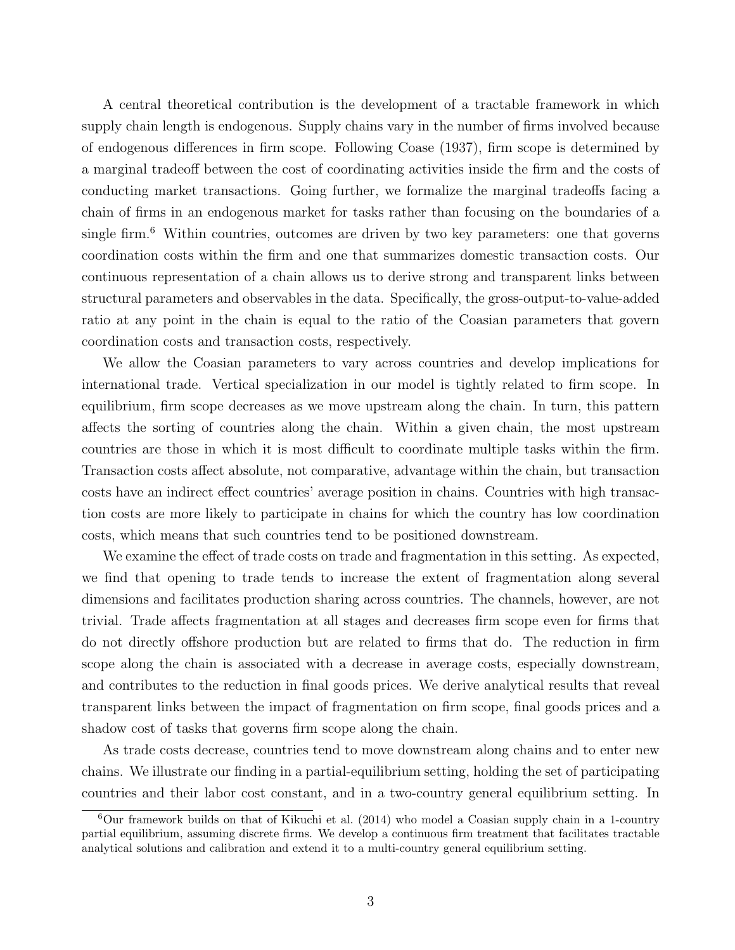A central theoretical contribution is the development of a tractable framework in which supply chain length is endogenous. Supply chains vary in the number of firms involved because of endogenous differences in firm scope. Following Coase (1937), firm scope is determined by a marginal tradeoff between the cost of coordinating activities inside the firm and the costs of conducting market transactions. Going further, we formalize the marginal tradeoffs facing a chain of firms in an endogenous market for tasks rather than focusing on the boundaries of a single firm.<sup>6</sup> Within countries, outcomes are driven by two key parameters: one that governs coordination costs within the firm and one that summarizes domestic transaction costs. Our continuous representation of a chain allows us to derive strong and transparent links between structural parameters and observables in the data. Specifically, the gross-output-to-value-added ratio at any point in the chain is equal to the ratio of the Coasian parameters that govern coordination costs and transaction costs, respectively.

We allow the Coasian parameters to vary across countries and develop implications for international trade. Vertical specialization in our model is tightly related to firm scope. In equilibrium, firm scope decreases as we move upstream along the chain. In turn, this pattern affects the sorting of countries along the chain. Within a given chain, the most upstream countries are those in which it is most difficult to coordinate multiple tasks within the firm. Transaction costs affect absolute, not comparative, advantage within the chain, but transaction costs have an indirect effect countries' average position in chains. Countries with high transaction costs are more likely to participate in chains for which the country has low coordination costs, which means that such countries tend to be positioned downstream.

We examine the effect of trade costs on trade and fragmentation in this setting. As expected, we find that opening to trade tends to increase the extent of fragmentation along several dimensions and facilitates production sharing across countries. The channels, however, are not trivial. Trade affects fragmentation at all stages and decreases firm scope even for firms that do not directly offshore production but are related to firms that do. The reduction in firm scope along the chain is associated with a decrease in average costs, especially downstream, and contributes to the reduction in final goods prices. We derive analytical results that reveal transparent links between the impact of fragmentation on firm scope, final goods prices and a shadow cost of tasks that governs firm scope along the chain.

As trade costs decrease, countries tend to move downstream along chains and to enter new chains. We illustrate our finding in a partial-equilibrium setting, holding the set of participating countries and their labor cost constant, and in a two-country general equilibrium setting. In

 $6$ Our framework builds on that of Kikuchi et al. (2014) who model a Coasian supply chain in a 1-country partial equilibrium, assuming discrete firms. We develop a continuous firm treatment that facilitates tractable analytical solutions and calibration and extend it to a multi-country general equilibrium setting.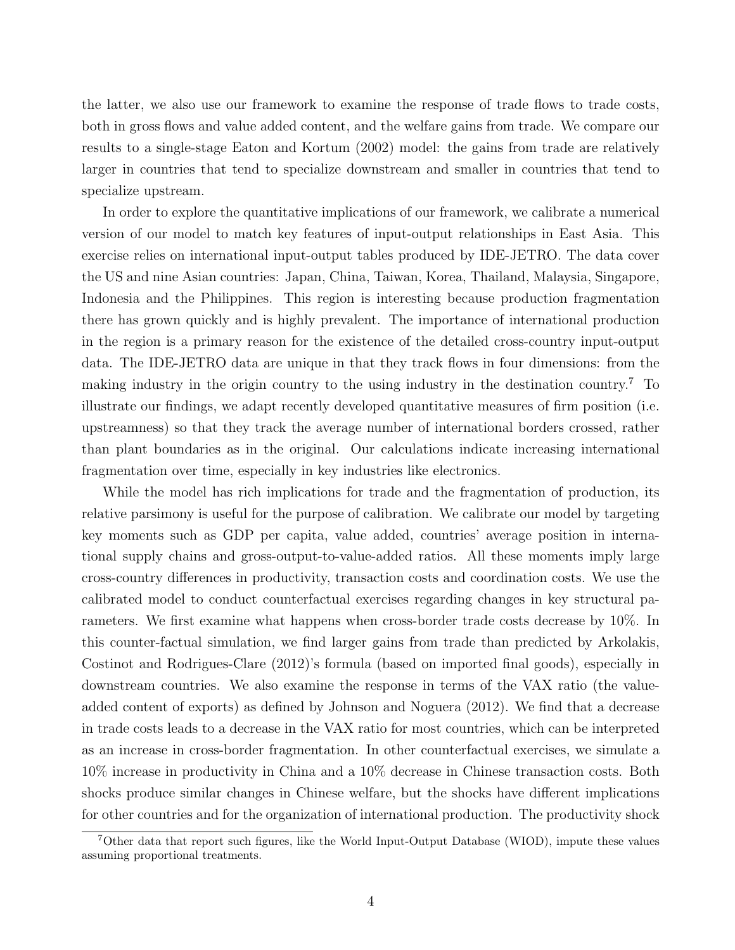the latter, we also use our framework to examine the response of trade flows to trade costs, both in gross flows and value added content, and the welfare gains from trade. We compare our results to a single-stage Eaton and Kortum (2002) model: the gains from trade are relatively larger in countries that tend to specialize downstream and smaller in countries that tend to specialize upstream.

In order to explore the quantitative implications of our framework, we calibrate a numerical version of our model to match key features of input-output relationships in East Asia. This exercise relies on international input-output tables produced by IDE-JETRO. The data cover the US and nine Asian countries: Japan, China, Taiwan, Korea, Thailand, Malaysia, Singapore, Indonesia and the Philippines. This region is interesting because production fragmentation there has grown quickly and is highly prevalent. The importance of international production in the region is a primary reason for the existence of the detailed cross-country input-output data. The IDE-JETRO data are unique in that they track flows in four dimensions: from the making industry in the origin country to the using industry in the destination country.<sup>7</sup> To illustrate our findings, we adapt recently developed quantitative measures of firm position (i.e. upstreamness) so that they track the average number of international borders crossed, rather than plant boundaries as in the original. Our calculations indicate increasing international fragmentation over time, especially in key industries like electronics.

While the model has rich implications for trade and the fragmentation of production, its relative parsimony is useful for the purpose of calibration. We calibrate our model by targeting key moments such as GDP per capita, value added, countries' average position in international supply chains and gross-output-to-value-added ratios. All these moments imply large cross-country differences in productivity, transaction costs and coordination costs. We use the calibrated model to conduct counterfactual exercises regarding changes in key structural parameters. We first examine what happens when cross-border trade costs decrease by 10%. In this counter-factual simulation, we find larger gains from trade than predicted by Arkolakis, Costinot and Rodrigues-Clare (2012)'s formula (based on imported final goods), especially in downstream countries. We also examine the response in terms of the VAX ratio (the valueadded content of exports) as defined by Johnson and Noguera (2012). We find that a decrease in trade costs leads to a decrease in the VAX ratio for most countries, which can be interpreted as an increase in cross-border fragmentation. In other counterfactual exercises, we simulate a 10% increase in productivity in China and a 10% decrease in Chinese transaction costs. Both shocks produce similar changes in Chinese welfare, but the shocks have different implications for other countries and for the organization of international production. The productivity shock

<sup>7</sup>Other data that report such figures, like the World Input-Output Database (WIOD), impute these values assuming proportional treatments.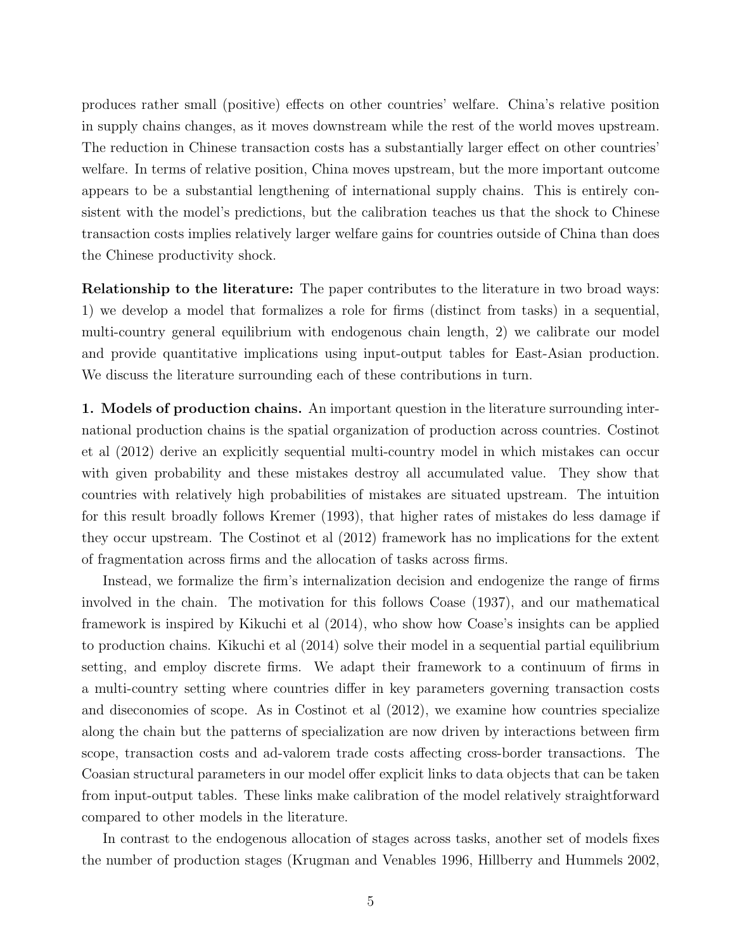produces rather small (positive) effects on other countries' welfare. China's relative position in supply chains changes, as it moves downstream while the rest of the world moves upstream. The reduction in Chinese transaction costs has a substantially larger effect on other countries' welfare. In terms of relative position, China moves upstream, but the more important outcome appears to be a substantial lengthening of international supply chains. This is entirely consistent with the model's predictions, but the calibration teaches us that the shock to Chinese transaction costs implies relatively larger welfare gains for countries outside of China than does the Chinese productivity shock.

Relationship to the literature: The paper contributes to the literature in two broad ways: 1) we develop a model that formalizes a role for firms (distinct from tasks) in a sequential, multi-country general equilibrium with endogenous chain length, 2) we calibrate our model and provide quantitative implications using input-output tables for East-Asian production. We discuss the literature surrounding each of these contributions in turn.

1. Models of production chains. An important question in the literature surrounding international production chains is the spatial organization of production across countries. Costinot et al (2012) derive an explicitly sequential multi-country model in which mistakes can occur with given probability and these mistakes destroy all accumulated value. They show that countries with relatively high probabilities of mistakes are situated upstream. The intuition for this result broadly follows Kremer (1993), that higher rates of mistakes do less damage if they occur upstream. The Costinot et al (2012) framework has no implications for the extent of fragmentation across firms and the allocation of tasks across firms.

Instead, we formalize the firm's internalization decision and endogenize the range of firms involved in the chain. The motivation for this follows Coase (1937), and our mathematical framework is inspired by Kikuchi et al (2014), who show how Coase's insights can be applied to production chains. Kikuchi et al (2014) solve their model in a sequential partial equilibrium setting, and employ discrete firms. We adapt their framework to a continuum of firms in a multi-country setting where countries differ in key parameters governing transaction costs and diseconomies of scope. As in Costinot et al (2012), we examine how countries specialize along the chain but the patterns of specialization are now driven by interactions between firm scope, transaction costs and ad-valorem trade costs affecting cross-border transactions. The Coasian structural parameters in our model offer explicit links to data objects that can be taken from input-output tables. These links make calibration of the model relatively straightforward compared to other models in the literature.

In contrast to the endogenous allocation of stages across tasks, another set of models fixes the number of production stages (Krugman and Venables 1996, Hillberry and Hummels 2002,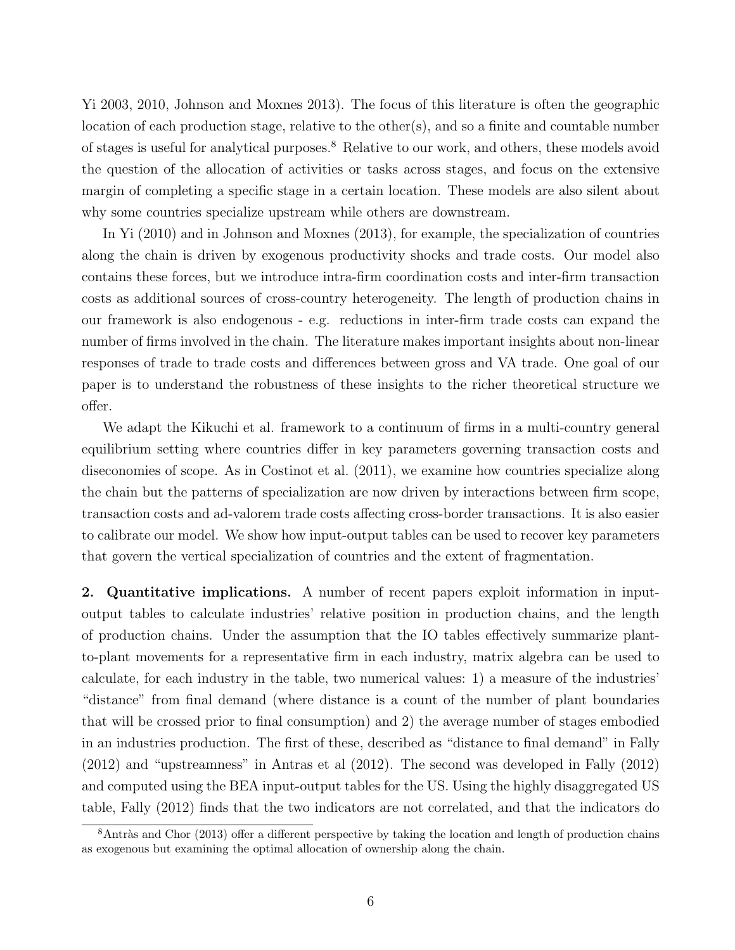Yi 2003, 2010, Johnson and Moxnes 2013). The focus of this literature is often the geographic location of each production stage, relative to the other(s), and so a finite and countable number of stages is useful for analytical purposes.<sup>8</sup> Relative to our work, and others, these models avoid the question of the allocation of activities or tasks across stages, and focus on the extensive margin of completing a specific stage in a certain location. These models are also silent about why some countries specialize upstream while others are downstream.

In Yi (2010) and in Johnson and Moxnes (2013), for example, the specialization of countries along the chain is driven by exogenous productivity shocks and trade costs. Our model also contains these forces, but we introduce intra-firm coordination costs and inter-firm transaction costs as additional sources of cross-country heterogeneity. The length of production chains in our framework is also endogenous - e.g. reductions in inter-firm trade costs can expand the number of firms involved in the chain. The literature makes important insights about non-linear responses of trade to trade costs and differences between gross and VA trade. One goal of our paper is to understand the robustness of these insights to the richer theoretical structure we offer.

We adapt the Kikuchi et al. framework to a continuum of firms in a multi-country general equilibrium setting where countries differ in key parameters governing transaction costs and diseconomies of scope. As in Costinot et al. (2011), we examine how countries specialize along the chain but the patterns of specialization are now driven by interactions between firm scope, transaction costs and ad-valorem trade costs affecting cross-border transactions. It is also easier to calibrate our model. We show how input-output tables can be used to recover key parameters that govern the vertical specialization of countries and the extent of fragmentation.

2. Quantitative implications. A number of recent papers exploit information in inputoutput tables to calculate industries' relative position in production chains, and the length of production chains. Under the assumption that the IO tables effectively summarize plantto-plant movements for a representative firm in each industry, matrix algebra can be used to calculate, for each industry in the table, two numerical values: 1) a measure of the industries' "distance" from final demand (where distance is a count of the number of plant boundaries that will be crossed prior to final consumption) and 2) the average number of stages embodied in an industries production. The first of these, described as "distance to final demand" in Fally (2012) and "upstreamness" in Antras et al (2012). The second was developed in Fally (2012) and computed using the BEA input-output tables for the US. Using the highly disaggregated US table, Fally (2012) finds that the two indicators are not correlated, and that the indicators do

 $8$ Antràs and Chor (2013) offer a different perspective by taking the location and length of production chains as exogenous but examining the optimal allocation of ownership along the chain.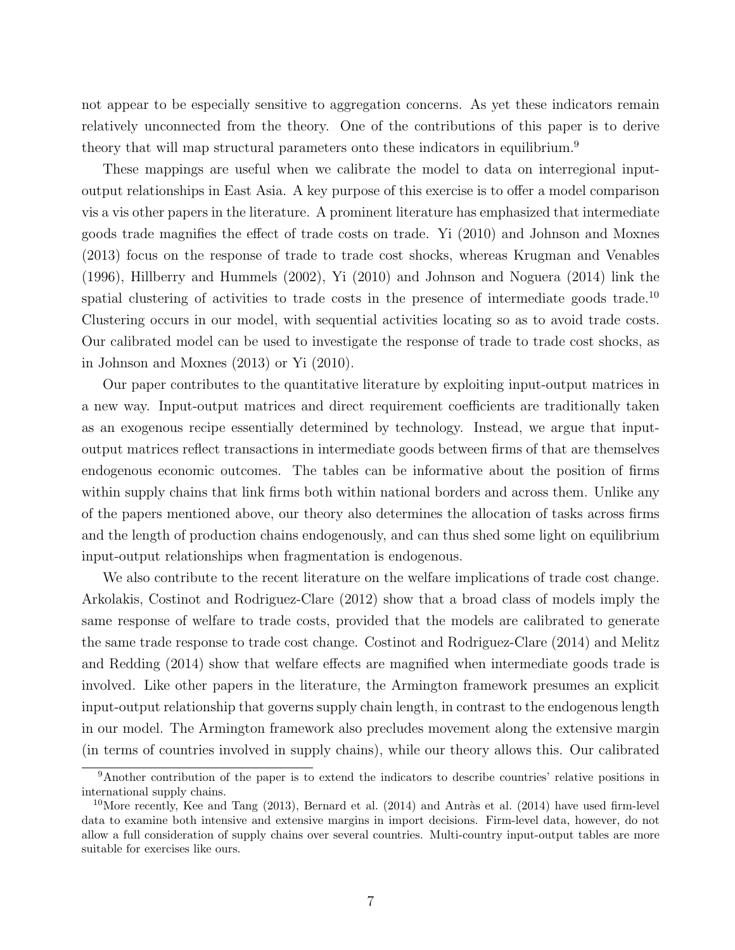not appear to be especially sensitive to aggregation concerns. As yet these indicators remain relatively unconnected from the theory. One of the contributions of this paper is to derive theory that will map structural parameters onto these indicators in equilibrium.<sup>9</sup>

These mappings are useful when we calibrate the model to data on interregional inputoutput relationships in East Asia. A key purpose of this exercise is to offer a model comparison vis a vis other papers in the literature. A prominent literature has emphasized that intermediate goods trade magnifies the effect of trade costs on trade. Yi (2010) and Johnson and Moxnes (2013) focus on the response of trade to trade cost shocks, whereas Krugman and Venables (1996), Hillberry and Hummels (2002), Yi (2010) and Johnson and Noguera (2014) link the spatial clustering of activities to trade costs in the presence of intermediate goods trade.<sup>10</sup> Clustering occurs in our model, with sequential activities locating so as to avoid trade costs. Our calibrated model can be used to investigate the response of trade to trade cost shocks, as in Johnson and Moxnes (2013) or Yi (2010).

Our paper contributes to the quantitative literature by exploiting input-output matrices in a new way. Input-output matrices and direct requirement coefficients are traditionally taken as an exogenous recipe essentially determined by technology. Instead, we argue that inputoutput matrices reflect transactions in intermediate goods between firms of that are themselves endogenous economic outcomes. The tables can be informative about the position of firms within supply chains that link firms both within national borders and across them. Unlike any of the papers mentioned above, our theory also determines the allocation of tasks across firms and the length of production chains endogenously, and can thus shed some light on equilibrium input-output relationships when fragmentation is endogenous.

We also contribute to the recent literature on the welfare implications of trade cost change. Arkolakis, Costinot and Rodriguez-Clare (2012) show that a broad class of models imply the same response of welfare to trade costs, provided that the models are calibrated to generate the same trade response to trade cost change. Costinot and Rodriguez-Clare (2014) and Melitz and Redding (2014) show that welfare effects are magnified when intermediate goods trade is involved. Like other papers in the literature, the Armington framework presumes an explicit input-output relationship that governs supply chain length, in contrast to the endogenous length in our model. The Armington framework also precludes movement along the extensive margin (in terms of countries involved in supply chains), while our theory allows this. Our calibrated

<sup>9</sup>Another contribution of the paper is to extend the indicators to describe countries' relative positions in international supply chains.

<sup>&</sup>lt;sup>10</sup>More recently, Kee and Tang  $(2013)$ , Bernard et al.  $(2014)$  and Antràs et al.  $(2014)$  have used firm-level data to examine both intensive and extensive margins in import decisions. Firm-level data, however, do not allow a full consideration of supply chains over several countries. Multi-country input-output tables are more suitable for exercises like ours.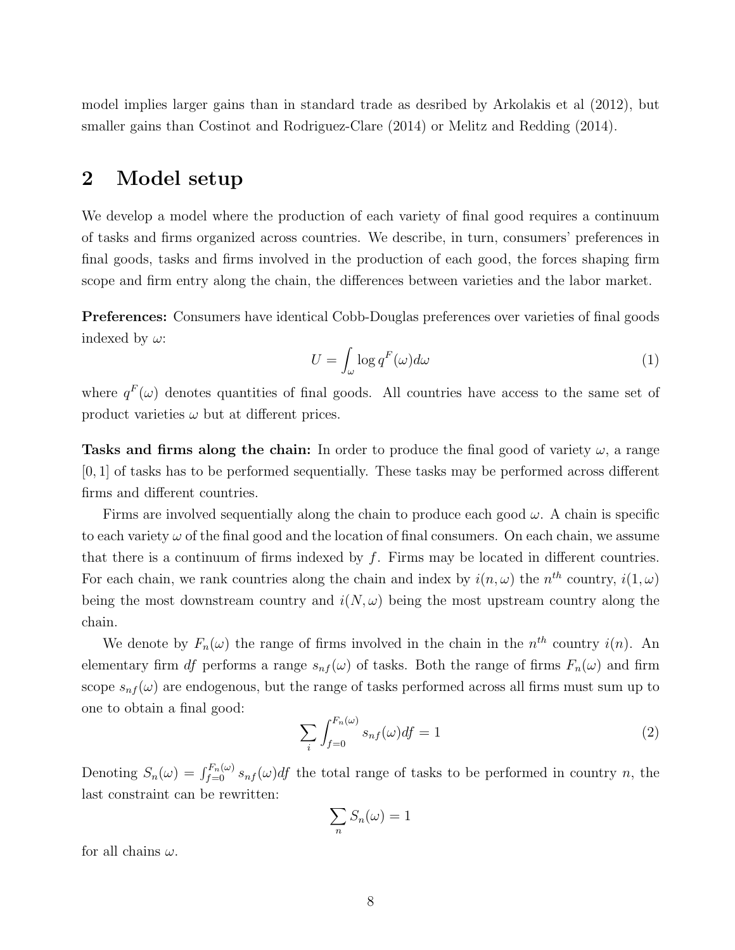model implies larger gains than in standard trade as desribed by Arkolakis et al (2012), but smaller gains than Costinot and Rodriguez-Clare (2014) or Melitz and Redding (2014).

## 2 Model setup

We develop a model where the production of each variety of final good requires a continuum of tasks and firms organized across countries. We describe, in turn, consumers' preferences in final goods, tasks and firms involved in the production of each good, the forces shaping firm scope and firm entry along the chain, the differences between varieties and the labor market.

Preferences: Consumers have identical Cobb-Douglas preferences over varieties of final goods indexed by  $\omega$ :

$$
U = \int_{\omega} \log q^F(\omega) d\omega \tag{1}
$$

where  $q^F(\omega)$  denotes quantities of final goods. All countries have access to the same set of product varieties  $\omega$  but at different prices.

Tasks and firms along the chain: In order to produce the final good of variety  $\omega$ , a range [0, 1] of tasks has to be performed sequentially. These tasks may be performed across different firms and different countries.

Firms are involved sequentially along the chain to produce each good  $\omega$ . A chain is specific to each variety  $\omega$  of the final good and the location of final consumers. On each chain, we assume that there is a continuum of firms indexed by  $f$ . Firms may be located in different countries. For each chain, we rank countries along the chain and index by  $i(n,\omega)$  the  $n^{th}$  country,  $i(1,\omega)$ being the most downstream country and  $i(N,\omega)$  being the most upstream country along the chain.

We denote by  $F_n(\omega)$  the range of firms involved in the chain in the  $n^{th}$  country  $i(n)$ . An elementary firm df performs a range  $s_{nf}(\omega)$  of tasks. Both the range of firms  $F_n(\omega)$  and firm scope  $s_{nf}(\omega)$  are endogenous, but the range of tasks performed across all firms must sum up to one to obtain a final good:

$$
\sum_{i} \int_{f=0}^{F_n(\omega)} s_{nf}(\omega) df = 1 \tag{2}
$$

Denoting  $S_n(\omega) = \int_{f=0}^{F_n(\omega)} s_{nf}(\omega) df$  the total range of tasks to be performed in country n, the last constraint can be rewritten:

$$
\sum_n S_n(\omega) = 1
$$

for all chains  $\omega$ .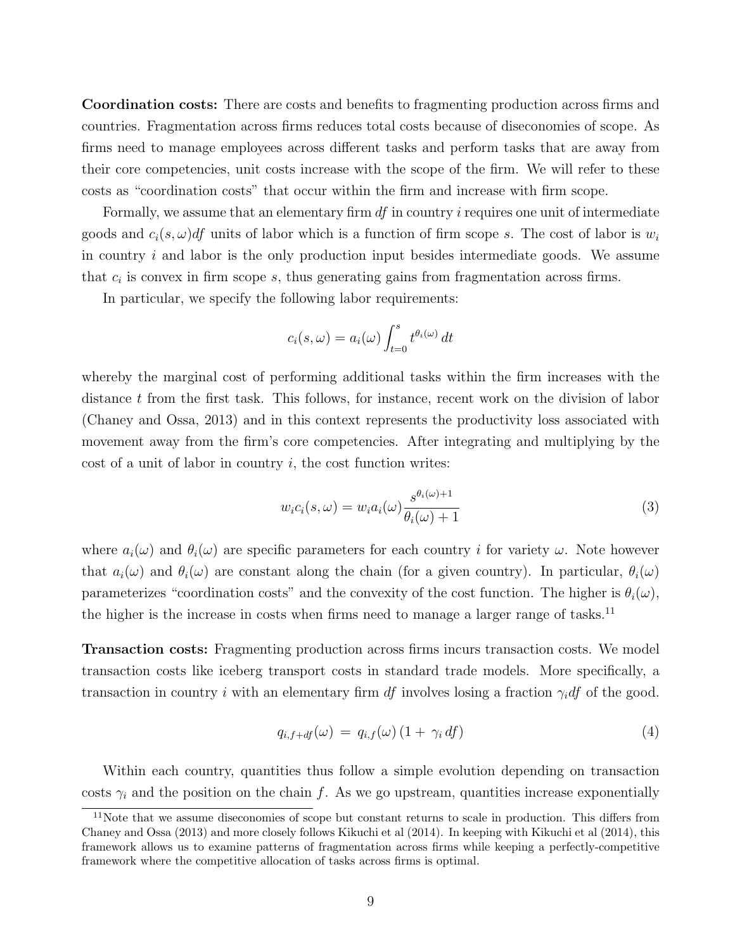Coordination costs: There are costs and benefits to fragmenting production across firms and countries. Fragmentation across firms reduces total costs because of diseconomies of scope. As firms need to manage employees across different tasks and perform tasks that are away from their core competencies, unit costs increase with the scope of the firm. We will refer to these costs as "coordination costs" that occur within the firm and increase with firm scope.

Formally, we assume that an elementary firm  $df$  in country  $i$  requires one unit of intermediate goods and  $c_i(s, \omega)$  units of labor which is a function of firm scope s. The cost of labor is  $w_i$ in country  $i$  and labor is the only production input besides intermediate goods. We assume that  $c_i$  is convex in firm scope  $s$ , thus generating gains from fragmentation across firms.

In particular, we specify the following labor requirements:

$$
c_i(s, \omega) = a_i(\omega) \int_{t=0}^s t^{\theta_i(\omega)} dt
$$

whereby the marginal cost of performing additional tasks within the firm increases with the distance t from the first task. This follows, for instance, recent work on the division of labor (Chaney and Ossa, 2013) and in this context represents the productivity loss associated with movement away from the firm's core competencies. After integrating and multiplying by the cost of a unit of labor in country  $i$ , the cost function writes:

$$
w_i c_i(s, \omega) = w_i a_i(\omega) \frac{s^{\theta_i(\omega) + 1}}{\theta_i(\omega) + 1}
$$
\n(3)

where  $a_i(\omega)$  and  $\theta_i(\omega)$  are specific parameters for each country i for variety  $\omega$ . Note however that  $a_i(\omega)$  and  $\theta_i(\omega)$  are constant along the chain (for a given country). In particular,  $\theta_i(\omega)$ parameterizes "coordination costs" and the convexity of the cost function. The higher is  $\theta_i(\omega)$ , the higher is the increase in costs when firms need to manage a larger range of tasks.<sup>11</sup>

Transaction costs: Fragmenting production across firms incurs transaction costs. We model transaction costs like iceberg transport costs in standard trade models. More specifically, a transaction in country i with an elementary firm df involves losing a fraction  $\gamma_i df$  of the good.

$$
q_{i,f+df}(\omega) = q_{i,f}(\omega) \left(1 + \gamma_i \, df\right) \tag{4}
$$

Within each country, quantities thus follow a simple evolution depending on transaction costs  $\gamma_i$  and the position on the chain f. As we go upstream, quantities increase exponentially

<sup>&</sup>lt;sup>11</sup>Note that we assume diseconomies of scope but constant returns to scale in production. This differs from Chaney and Ossa (2013) and more closely follows Kikuchi et al (2014). In keeping with Kikuchi et al (2014), this framework allows us to examine patterns of fragmentation across firms while keeping a perfectly-competitive framework where the competitive allocation of tasks across firms is optimal.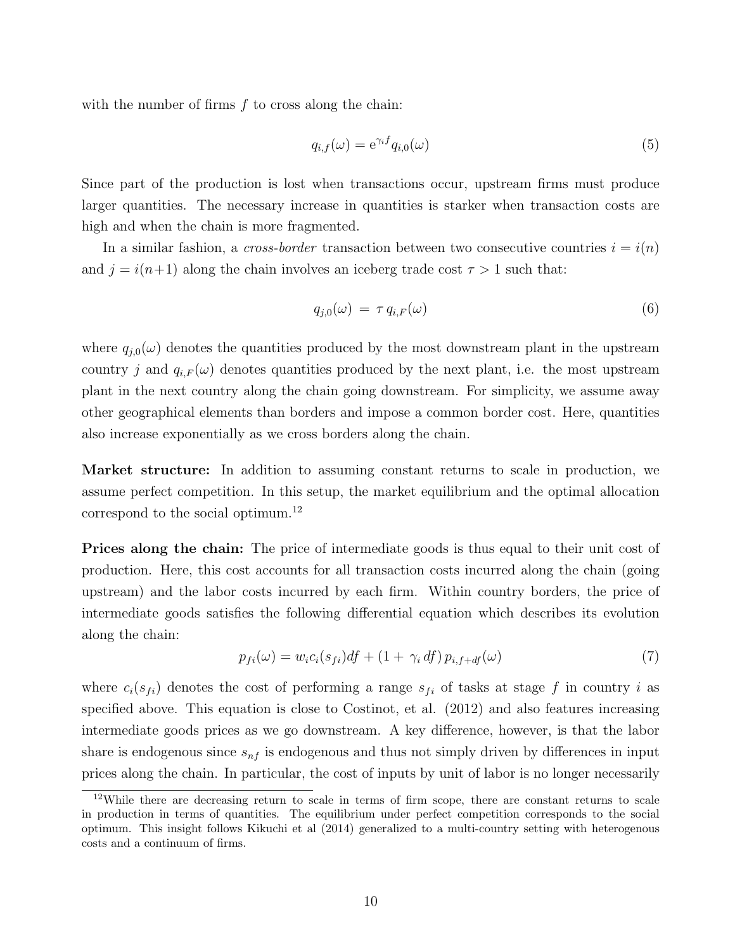with the number of firms  $f$  to cross along the chain:

$$
q_{i,f}(\omega) = e^{\gamma_i f} q_{i,0}(\omega)
$$
\n(5)

Since part of the production is lost when transactions occur, upstream firms must produce larger quantities. The necessary increase in quantities is starker when transaction costs are high and when the chain is more fragmented.

In a similar fashion, a *cross-border* transaction between two consecutive countries  $i = i(n)$ and  $j = i(n+1)$  along the chain involves an iceberg trade cost  $\tau > 1$  such that:

$$
q_{j,0}(\omega) = \tau q_{i,F}(\omega) \tag{6}
$$

where  $q_{j,0}(\omega)$  denotes the quantities produced by the most downstream plant in the upstream country j and  $q_{i,F}(\omega)$  denotes quantities produced by the next plant, i.e. the most upstream plant in the next country along the chain going downstream. For simplicity, we assume away other geographical elements than borders and impose a common border cost. Here, quantities also increase exponentially as we cross borders along the chain.

Market structure: In addition to assuming constant returns to scale in production, we assume perfect competition. In this setup, the market equilibrium and the optimal allocation correspond to the social optimum.<sup>12</sup>

Prices along the chain: The price of intermediate goods is thus equal to their unit cost of production. Here, this cost accounts for all transaction costs incurred along the chain (going upstream) and the labor costs incurred by each firm. Within country borders, the price of intermediate goods satisfies the following differential equation which describes its evolution along the chain:

$$
p_{fi}(\omega) = w_i c_i(s_{fi}) df + (1 + \gamma_i df) p_{i,f+df}(\omega)
$$
\n
$$
(7)
$$

where  $c_i(s_{fi})$  denotes the cost of performing a range  $s_{fi}$  of tasks at stage f in country i as specified above. This equation is close to Costinot, et al. (2012) and also features increasing intermediate goods prices as we go downstream. A key difference, however, is that the labor share is endogenous since  $s_{nf}$  is endogenous and thus not simply driven by differences in input prices along the chain. In particular, the cost of inputs by unit of labor is no longer necessarily

<sup>12</sup>While there are decreasing return to scale in terms of firm scope, there are constant returns to scale in production in terms of quantities. The equilibrium under perfect competition corresponds to the social optimum. This insight follows Kikuchi et al (2014) generalized to a multi-country setting with heterogenous costs and a continuum of firms.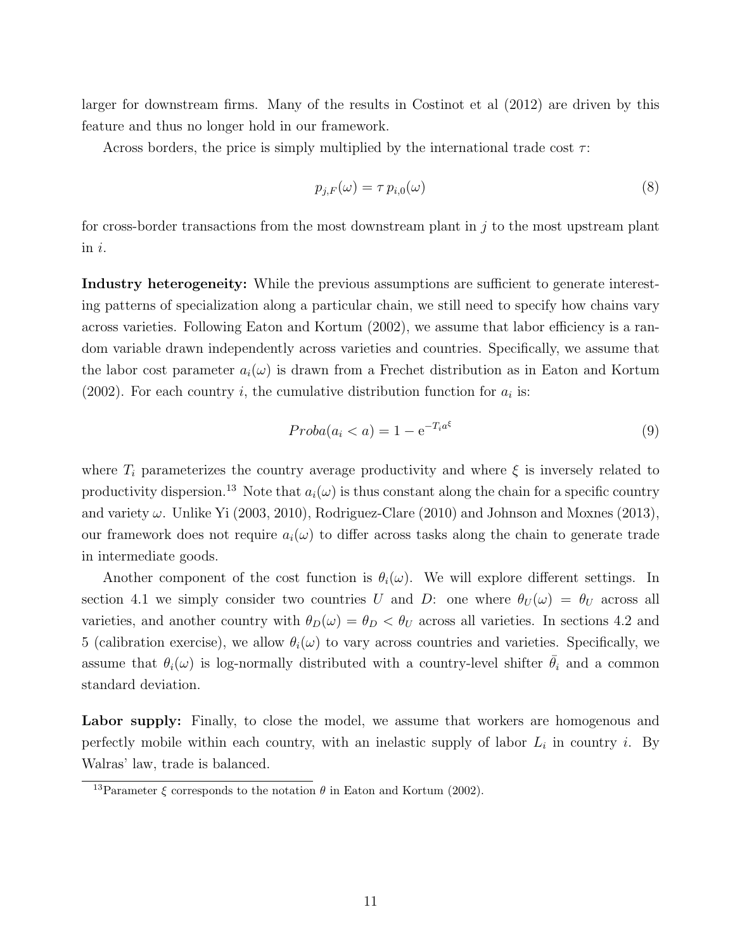larger for downstream firms. Many of the results in Costinot et al (2012) are driven by this feature and thus no longer hold in our framework.

Across borders, the price is simply multiplied by the international trade cost  $\tau$ :

$$
p_{j,F}(\omega) = \tau \, p_{i,0}(\omega) \tag{8}
$$

for cross-border transactions from the most downstream plant in  $j$  to the most upstream plant in i.

Industry heterogeneity: While the previous assumptions are sufficient to generate interesting patterns of specialization along a particular chain, we still need to specify how chains vary across varieties. Following Eaton and Kortum (2002), we assume that labor efficiency is a random variable drawn independently across varieties and countries. Specifically, we assume that the labor cost parameter  $a_i(\omega)$  is drawn from a Frechet distribution as in Eaton and Kortum (2002). For each country *i*, the cumulative distribution function for  $a_i$  is:

$$
Proba(a_i < a) = 1 - e^{-T_i a^\xi} \tag{9}
$$

where  $T_i$  parameterizes the country average productivity and where  $\xi$  is inversely related to productivity dispersion.<sup>13</sup> Note that  $a_i(\omega)$  is thus constant along the chain for a specific country and variety  $\omega$ . Unlike Yi (2003, 2010), Rodriguez-Clare (2010) and Johnson and Moxnes (2013), our framework does not require  $a_i(\omega)$  to differ across tasks along the chain to generate trade in intermediate goods.

Another component of the cost function is  $\theta_i(\omega)$ . We will explore different settings. In section 4.1 we simply consider two countries U and D: one where  $\theta_U(\omega) = \theta_U$  across all varieties, and another country with  $\theta_D(\omega) = \theta_D < \theta_U$  across all varieties. In sections 4.2 and 5 (calibration exercise), we allow  $\theta_i(\omega)$  to vary across countries and varieties. Specifically, we assume that  $\theta_i(\omega)$  is log-normally distributed with a country-level shifter  $\bar{\theta}_i$  and a common standard deviation.

Labor supply: Finally, to close the model, we assume that workers are homogenous and perfectly mobile within each country, with an inelastic supply of labor  $L_i$  in country i. By Walras' law, trade is balanced.

<sup>&</sup>lt;sup>13</sup>Parameter  $\xi$  corresponds to the notation  $\theta$  in Eaton and Kortum (2002).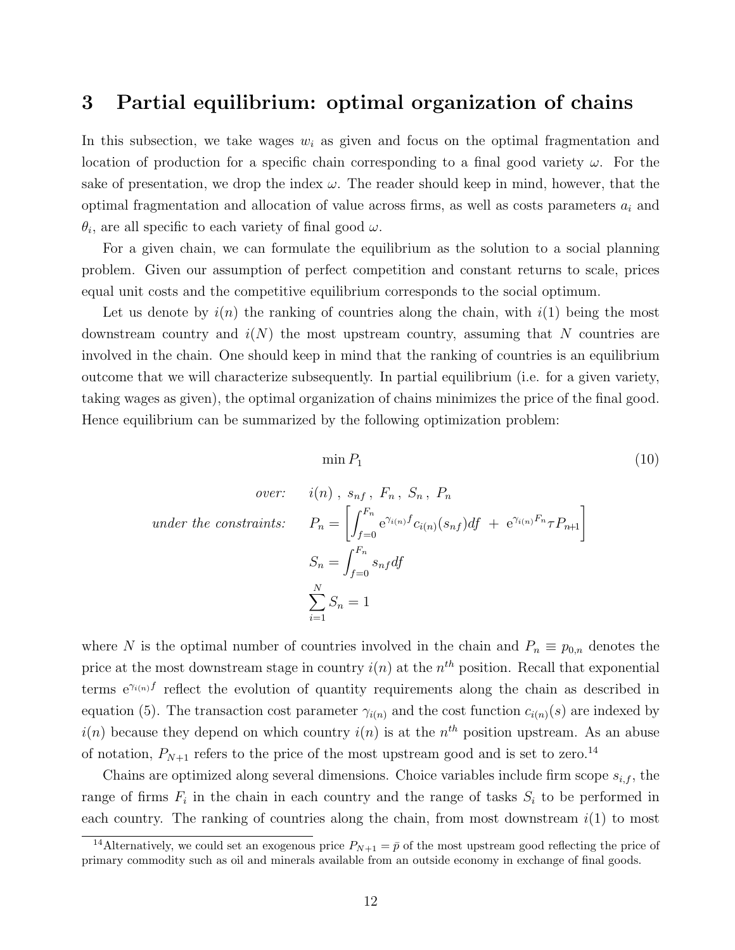## 3 Partial equilibrium: optimal organization of chains

In this subsection, we take wages  $w_i$  as given and focus on the optimal fragmentation and location of production for a specific chain corresponding to a final good variety  $\omega$ . For the sake of presentation, we drop the index  $\omega$ . The reader should keep in mind, however, that the optimal fragmentation and allocation of value across firms, as well as costs parameters  $a_i$  and  $\theta_i$ , are all specific to each variety of final good  $\omega$ .

For a given chain, we can formulate the equilibrium as the solution to a social planning problem. Given our assumption of perfect competition and constant returns to scale, prices equal unit costs and the competitive equilibrium corresponds to the social optimum.

Let us denote by  $i(n)$  the ranking of countries along the chain, with  $i(1)$  being the most downstream country and  $i(N)$  the most upstream country, assuming that N countries are involved in the chain. One should keep in mind that the ranking of countries is an equilibrium outcome that we will characterize subsequently. In partial equilibrium (i.e. for a given variety, taking wages as given), the optimal organization of chains minimizes the price of the final good. Hence equilibrium can be summarized by the following optimization problem:

$$
\min P_1 \tag{10}
$$

under the

over: 
$$
i(n)
$$
,  $s_{nf}$ ,  $F_n$ ,  $S_n$ ,  $P_n$   
\n
$$
constraints: \tP_n = \left[ \int_{f=0}^{F_n} e^{\gamma_{i(n)} f} c_{i(n)}(s_{nf}) df + e^{\gamma_{i(n)} F_n} T P_{n+1} \right]
$$
\n
$$
S_n = \int_{f=0}^{F_n} s_{nf} df
$$
\n
$$
\sum_{i=1}^N S_n = 1
$$

where N is the optimal number of countries involved in the chain and  $P_n \equiv p_{0,n}$  denotes the price at the most downstream stage in country  $i(n)$  at the  $n^{th}$  position. Recall that exponential terms  $e^{\gamma_{i(n)}f}$  reflect the evolution of quantity requirements along the chain as described in equation (5). The transaction cost parameter  $\gamma_{i(n)}$  and the cost function  $c_{i(n)}(s)$  are indexed by  $i(n)$  because they depend on which country  $i(n)$  is at the  $n<sup>th</sup>$  position upstream. As an abuse of notation,  $P_{N+1}$  refers to the price of the most upstream good and is set to zero.<sup>14</sup>

Chains are optimized along several dimensions. Choice variables include firm scope  $s_{i,f}$ , the range of firms  $F_i$  in the chain in each country and the range of tasks  $S_i$  to be performed in each country. The ranking of countries along the chain, from most downstream  $i(1)$  to most

<sup>&</sup>lt;sup>14</sup>Alternatively, we could set an exogenous price  $P_{N+1} = \bar{p}$  of the most upstream good reflecting the price of primary commodity such as oil and minerals available from an outside economy in exchange of final goods.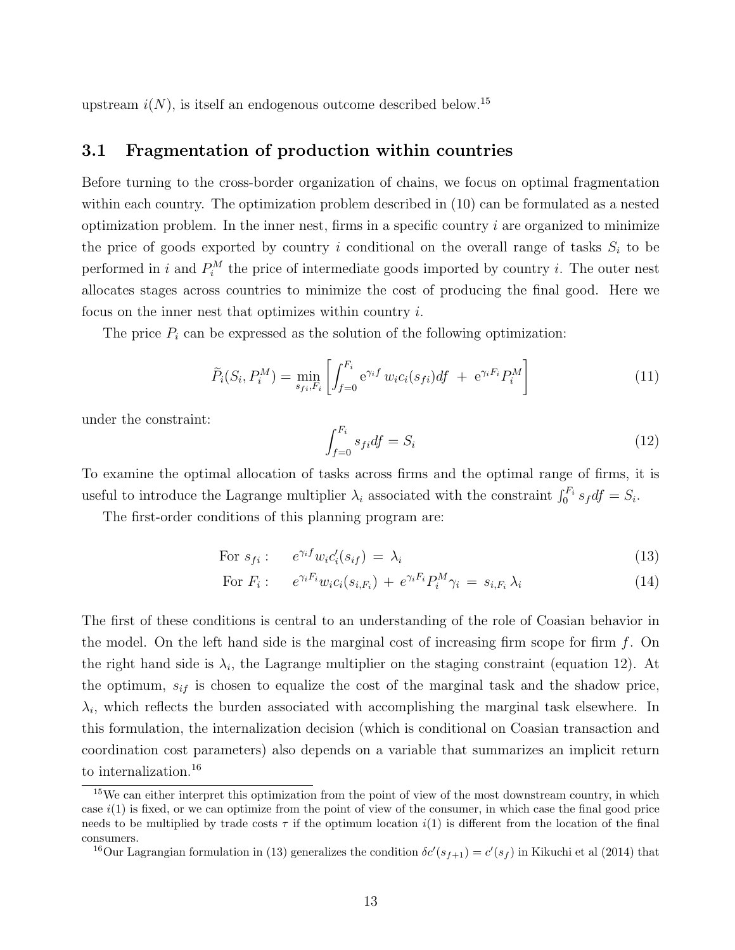upstream  $i(N)$ , is itself an endogenous outcome described below.<sup>15</sup>

### 3.1 Fragmentation of production within countries

Before turning to the cross-border organization of chains, we focus on optimal fragmentation within each country. The optimization problem described in (10) can be formulated as a nested optimization problem. In the inner nest, firms in a specific country  $i$  are organized to minimize the price of goods exported by country i conditional on the overall range of tasks  $S_i$  to be performed in i and  $P_i^M$  the price of intermediate goods imported by country i. The outer nest allocates stages across countries to minimize the cost of producing the final good. Here we focus on the inner nest that optimizes within country i.

The price  $P_i$  can be expressed as the solution of the following optimization:

$$
\widetilde{P}_i(S_i, P_i^M) = \min_{s_{fi}, F_i} \left[ \int_{f=0}^{F_i} e^{\gamma_i f} w_i c_i(s_{fi}) df + e^{\gamma_i F_i} P_i^M \right]
$$
\n(11)

under the constraint:

$$
\int_{f=0}^{F_i} s_{fi} df = S_i \tag{12}
$$

To examine the optimal allocation of tasks across firms and the optimal range of firms, it is useful to introduce the Lagrange multiplier  $\lambda_i$  associated with the constraint  $\int_0^{F_i} s_f df = S_i$ .

The first-order conditions of this planning program are:

For 
$$
s_{fi}
$$
:  $e^{\gamma_i f} w_i c_i'(s_{if}) = \lambda_i$  (13)

For 
$$
F_i
$$
:  $e^{\gamma_i F_i} w_i c_i(s_{i,F_i}) + e^{\gamma_i F_i} P_i^M \gamma_i = s_{i,F_i} \lambda_i$  (14)

The first of these conditions is central to an understanding of the role of Coasian behavior in the model. On the left hand side is the marginal cost of increasing firm scope for firm  $f$ . On the right hand side is  $\lambda_i$ , the Lagrange multiplier on the staging constraint (equation 12). At the optimum,  $s_{if}$  is chosen to equalize the cost of the marginal task and the shadow price,  $\lambda_i$ , which reflects the burden associated with accomplishing the marginal task elsewhere. In this formulation, the internalization decision (which is conditional on Coasian transaction and coordination cost parameters) also depends on a variable that summarizes an implicit return to internalization.<sup>16</sup>

<sup>&</sup>lt;sup>15</sup>We can either interpret this optimization from the point of view of the most downstream country, in which case  $i(1)$  is fixed, or we can optimize from the point of view of the consumer, in which case the final good price needs to be multiplied by trade costs  $\tau$  if the optimum location i(1) is different from the location of the final consumers.

<sup>&</sup>lt;sup>16</sup>Our Lagrangian formulation in (13) generalizes the condition  $\delta c'(s_{f+1}) = c'(s_f)$  in Kikuchi et al (2014) that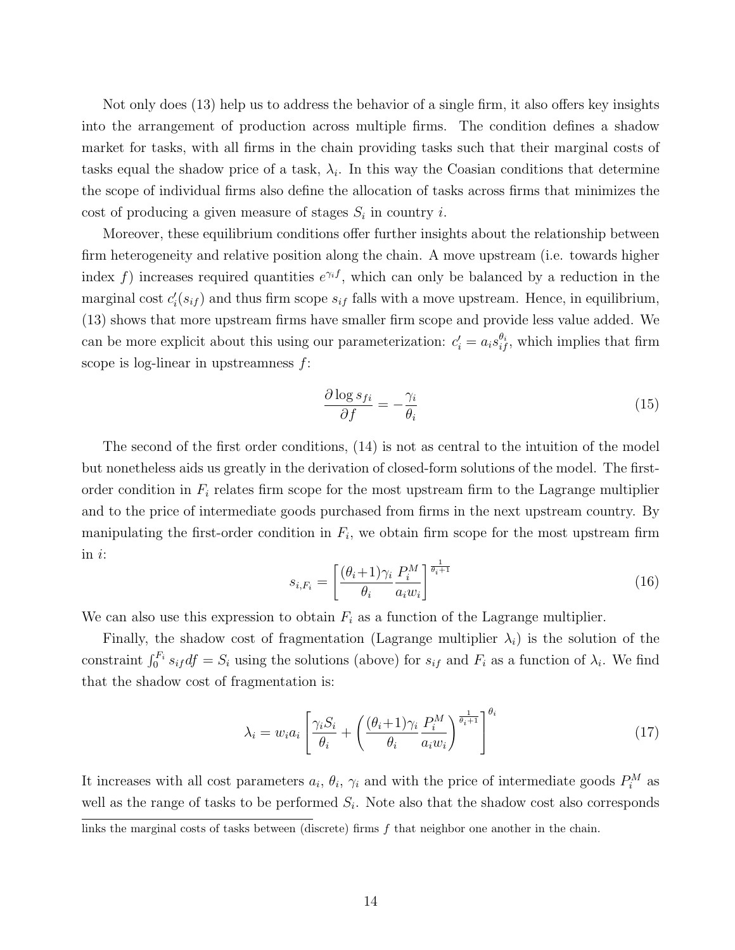Not only does (13) help us to address the behavior of a single firm, it also offers key insights into the arrangement of production across multiple firms. The condition defines a shadow market for tasks, with all firms in the chain providing tasks such that their marginal costs of tasks equal the shadow price of a task,  $\lambda_i$ . In this way the Coasian conditions that determine the scope of individual firms also define the allocation of tasks across firms that minimizes the cost of producing a given measure of stages  $S_i$  in country i.

Moreover, these equilibrium conditions offer further insights about the relationship between firm heterogeneity and relative position along the chain. A move upstream (i.e. towards higher index f) increases required quantities  $e^{\gamma_i f}$ , which can only be balanced by a reduction in the marginal cost  $c_i'(s_{if})$  and thus firm scope  $s_{if}$  falls with a move upstream. Hence, in equilibrium, (13) shows that more upstream firms have smaller firm scope and provide less value added. We can be more explicit about this using our parameterization:  $c_i' = a_i s_{if}^{\theta_i}$ , which implies that firm scope is log-linear in upstreamness  $f$ :

$$
\frac{\partial \log s_{fi}}{\partial f} = -\frac{\gamma_i}{\theta_i} \tag{15}
$$

The second of the first order conditions, (14) is not as central to the intuition of the model but nonetheless aids us greatly in the derivation of closed-form solutions of the model. The firstorder condition in  $F_i$  relates firm scope for the most upstream firm to the Lagrange multiplier and to the price of intermediate goods purchased from firms in the next upstream country. By manipulating the first-order condition in  $F_i$ , we obtain firm scope for the most upstream firm in i:

$$
s_{i,F_i} = \left[\frac{(\theta_i + 1)\gamma_i}{\theta_i} \frac{P_i^M}{a_i w_i}\right]^{\frac{1}{\theta_i + 1}}
$$
(16)

We can also use this expression to obtain  $F_i$  as a function of the Lagrange multiplier.

Finally, the shadow cost of fragmentation (Lagrange multiplier  $\lambda_i$ ) is the solution of the constraint  $\int_0^{F_i} s_{if} df = S_i$  using the solutions (above) for  $s_{if}$  and  $F_i$  as a function of  $\lambda_i$ . We find that the shadow cost of fragmentation is:

$$
\lambda_i = w_i a_i \left[ \frac{\gamma_i S_i}{\theta_i} + \left( \frac{(\theta_i + 1)\gamma_i}{\theta_i} \frac{P_i^M}{a_i w_i} \right)^{\frac{1}{\theta_i + 1}} \right]^{\theta_i} \tag{17}
$$

It increases with all cost parameters  $a_i$ ,  $\theta_i$ ,  $\gamma_i$  and with the price of intermediate goods  $P_i^M$  as well as the range of tasks to be performed  $S_i$ . Note also that the shadow cost also corresponds

links the marginal costs of tasks between (discrete) firms  $f$  that neighbor one another in the chain.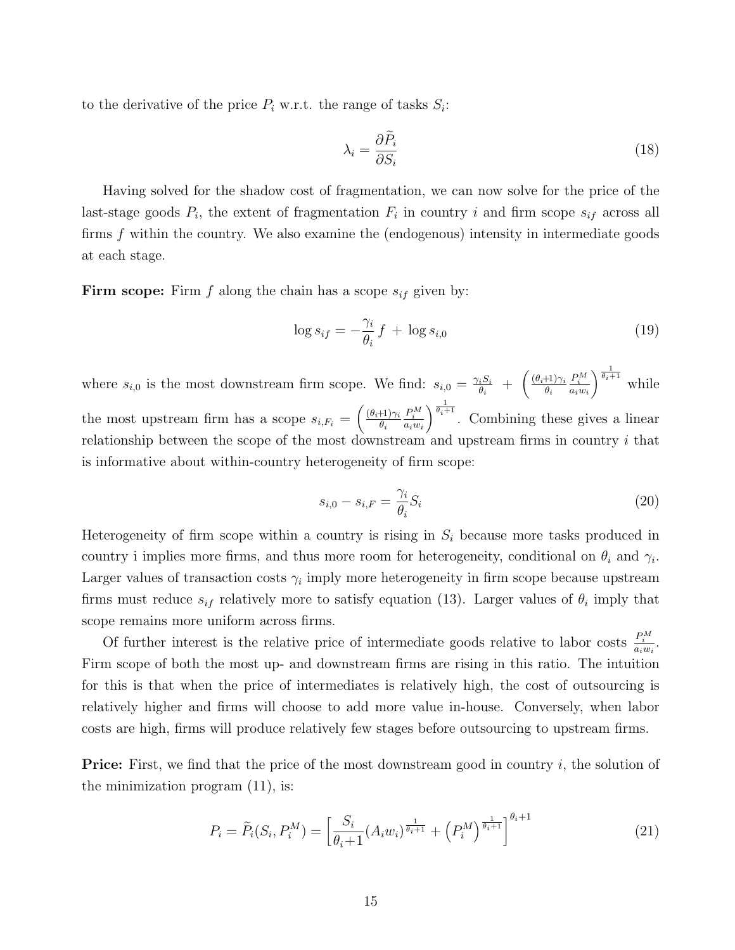to the derivative of the price  $P_i$  w.r.t. the range of tasks  $S_i$ :

$$
\lambda_i = \frac{\partial \tilde{P}_i}{\partial S_i} \tag{18}
$$

Having solved for the shadow cost of fragmentation, we can now solve for the price of the last-stage goods  $P_i$ , the extent of fragmentation  $F_i$  in country i and firm scope  $s_{if}$  across all firms  $f$  within the country. We also examine the (endogenous) intensity in intermediate goods at each stage.

Firm scope: Firm f along the chain has a scope  $s_{if}$  given by:

$$
\log s_{if} = -\frac{\gamma_i}{\theta_i} f + \log s_{i,0} \tag{19}
$$

where  $s_{i,0}$  is the most downstream firm scope. We find:  $s_{i,0} = \frac{\gamma_i S_i}{\theta_i}$  $\frac{\partial_i S_i}{\partial_i}$  +  $\left(\frac{(\theta_i+1)\gamma_i}{\theta_i}\right)$  $\theta_i$  $\frac{P_i^M}{a_iw_i}$  $\int^{\frac{1}{\theta_i+1}}$  while the most upstream firm has a scope  $s_{i,F_i} = \left(\frac{(\theta_i+1)\gamma_i}{\theta_i}\right)$  $\theta_i$  $rac{P_i^M}{a_iw_i}$  $\int_{0}^{\frac{1}{\theta_i+1}}$ . Combining these gives a linear relationship between the scope of the most downstream and upstream firms in country  $i$  that is informative about within-country heterogeneity of firm scope:

$$
s_{i,0} - s_{i,F} = \frac{\gamma_i}{\theta_i} S_i \tag{20}
$$

Heterogeneity of firm scope within a country is rising in  $S_i$  because more tasks produced in country i implies more firms, and thus more room for heterogeneity, conditional on  $\theta_i$  and  $\gamma_i$ . Larger values of transaction costs  $\gamma_i$  imply more heterogeneity in firm scope because upstream firms must reduce  $s_{if}$  relatively more to satisfy equation (13). Larger values of  $\theta_i$  imply that scope remains more uniform across firms.

Of further interest is the relative price of intermediate goods relative to labor costs  $\frac{P_i^M}{a_i w_i}$ . Firm scope of both the most up- and downstream firms are rising in this ratio. The intuition for this is that when the price of intermediates is relatively high, the cost of outsourcing is relatively higher and firms will choose to add more value in-house. Conversely, when labor costs are high, firms will produce relatively few stages before outsourcing to upstream firms.

**Price:** First, we find that the price of the most downstream good in country i, the solution of the minimization program (11), is:

$$
P_i = \tilde{P}_i(S_i, P_i^M) = \left[\frac{S_i}{\theta_i + 1} (A_i w_i)^{\frac{1}{\theta_i + 1}} + \left(P_i^M\right)^{\frac{1}{\theta_i + 1}}\right]^{\theta_i + 1} \tag{21}
$$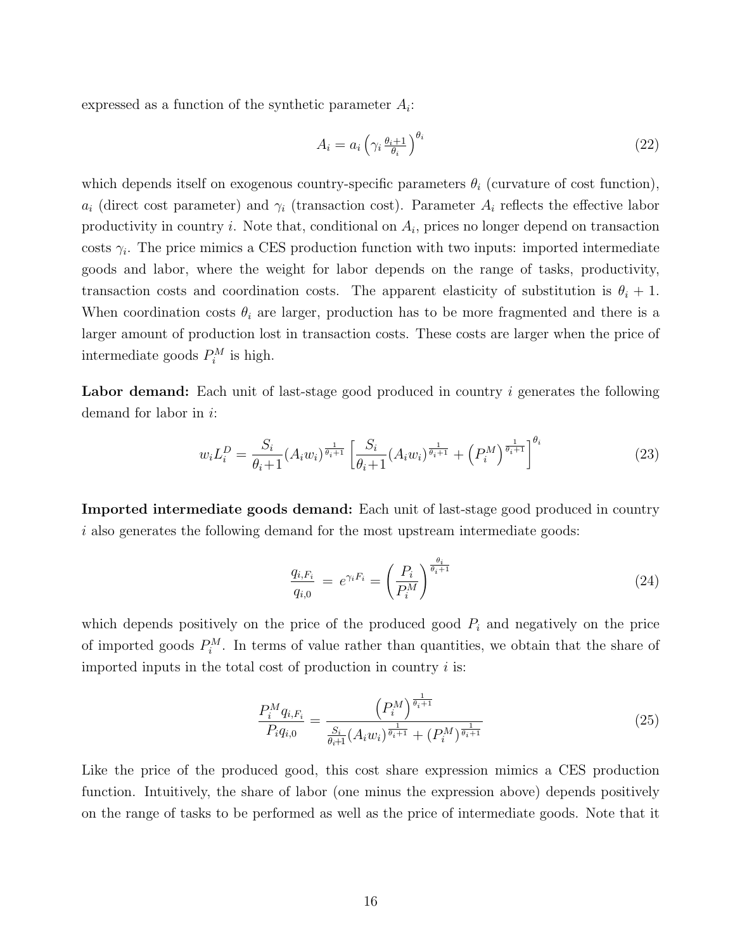expressed as a function of the synthetic parameter  $A_i$ :

$$
A_i = a_i \left( \gamma_i \frac{\theta_i + 1}{\theta_i} \right)^{\theta_i} \tag{22}
$$

which depends itself on exogenous country-specific parameters  $\theta_i$  (curvature of cost function),  $a_i$  (direct cost parameter) and  $\gamma_i$  (transaction cost). Parameter  $A_i$  reflects the effective labor productivity in country  $i$ . Note that, conditional on  $A_i$ , prices no longer depend on transaction costs  $\gamma_i$ . The price mimics a CES production function with two inputs: imported intermediate goods and labor, where the weight for labor depends on the range of tasks, productivity, transaction costs and coordination costs. The apparent elasticity of substitution is  $\theta_i + 1$ . When coordination costs  $\theta_i$  are larger, production has to be more fragmented and there is a larger amount of production lost in transaction costs. These costs are larger when the price of intermediate goods  $P_i^M$  is high.

**Labor demand:** Each unit of last-stage good produced in country  $i$  generates the following demand for labor in i:

$$
w_i L_i^D = \frac{S_i}{\theta_i + 1} (A_i w_i)^{\frac{1}{\theta_i + 1}} \left[ \frac{S_i}{\theta_i + 1} (A_i w_i)^{\frac{1}{\theta_i + 1}} + \left( P_i^M \right)^{\frac{1}{\theta_i + 1}} \right]^{\theta_i} \tag{23}
$$

Imported intermediate goods demand: Each unit of last-stage good produced in country i also generates the following demand for the most upstream intermediate goods:

$$
\frac{q_{i,F_i}}{q_{i,0}} = e^{\gamma_i F_i} = \left(\frac{P_i}{P_i^M}\right)^{\frac{\theta_i}{\theta_i+1}}
$$
\n(24)

which depends positively on the price of the produced good  $P_i$  and negatively on the price of imported goods  $P_i^M$ . In terms of value rather than quantities, we obtain that the share of imported inputs in the total cost of production in country  $i$  is:

$$
\frac{P_i^M q_{i,F_i}}{P_i q_{i,0}} = \frac{\left(P_i^M\right)^{\frac{1}{\theta_i+1}}}{\frac{S_i}{\theta_i+1} \left(A_i w_i\right)^{\frac{1}{\theta_i+1}} + \left(P_i^M\right)^{\frac{1}{\theta_i+1}}}
$$
(25)

Like the price of the produced good, this cost share expression mimics a CES production function. Intuitively, the share of labor (one minus the expression above) depends positively on the range of tasks to be performed as well as the price of intermediate goods. Note that it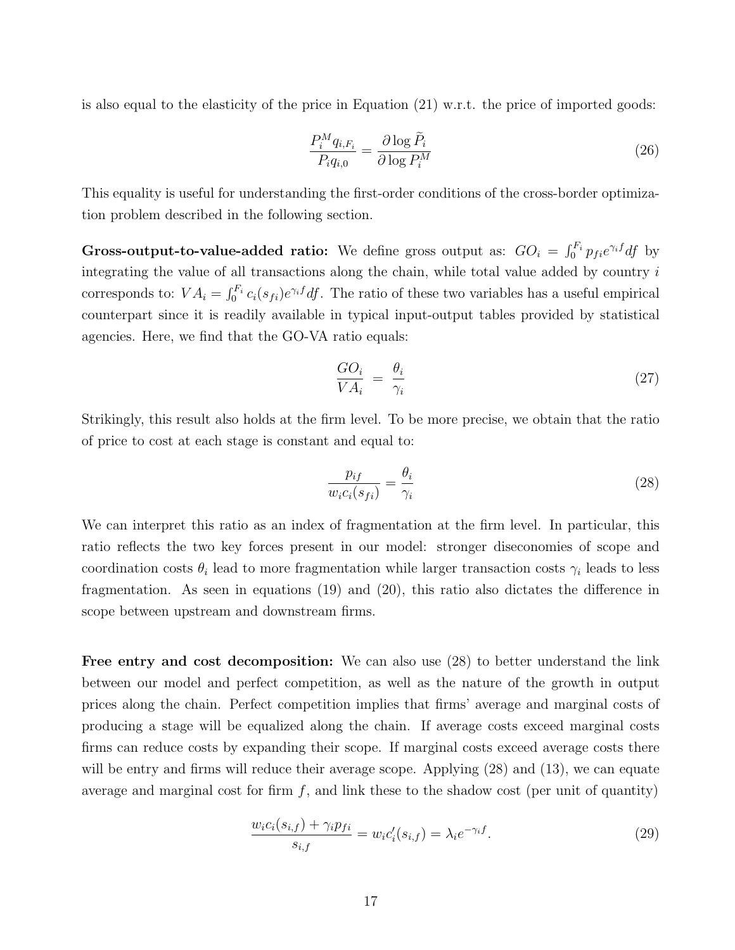is also equal to the elasticity of the price in Equation (21) w.r.t. the price of imported goods:

$$
\frac{P_i^M q_{i,F_i}}{P_i q_{i,0}} = \frac{\partial \log \tilde{P}_i}{\partial \log P_i^M}
$$
\n(26)

This equality is useful for understanding the first-order conditions of the cross-border optimization problem described in the following section.

Gross-output-to-value-added ratio: We define gross output as:  $GO_i = \int_0^{F_i} p_{fi} e^{\gamma_i f} df$  by integrating the value of all transactions along the chain, while total value added by country  $i$ corresponds to:  $VA_i = \int_0^{F_i} c_i(s_{fi})e^{\gamma_i f} df$ . The ratio of these two variables has a useful empirical counterpart since it is readily available in typical input-output tables provided by statistical agencies. Here, we find that the GO-VA ratio equals:

$$
\frac{GO_i}{VA_i} = \frac{\theta_i}{\gamma_i} \tag{27}
$$

Strikingly, this result also holds at the firm level. To be more precise, we obtain that the ratio of price to cost at each stage is constant and equal to:

$$
\frac{p_{if}}{w_i c_i (s_{fi})} = \frac{\theta_i}{\gamma_i} \tag{28}
$$

We can interpret this ratio as an index of fragmentation at the firm level. In particular, this ratio reflects the two key forces present in our model: stronger diseconomies of scope and coordination costs  $\theta_i$  lead to more fragmentation while larger transaction costs  $\gamma_i$  leads to less fragmentation. As seen in equations (19) and (20), this ratio also dictates the difference in scope between upstream and downstream firms.

Free entry and cost decomposition: We can also use  $(28)$  to better understand the link between our model and perfect competition, as well as the nature of the growth in output prices along the chain. Perfect competition implies that firms' average and marginal costs of producing a stage will be equalized along the chain. If average costs exceed marginal costs firms can reduce costs by expanding their scope. If marginal costs exceed average costs there will be entry and firms will reduce their average scope. Applying (28) and (13), we can equate average and marginal cost for firm  $f$ , and link these to the shadow cost (per unit of quantity)

$$
\frac{w_i c_i(s_{i,f}) + \gamma_i p_{fi}}{s_{i,f}} = w_i c'_i(s_{i,f}) = \lambda_i e^{-\gamma_i f}.
$$
\n(29)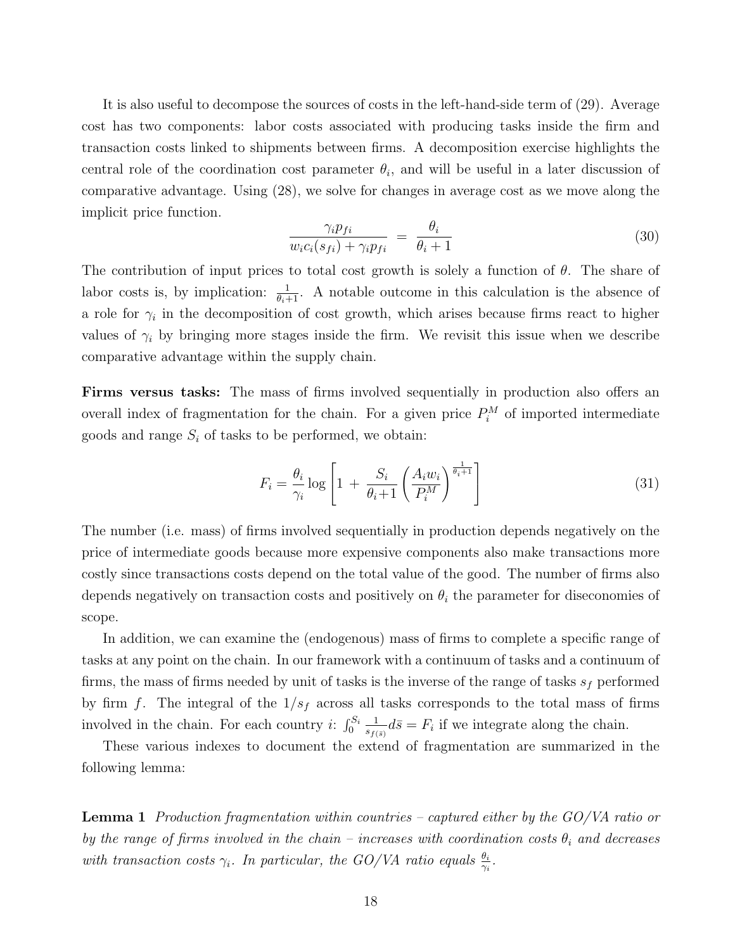It is also useful to decompose the sources of costs in the left-hand-side term of (29). Average cost has two components: labor costs associated with producing tasks inside the firm and transaction costs linked to shipments between firms. A decomposition exercise highlights the central role of the coordination cost parameter  $\theta_i$ , and will be useful in a later discussion of comparative advantage. Using (28), we solve for changes in average cost as we move along the implicit price function.

$$
\frac{\gamma_i p_{fi}}{w_i c_i (s_{fi}) + \gamma_i p_{fi}} = \frac{\theta_i}{\theta_i + 1} \tag{30}
$$

The contribution of input prices to total cost growth is solely a function of  $\theta$ . The share of labor costs is, by implication:  $\frac{1}{\theta_i+1}$ . A notable outcome in this calculation is the absence of a role for  $\gamma_i$  in the decomposition of cost growth, which arises because firms react to higher values of  $\gamma_i$  by bringing more stages inside the firm. We revisit this issue when we describe comparative advantage within the supply chain.

Firms versus tasks: The mass of firms involved sequentially in production also offers an overall index of fragmentation for the chain. For a given price  $P_i^M$  of imported intermediate goods and range  $S_i$  of tasks to be performed, we obtain:

$$
F_i = \frac{\theta_i}{\gamma_i} \log \left[ 1 + \frac{S_i}{\theta_i + 1} \left( \frac{A_i w_i}{P_i^M} \right)^{\frac{1}{\theta_i + 1}} \right]
$$
(31)

The number (i.e. mass) of firms involved sequentially in production depends negatively on the price of intermediate goods because more expensive components also make transactions more costly since transactions costs depend on the total value of the good. The number of firms also depends negatively on transaction costs and positively on  $\theta_i$  the parameter for diseconomies of scope.

In addition, we can examine the (endogenous) mass of firms to complete a specific range of tasks at any point on the chain. In our framework with a continuum of tasks and a continuum of firms, the mass of firms needed by unit of tasks is the inverse of the range of tasks  $s_f$  performed by firm f. The integral of the  $1/s_f$  across all tasks corresponds to the total mass of firms involved in the chain. For each country *i*:  $\int_0^{S_i} \frac{1}{s_{\epsilon}}$  $\frac{1}{s_{f(\bar{s})}}d\bar{s} = F_i$  if we integrate along the chain.

These various indexes to document the extend of fragmentation are summarized in the following lemma:

Lemma 1 Production fragmentation within countries – captured either by the GO/VA ratio or by the range of firms involved in the chain – increases with coordination costs  $\theta_i$  and decreases with transaction costs  $\gamma_i$ . In particular, the GO/VA ratio equals  $\frac{\theta_i}{\gamma_i}$ .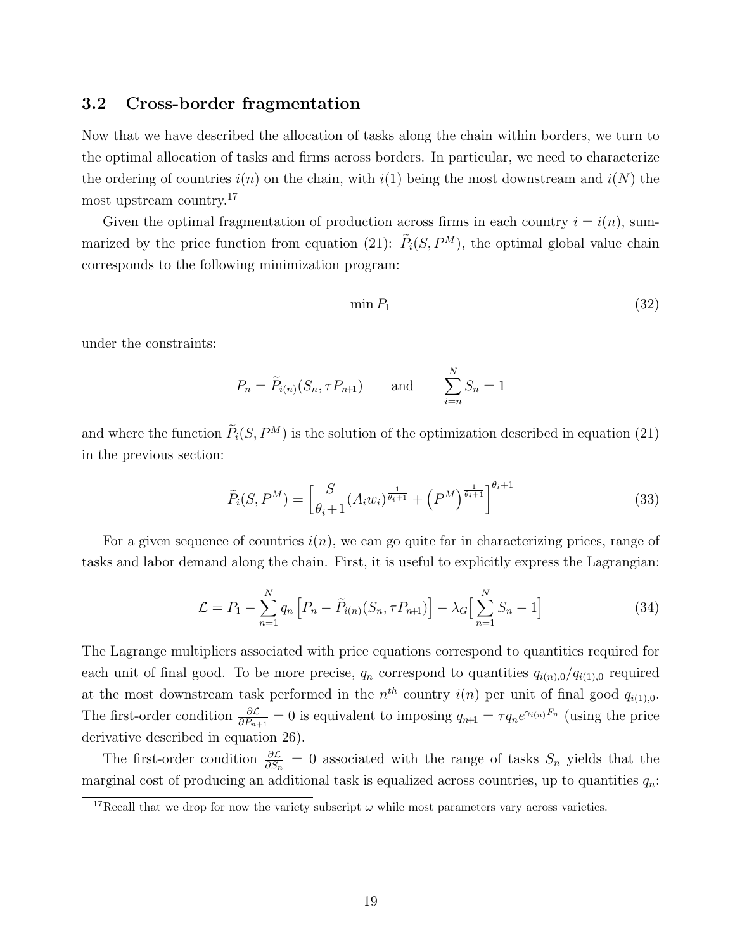#### 3.2 Cross-border fragmentation

Now that we have described the allocation of tasks along the chain within borders, we turn to the optimal allocation of tasks and firms across borders. In particular, we need to characterize the ordering of countries  $i(n)$  on the chain, with  $i(1)$  being the most downstream and  $i(N)$  the most upstream country.<sup>17</sup>

Given the optimal fragmentation of production across firms in each country  $i = i(n)$ , summarized by the price function from equation (21):  $\tilde{P}_i(S, P^M)$ , the optimal global value chain corresponds to the following minimization program:

$$
\min P_1 \tag{32}
$$

under the constraints:

$$
P_n = \tilde{P}_{i(n)}(S_n, \tau P_{n+1}) \quad \text{and} \quad \sum_{i=n}^N S_n = 1
$$

and where the function  $\tilde{P}_i(S, P^M)$  is the solution of the optimization described in equation (21) in the previous section:

$$
\widetilde{P}_i(S, P^M) = \left[\frac{S}{\theta_i + 1} (A_i w_i)^{\frac{1}{\theta_i + 1}} + \left(P^M\right)^{\frac{1}{\theta_i + 1}}\right]^{\theta_i + 1} \tag{33}
$$

For a given sequence of countries  $i(n)$ , we can go quite far in characterizing prices, range of tasks and labor demand along the chain. First, it is useful to explicitly express the Lagrangian:

$$
\mathcal{L} = P_1 - \sum_{n=1}^{N} q_n \left[ P_n - \tilde{P}_{i(n)}(S_n, \tau P_{n+1}) \right] - \lambda_G \left[ \sum_{n=1}^{N} S_n - 1 \right]
$$
 (34)

The Lagrange multipliers associated with price equations correspond to quantities required for each unit of final good. To be more precise,  $q_n$  correspond to quantities  $q_{i(n),0}/q_{i(1),0}$  required at the most downstream task performed in the  $n^{th}$  country  $i(n)$  per unit of final good  $q_{i(1),0}$ . The first-order condition  $\frac{\partial \mathcal{L}}{\partial P_{n+1}} = 0$  is equivalent to imposing  $q_{n+1} = \tau q_n e^{\gamma_{i(n)} F_n}$  (using the price derivative described in equation 26).

The first-order condition  $\frac{\partial \mathcal{L}}{\partial S_n} = 0$  associated with the range of tasks  $S_n$  yields that the marginal cost of producing an additional task is equalized across countries, up to quantities  $q_n$ :

<sup>&</sup>lt;sup>17</sup>Recall that we drop for now the variety subscript  $\omega$  while most parameters vary across varieties.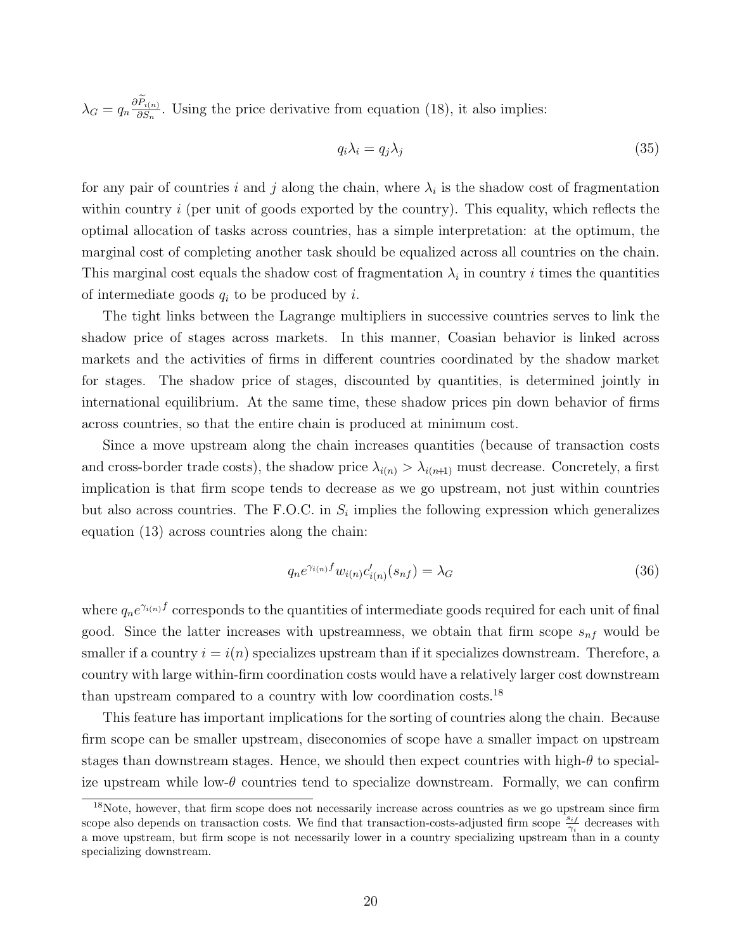$\lambda_G = q_n \frac{\partial P_{i(n)}}{\partial S_n}$ . Using the price derivative from equation (18), it also implies:

$$
q_i \lambda_i = q_j \lambda_j \tag{35}
$$

for any pair of countries i and j along the chain, where  $\lambda_i$  is the shadow cost of fragmentation within country  $i$  (per unit of goods exported by the country). This equality, which reflects the optimal allocation of tasks across countries, has a simple interpretation: at the optimum, the marginal cost of completing another task should be equalized across all countries on the chain. This marginal cost equals the shadow cost of fragmentation  $\lambda_i$  in country *i* times the quantities of intermediate goods  $q_i$  to be produced by i.

The tight links between the Lagrange multipliers in successive countries serves to link the shadow price of stages across markets. In this manner, Coasian behavior is linked across markets and the activities of firms in different countries coordinated by the shadow market for stages. The shadow price of stages, discounted by quantities, is determined jointly in international equilibrium. At the same time, these shadow prices pin down behavior of firms across countries, so that the entire chain is produced at minimum cost.

Since a move upstream along the chain increases quantities (because of transaction costs and cross-border trade costs), the shadow price  $\lambda_{i(n)} > \lambda_{i(n+1)}$  must decrease. Concretely, a first implication is that firm scope tends to decrease as we go upstream, not just within countries but also across countries. The F.O.C. in  $S_i$  implies the following expression which generalizes equation (13) across countries along the chain:

$$
q_n e^{\gamma_{i(n)} f} w_{i(n)} c'_{i(n)} (s_{nf}) = \lambda_G \tag{36}
$$

where  $q_n e^{\gamma_{i(n)} f}$  corresponds to the quantities of intermediate goods required for each unit of final good. Since the latter increases with upstreamness, we obtain that firm scope  $s_{nf}$  would be smaller if a country  $i = i(n)$  specializes upstream than if it specializes downstream. Therefore, a country with large within-firm coordination costs would have a relatively larger cost downstream than upstream compared to a country with low coordination costs.<sup>18</sup>

This feature has important implications for the sorting of countries along the chain. Because firm scope can be smaller upstream, diseconomies of scope have a smaller impact on upstream stages than downstream stages. Hence, we should then expect countries with high- $\theta$  to specialize upstream while low- $\theta$  countries tend to specialize downstream. Formally, we can confirm

<sup>&</sup>lt;sup>18</sup>Note, however, that firm scope does not necessarily increase across countries as we go upstream since firm scope also depends on transaction costs. We find that transaction-costs-adjusted firm scope  $\frac{s_{if}}{\gamma_i}$  decreases with a move upstream, but firm scope is not necessarily lower in a country specializing upstream than in a county specializing downstream.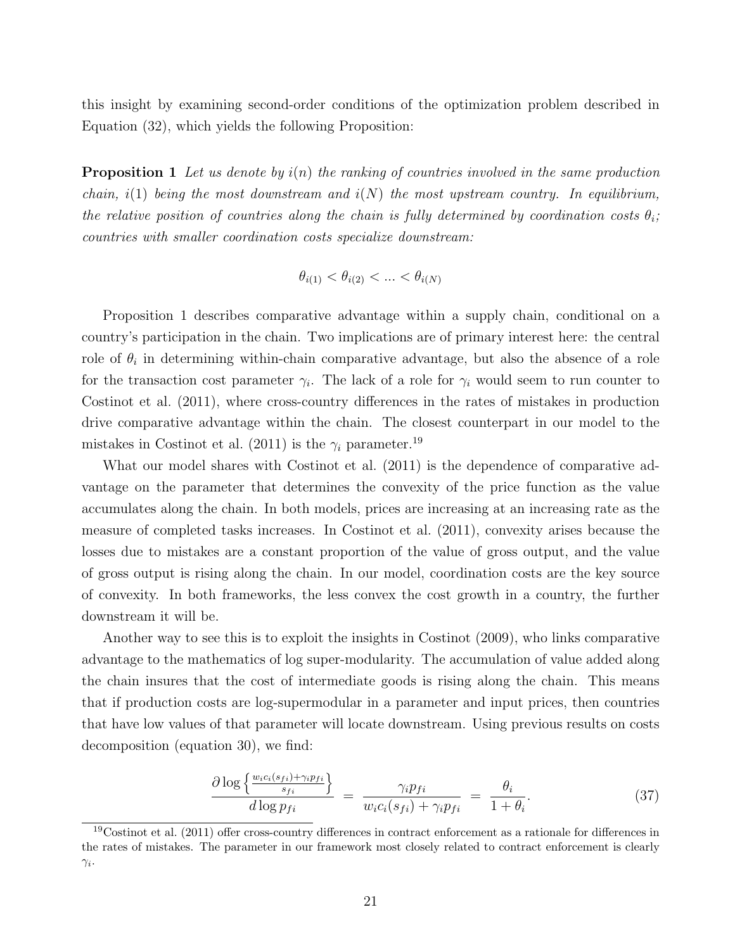this insight by examining second-order conditions of the optimization problem described in Equation (32), which yields the following Proposition:

**Proposition 1** Let us denote by  $i(n)$  the ranking of countries involved in the same production chain, i(1) being the most downstream and  $i(N)$  the most upstream country. In equilibrium, the relative position of countries along the chain is fully determined by coordination costs  $\theta_i$ ; countries with smaller coordination costs specialize downstream:

$$
\theta_{i(1)} < \theta_{i(2)} < \dots < \theta_{i(N)}
$$

Proposition 1 describes comparative advantage within a supply chain, conditional on a country's participation in the chain. Two implications are of primary interest here: the central role of  $\theta_i$  in determining within-chain comparative advantage, but also the absence of a role for the transaction cost parameter  $\gamma_i$ . The lack of a role for  $\gamma_i$  would seem to run counter to Costinot et al. (2011), where cross-country differences in the rates of mistakes in production drive comparative advantage within the chain. The closest counterpart in our model to the mistakes in Costinot et al. (2011) is the  $\gamma_i$  parameter.<sup>19</sup>

What our model shares with Costinot et al. (2011) is the dependence of comparative advantage on the parameter that determines the convexity of the price function as the value accumulates along the chain. In both models, prices are increasing at an increasing rate as the measure of completed tasks increases. In Costinot et al. (2011), convexity arises because the losses due to mistakes are a constant proportion of the value of gross output, and the value of gross output is rising along the chain. In our model, coordination costs are the key source of convexity. In both frameworks, the less convex the cost growth in a country, the further downstream it will be.

Another way to see this is to exploit the insights in Costinot (2009), who links comparative advantage to the mathematics of log super-modularity. The accumulation of value added along the chain insures that the cost of intermediate goods is rising along the chain. This means that if production costs are log-supermodular in a parameter and input prices, then countries that have low values of that parameter will locate downstream. Using previous results on costs decomposition (equation 30), we find:

$$
\frac{\partial \log \left\{ \frac{w_{i}c_{i}(s_{fi}) + \gamma_{i}p_{fi}}{s_{fi}} \right\}}{d \log p_{fi}} = \frac{\gamma_{i}p_{fi}}{w_{i}c_{i}(s_{fi}) + \gamma_{i}p_{fi}} = \frac{\theta_{i}}{1 + \theta_{i}}.
$$
\n(37)

 $19$ Costinot et al. (2011) offer cross-country differences in contract enforcement as a rationale for differences in the rates of mistakes. The parameter in our framework most closely related to contract enforcement is clearly  $\gamma_i$ .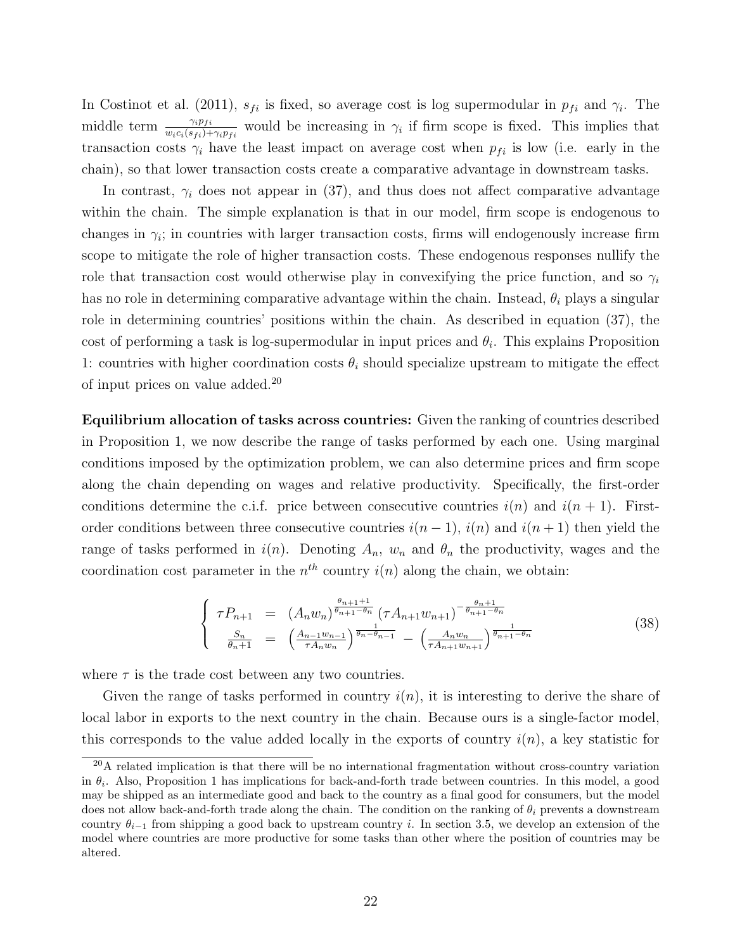In Costinot et al. (2011),  $s_{fi}$  is fixed, so average cost is log supermodular in  $p_{fi}$  and  $\gamma_i$ . The middle term  $\frac{\gamma_i p_{fi}}{w_i c_i(s_{fi}) + \gamma_i p_{fi}}$  would be increasing in  $\gamma_i$  if firm scope is fixed. This implies that transaction costs  $\gamma_i$  have the least impact on average cost when  $p_{fi}$  is low (i.e. early in the chain), so that lower transaction costs create a comparative advantage in downstream tasks.

In contrast,  $\gamma_i$  does not appear in (37), and thus does not affect comparative advantage within the chain. The simple explanation is that in our model, firm scope is endogenous to changes in  $\gamma_i$ ; in countries with larger transaction costs, firms will endogenously increase firm scope to mitigate the role of higher transaction costs. These endogenous responses nullify the role that transaction cost would otherwise play in convexifying the price function, and so  $\gamma_i$ has no role in determining comparative advantage within the chain. Instead,  $\theta_i$  plays a singular role in determining countries' positions within the chain. As described in equation (37), the cost of performing a task is log-supermodular in input prices and  $\theta_i$ . This explains Proposition 1: countries with higher coordination costs  $\theta_i$  should specialize upstream to mitigate the effect of input prices on value added.<sup>20</sup>

Equilibrium allocation of tasks across countries: Given the ranking of countries described in Proposition 1, we now describe the range of tasks performed by each one. Using marginal conditions imposed by the optimization problem, we can also determine prices and firm scope along the chain depending on wages and relative productivity. Specifically, the first-order conditions determine the c.i.f. price between consecutive countries  $i(n)$  and  $i(n + 1)$ . Firstorder conditions between three consecutive countries  $i(n-1)$ ,  $i(n)$  and  $i(n+1)$  then yield the range of tasks performed in  $i(n)$ . Denoting  $A_n$ ,  $w_n$  and  $\theta_n$  the productivity, wages and the coordination cost parameter in the  $n<sup>th</sup>$  country  $i(n)$  along the chain, we obtain:

$$
\begin{cases}\n\tau P_{n+1} = (A_n w_n)^{\frac{\theta_{n+1}+1}{\theta_{n+1}-\theta_n}} (\tau A_{n+1} w_{n+1})^{-\frac{\theta_{n+1}}{\theta_{n+1}-\theta_n}} \\
\frac{S_n}{\theta_n+1} = (\frac{A_{n-1} w_{n-1}}{\tau A_n w_n})^{\frac{1}{\theta_n-\theta_{n-1}}} - (\frac{A_n w_n}{\tau A_{n+1} w_{n+1}})^{\frac{1}{\theta_{n+1}-\theta_n}}\n\end{cases} (38)
$$

where  $\tau$  is the trade cost between any two countries.

Given the range of tasks performed in country  $i(n)$ , it is interesting to derive the share of local labor in exports to the next country in the chain. Because ours is a single-factor model, this corresponds to the value added locally in the exports of country  $i(n)$ , a key statistic for

 $^{20}$ A related implication is that there will be no international fragmentation without cross-country variation in  $\theta_i$ . Also, Proposition 1 has implications for back-and-forth trade between countries. In this model, a good may be shipped as an intermediate good and back to the country as a final good for consumers, but the model does not allow back-and-forth trade along the chain. The condition on the ranking of  $\theta_i$  prevents a downstream country  $\theta_{i-1}$  from shipping a good back to upstream country i. In section 3.5, we develop an extension of the model where countries are more productive for some tasks than other where the position of countries may be altered.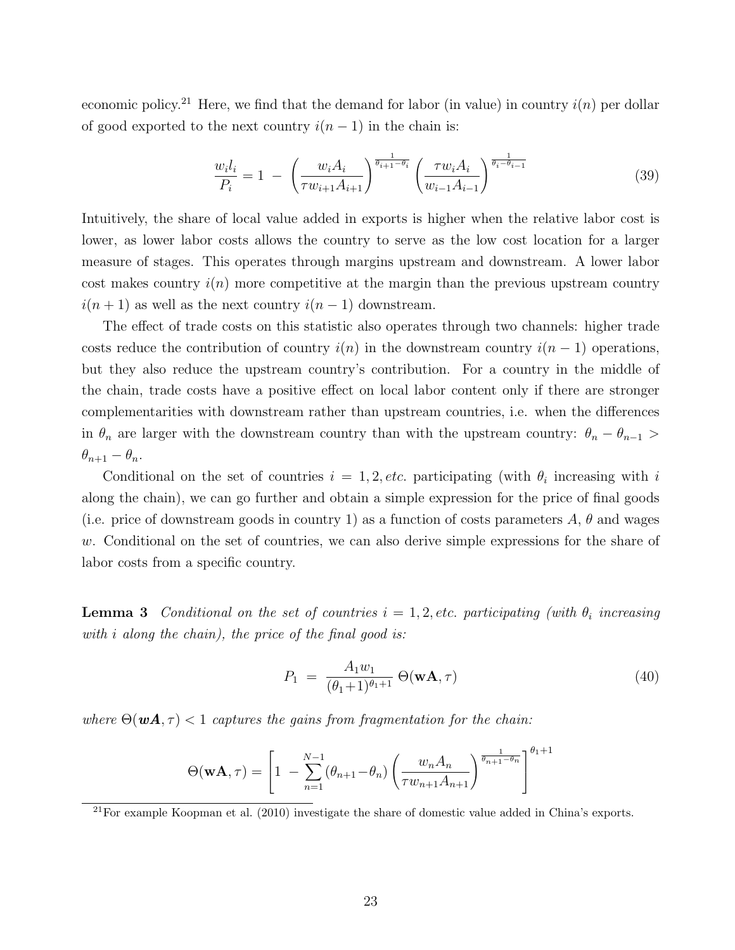economic policy.<sup>21</sup> Here, we find that the demand for labor (in value) in country  $i(n)$  per dollar of good exported to the next country  $i(n - 1)$  in the chain is:

$$
\frac{w_i l_i}{P_i} = 1 - \left(\frac{w_i A_i}{\tau w_{i+1} A_{i+1}}\right)^{\frac{1}{\theta_{i+1} - \theta_i}} \left(\frac{\tau w_i A_i}{w_{i-1} A_{i-1}}\right)^{\frac{1}{\theta_i - \theta_{i-1}}}
$$
(39)

Intuitively, the share of local value added in exports is higher when the relative labor cost is lower, as lower labor costs allows the country to serve as the low cost location for a larger measure of stages. This operates through margins upstream and downstream. A lower labor cost makes country  $i(n)$  more competitive at the margin than the previous upstream country  $i(n + 1)$  as well as the next country  $i(n - 1)$  downstream.

The effect of trade costs on this statistic also operates through two channels: higher trade costs reduce the contribution of country  $i(n)$  in the downstream country  $i(n - 1)$  operations, but they also reduce the upstream country's contribution. For a country in the middle of the chain, trade costs have a positive effect on local labor content only if there are stronger complementarities with downstream rather than upstream countries, i.e. when the differences in  $\theta_n$  are larger with the downstream country than with the upstream country:  $\theta_n - \theta_{n-1}$  $\theta_{n+1} - \theta_n$ .

Conditional on the set of countries  $i = 1, 2, etc.$  participating (with  $\theta_i$  increasing with i along the chain), we can go further and obtain a simple expression for the price of final goods (i.e. price of downstream goods in country 1) as a function of costs parameters  $A, \theta$  and wages w. Conditional on the set of countries, we can also derive simple expressions for the share of labor costs from a specific country.

**Lemma 3** Conditional on the set of countries  $i = 1, 2$ , etc. participating (with  $\theta_i$  increasing with i along the chain), the price of the final good is:

$$
P_1 = \frac{A_1 w_1}{(\theta_1 + 1)^{\theta_1 + 1}} \Theta(\mathbf{w}\mathbf{A}, \tau) \tag{40}
$$

where  $\Theta(\boldsymbol{w}\boldsymbol{A}, \tau) < 1$  captures the gains from fragmentation for the chain:

$$
\Theta(\mathbf{w}\mathbf{A},\tau) = \left[1 - \sum_{n=1}^{N-1} (\theta_{n+1} - \theta_n) \left(\frac{w_n A_n}{\tau w_{n+1} A_{n+1}}\right)^{\frac{1}{\theta_{n+1} - \theta_n}}\right]^{\theta_1 + 1}
$$

 $^{21}$ For example Koopman et al. (2010) investigate the share of domestic value added in China's exports.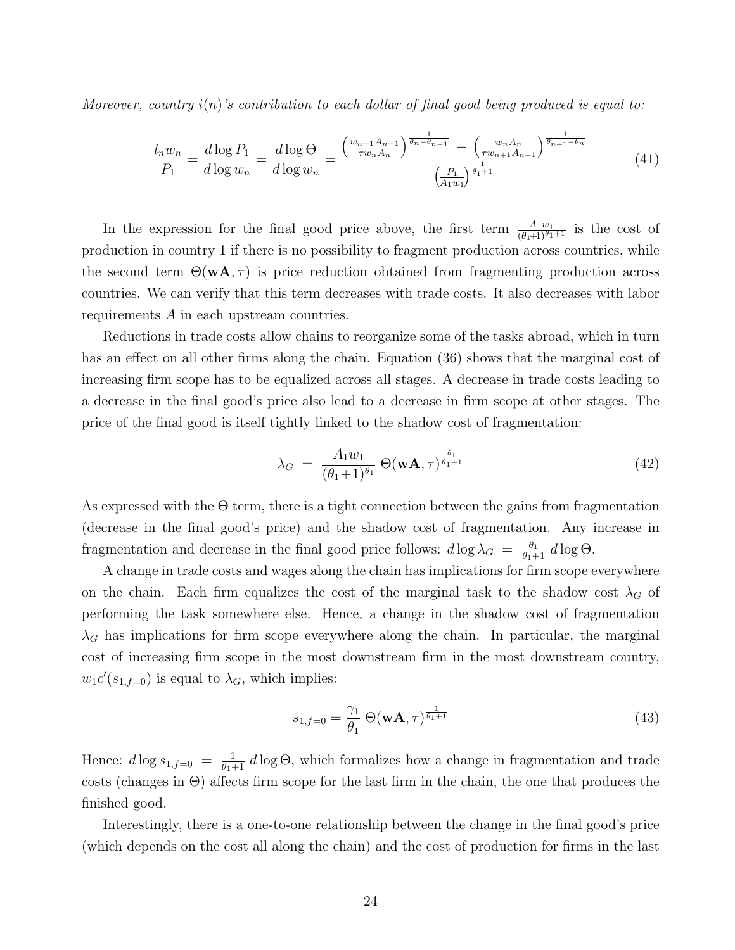Moreover, country  $i(n)$ 's contribution to each dollar of final good being produced is equal to:

$$
\frac{l_n w_n}{P_1} = \frac{d \log P_1}{d \log w_n} = \frac{d \log \Theta}{d \log w_n} = \frac{\left(\frac{w_{n-1} A_{n-1}}{\tau w_n A_n}\right)^{\frac{1}{\theta_n - \theta_{n-1}}} - \left(\frac{w_n A_n}{\tau w_{n+1} A_{n+1}}\right)^{\frac{1}{\theta_{n+1} - \theta_n}}}{\left(\frac{P_1}{A_1 w_1}\right)^{\frac{1}{\theta_1 + 1}}} \tag{41}
$$

In the expression for the final good price above, the first term  $\frac{A_1w_1}{(\theta_1+1)^{\theta_1+1}}$  is the cost of production in country 1 if there is no possibility to fragment production across countries, while the second term  $\Theta(\mathbf{w}\mathbf{A}, \tau)$  is price reduction obtained from fragmenting production across countries. We can verify that this term decreases with trade costs. It also decreases with labor requirements A in each upstream countries.

Reductions in trade costs allow chains to reorganize some of the tasks abroad, which in turn has an effect on all other firms along the chain. Equation (36) shows that the marginal cost of increasing firm scope has to be equalized across all stages. A decrease in trade costs leading to a decrease in the final good's price also lead to a decrease in firm scope at other stages. The price of the final good is itself tightly linked to the shadow cost of fragmentation:

$$
\lambda_G = \frac{A_1 w_1}{(\theta_1 + 1)^{\theta_1}} \Theta(\mathbf{w}\mathbf{A}, \tau)^{\frac{\theta_1}{\theta_1 + 1}}
$$
(42)

As expressed with the  $\Theta$  term, there is a tight connection between the gains from fragmentation (decrease in the final good's price) and the shadow cost of fragmentation. Any increase in fragmentation and decrease in the final good price follows:  $d \log \lambda_G = \frac{\theta_1}{\theta_1 + 1} d \log \Theta$ .

A change in trade costs and wages along the chain has implications for firm scope everywhere on the chain. Each firm equalizes the cost of the marginal task to the shadow cost  $\lambda_G$  of performing the task somewhere else. Hence, a change in the shadow cost of fragmentation  $\lambda_G$  has implications for firm scope everywhere along the chain. In particular, the marginal cost of increasing firm scope in the most downstream firm in the most downstream country,  $w_1c'(s_{1,f=0})$  is equal to  $\lambda_G$ , which implies:

$$
s_{1,f=0} = \frac{\gamma_1}{\theta_1} \Theta(\mathbf{w}\mathbf{A}, \tau)^{\frac{1}{\theta_1+1}}
$$
\n(43)

Hence:  $d \log s_{1,f=0} = \frac{1}{\theta_1+1} d \log \Theta$ , which formalizes how a change in fragmentation and trade costs (changes in Θ) affects firm scope for the last firm in the chain, the one that produces the finished good.

Interestingly, there is a one-to-one relationship between the change in the final good's price (which depends on the cost all along the chain) and the cost of production for firms in the last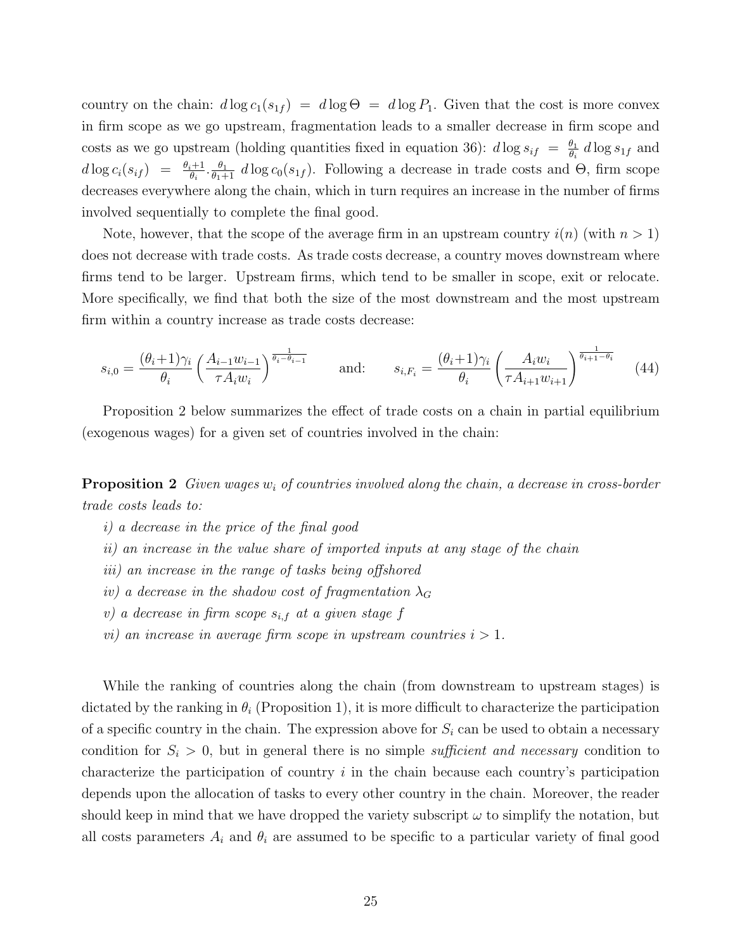country on the chain:  $d \log c_1(s_{1f}) = d \log \Theta = d \log P_1$ . Given that the cost is more convex in firm scope as we go upstream, fragmentation leads to a smaller decrease in firm scope and costs as we go upstream (holding quantities fixed in equation 36):  $d \log s_{if} = \frac{\theta_1}{\theta_i}$  $\frac{\theta_1}{\theta_i}$  d log  $s_{1f}$  and  $d \log c_i(s_{if}) = \frac{\theta_i+1}{\theta_i} \cdot \frac{\theta_1}{\theta_1+1} d \log c_0(s_{1f})$ . Following a decrease in trade costs and  $\Theta$ , firm scope decreases everywhere along the chain, which in turn requires an increase in the number of firms involved sequentially to complete the final good.

Note, however, that the scope of the average firm in an upstream country  $i(n)$  (with  $n > 1$ ) does not decrease with trade costs. As trade costs decrease, a country moves downstream where firms tend to be larger. Upstream firms, which tend to be smaller in scope, exit or relocate. More specifically, we find that both the size of the most downstream and the most upstream firm within a country increase as trade costs decrease:

$$
s_{i,0} = \frac{(\theta_i + 1)\gamma_i}{\theta_i} \left(\frac{A_{i-1}w_{i-1}}{\tau A_i w_i}\right)^{\frac{1}{\theta_i - \theta_{i-1}}} \quad \text{and:} \quad s_{i,F_i} = \frac{(\theta_i + 1)\gamma_i}{\theta_i} \left(\frac{A_i w_i}{\tau A_{i+1} w_{i+1}}\right)^{\frac{1}{\theta_{i+1} - \theta_i}} \quad (44)
$$

Proposition 2 below summarizes the effect of trade costs on a chain in partial equilibrium (exogenous wages) for a given set of countries involved in the chain:

**Proposition 2** Given wages  $w_i$  of countries involved along the chain, a decrease in cross-border trade costs leads to:

- i) a decrease in the price of the final good
- ii) an increase in the value share of imported inputs at any stage of the chain
- iii) an increase in the range of tasks being offshored
- iv) a decrease in the shadow cost of fragmentation  $\lambda_G$
- v) a decrease in firm scope  $s_{i,f}$  at a given stage f
- vi) an increase in average firm scope in upstream countries  $i > 1$ .

While the ranking of countries along the chain (from downstream to upstream stages) is dictated by the ranking in  $\theta_i$  (Proposition 1), it is more difficult to characterize the participation of a specific country in the chain. The expression above for  $S_i$  can be used to obtain a necessary condition for  $S_i > 0$ , but in general there is no simple *sufficient and necessary* condition to characterize the participation of country  $i$  in the chain because each country's participation depends upon the allocation of tasks to every other country in the chain. Moreover, the reader should keep in mind that we have dropped the variety subscript  $\omega$  to simplify the notation, but all costs parameters  $A_i$  and  $\theta_i$  are assumed to be specific to a particular variety of final good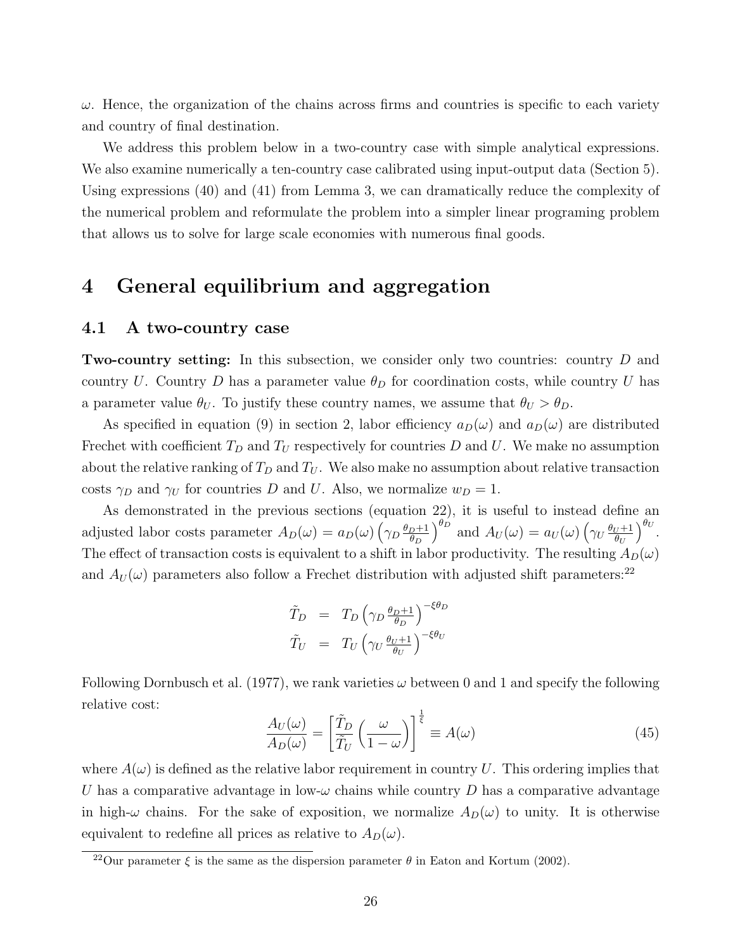$\omega$ . Hence, the organization of the chains across firms and countries is specific to each variety and country of final destination.

We address this problem below in a two-country case with simple analytical expressions. We also examine numerically a ten-country case calibrated using input-output data (Section 5). Using expressions (40) and (41) from Lemma 3, we can dramatically reduce the complexity of the numerical problem and reformulate the problem into a simpler linear programing problem that allows us to solve for large scale economies with numerous final goods.

## 4 General equilibrium and aggregation

#### 4.1 A two-country case

**Two-country setting:** In this subsection, we consider only two countries: country D and country U. Country D has a parameter value  $\theta_D$  for coordination costs, while country U has a parameter value  $\theta_U$ . To justify these country names, we assume that  $\theta_U > \theta_D$ .

As specified in equation (9) in section 2, labor efficiency  $a_D(\omega)$  and  $a_D(\omega)$  are distributed Frechet with coefficient  $T_D$  and  $T_U$  respectively for countries D and U. We make no assumption about the relative ranking of  $T_D$  and  $T_U$ . We also make no assumption about relative transaction costs  $\gamma_D$  and  $\gamma_U$  for countries D and U. Also, we normalize  $w_D = 1$ .

As demonstrated in the previous sections (equation 22), it is useful to instead define an adjusted labor costs parameter  $A_D(\omega) = a_D(\omega) \left(\gamma_D \frac{\theta_D + 1}{\theta_D}\right)$  $\theta_D$  $\int_{0}^{\theta_D}$  and  $A_U(\omega) = a_U(\omega) \left(\gamma_U \frac{\theta_U + 1}{\theta_U}\right)$  $\theta_U$  $\big)^{\theta_U}.$ The effect of transaction costs is equivalent to a shift in labor productivity. The resulting  $A_D(\omega)$ and  $A_U(\omega)$  parameters also follow a Frechet distribution with adjusted shift parameters:<sup>22</sup>

$$
\begin{array}{rcl}\n\tilde{T}_D & = & T_D \left( \gamma_D \frac{\theta_D + 1}{\theta_D} \right)^{-\xi \theta_D} \\
\tilde{T}_U & = & T_U \left( \gamma_U \frac{\theta_U + 1}{\theta_U} \right)^{-\xi \theta_U}\n\end{array}
$$

Following Dornbusch et al. (1977), we rank varieties  $\omega$  between 0 and 1 and specify the following relative cost:

$$
\frac{A_U(\omega)}{A_D(\omega)} = \left[\frac{\tilde{T}_D}{\tilde{T}_U} \left(\frac{\omega}{1-\omega}\right)\right]^{\frac{1}{\xi}} \equiv A(\omega)
$$
\n(45)

where  $A(\omega)$  is defined as the relative labor requirement in country U. This ordering implies that U has a comparative advantage in low- $\omega$  chains while country D has a comparative advantage in high- $\omega$  chains. For the sake of exposition, we normalize  $A_D(\omega)$  to unity. It is otherwise equivalent to redefine all prices as relative to  $A_D(\omega)$ .

<sup>&</sup>lt;sup>22</sup>Our parameter  $\xi$  is the same as the dispersion parameter  $\theta$  in Eaton and Kortum (2002).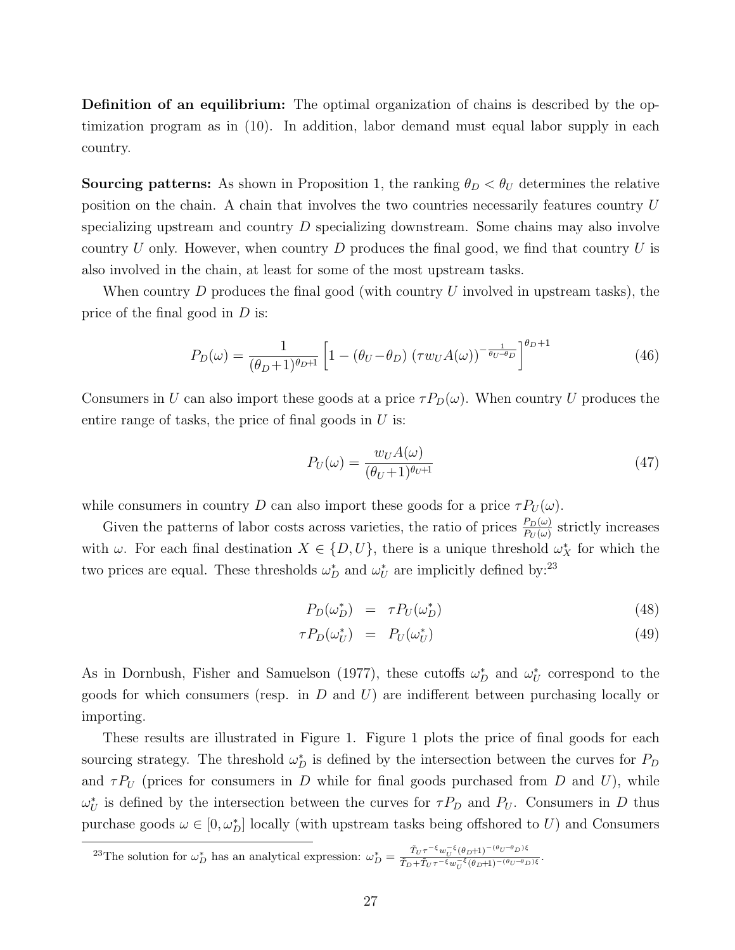Definition of an equilibrium: The optimal organization of chains is described by the optimization program as in (10). In addition, labor demand must equal labor supply in each country.

**Sourcing patterns:** As shown in Proposition 1, the ranking  $\theta_D < \theta_U$  determines the relative position on the chain. A chain that involves the two countries necessarily features country U specializing upstream and country D specializing downstream. Some chains may also involve country U only. However, when country D produces the final good, we find that country U is also involved in the chain, at least for some of the most upstream tasks.

When country  $D$  produces the final good (with country  $U$  involved in upstream tasks), the price of the final good in D is:

$$
P_D(\omega) = \frac{1}{(\theta_D + 1)^{\theta_D + 1}} \left[ 1 - (\theta_U - \theta_D) (\tau w_U A(\omega))^{-\frac{1}{\theta_U - \theta_D}} \right]^{\theta_D + 1}
$$
(46)

Consumers in U can also import these goods at a price  $\tau P_D(\omega)$ . When country U produces the entire range of tasks, the price of final goods in  $U$  is:

$$
P_U(\omega) = \frac{w_U A(\omega)}{(\theta_U + 1)^{\theta_U + 1}}\tag{47}
$$

while consumers in country D can also import these goods for a price  $\tau P_U(\omega)$ .

Given the patterns of labor costs across varieties, the ratio of prices  $\frac{P_D(\omega)}{P_U(\omega)}$  strictly increases with  $\omega$ . For each final destination  $X \in \{D, U\}$ , there is a unique threshold  $\omega_X^*$  for which the two prices are equal. These thresholds  $\omega_D^*$  and  $\omega_U^*$  are implicitly defined by:<sup>23</sup>

$$
P_D(\omega_D^*) = \tau P_U(\omega_D^*) \tag{48}
$$

$$
\tau P_D(\omega_U^*) = P_U(\omega_U^*) \tag{49}
$$

As in Dornbush, Fisher and Samuelson (1977), these cutoffs  $\omega_D^*$  and  $\omega_U^*$  correspond to the goods for which consumers (resp. in  $D$  and  $U$ ) are indifferent between purchasing locally or importing.

These results are illustrated in Figure 1. Figure 1 plots the price of final goods for each sourcing strategy. The threshold  $\omega_D^*$  is defined by the intersection between the curves for  $P_D$ and  $\tau P_U$  (prices for consumers in D while for final goods purchased from D and U), while  $\omega_U^*$  is defined by the intersection between the curves for  $\tau P_D$  and  $P_U$ . Consumers in D thus purchase goods  $\omega \in [0, \omega_D^*]$  locally (with upstream tasks being offshored to U) and Consumers

<sup>23</sup>The solution for  $\omega_D^*$  has an analytical expression:  $\omega_D^* = \frac{\tilde{T}_U \tau^{-\xi} w_U^{-\xi} (\theta_D+1)^{-(\theta_U-\theta_D)\xi}}{\tilde{T}_{D} + \tilde{T}_{U} \tau^{-\xi} w_U^{-\xi} (\theta_D+1)^{-(\theta_U-\theta_D)\xi}}$  $\tilde{T}_D + \tilde{T}_U \tau^{-\xi} w_U^{-\xi} (\theta_D + 1)^{-(\theta_U - \theta_D)\xi}$ .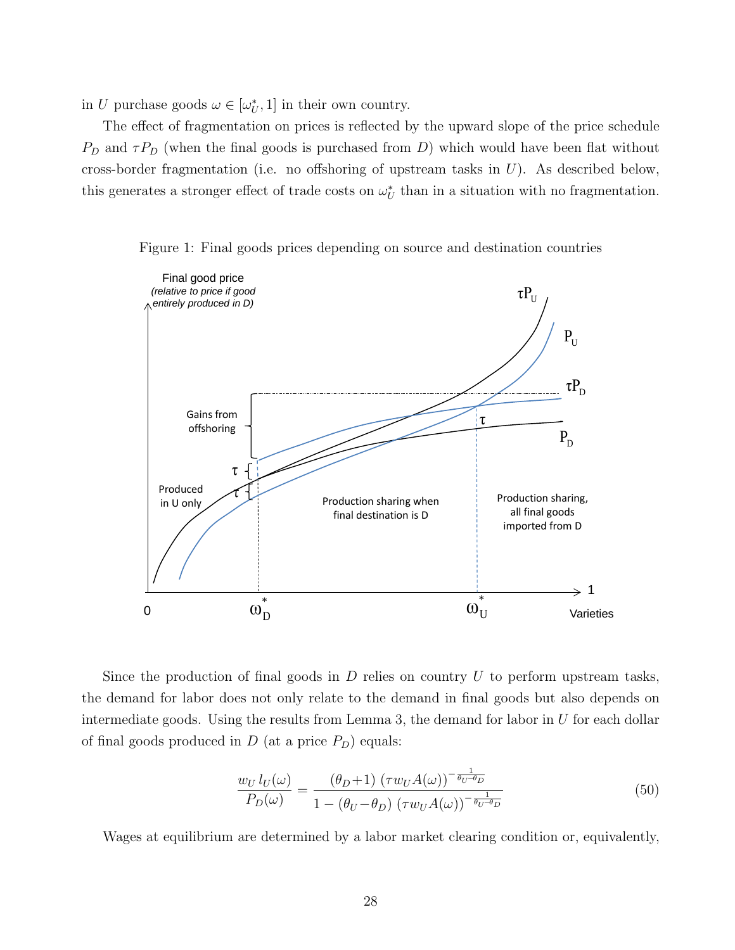in U purchase goods  $\omega \in [\omega^*_{U}, 1]$  in their own country.

The effect of fragmentation on prices is reflected by the upward slope of the price schedule  $P_D$  and  $\tau P_D$  (when the final goods is purchased from D) which would have been flat without cross-border fragmentation (i.e. no offshoring of upstream tasks in  $U$ ). As described below, this generates a stronger effect of trade costs on  $\omega_U^*$  than in a situation with no fragmentation.





Since the production of final goods in  $D$  relies on country  $U$  to perform upstream tasks, the demand for labor does not only relate to the demand in final goods but also depends on intermediate goods. Using the results from Lemma 3, the demand for labor in  $U$  for each dollar of final goods produced in  $D$  (at a price  $P_D$ ) equals:

$$
\frac{w_U l_U(\omega)}{P_D(\omega)} = \frac{(\theta_D + 1) (\tau w_U A(\omega))^{-\frac{1}{\theta_U - \theta_D}}}{1 - (\theta_U - \theta_D) (\tau w_U A(\omega))^{-\frac{1}{\theta_U - \theta_D}}}
$$
(50)

Wages at equilibrium are determined by a labor market clearing condition or, equivalently,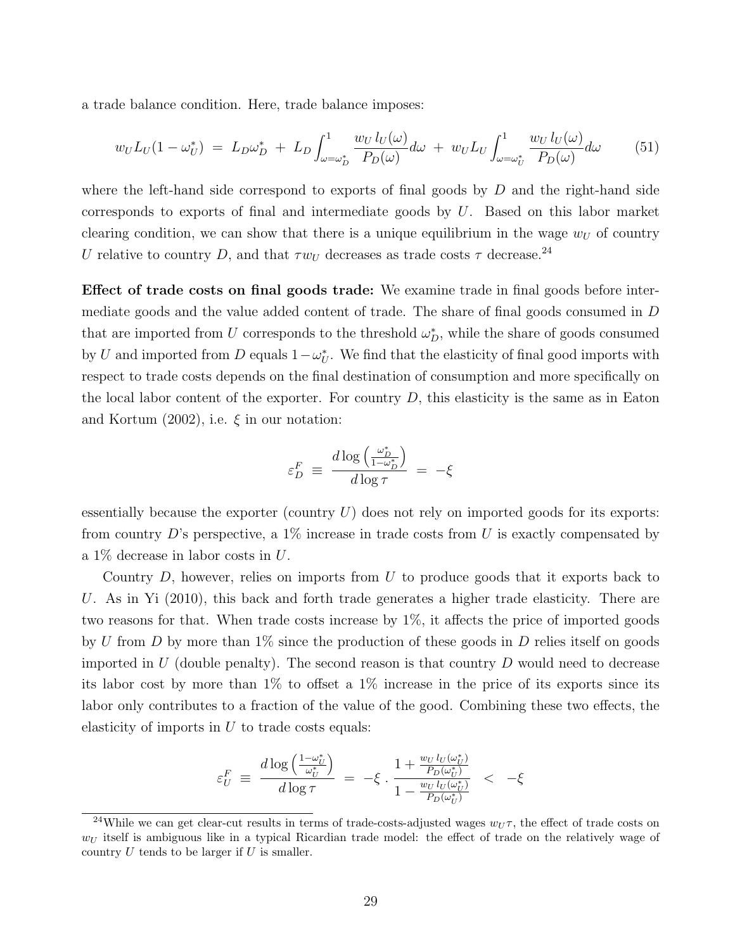a trade balance condition. Here, trade balance imposes:

$$
w_U L_U(1 - \omega_U^*) = L_D \omega_D^* + L_D \int_{\omega = \omega_D^*}^1 \frac{w_U l_U(\omega)}{P_D(\omega)} d\omega + w_U L_U \int_{\omega = \omega_U^*}^1 \frac{w_U l_U(\omega)}{P_D(\omega)} d\omega \qquad (51)
$$

where the left-hand side correspond to exports of final goods by  $D$  and the right-hand side corresponds to exports of final and intermediate goods by  $U$ . Based on this labor market clearing condition, we can show that there is a unique equilibrium in the wage  $w_U$  of country U relative to country D, and that  $\tau w_U$  decreases as trade costs  $\tau$  decrease.<sup>24</sup>

Effect of trade costs on final goods trade: We examine trade in final goods before intermediate goods and the value added content of trade. The share of final goods consumed in D that are imported from U corresponds to the threshold  $\omega_D^*$ , while the share of goods consumed by U and imported from D equals  $1 - \omega_U^*$ . We find that the elasticity of final good imports with respect to trade costs depends on the final destination of consumption and more specifically on the local labor content of the exporter. For country  $D$ , this elasticity is the same as in Eaton and Kortum  $(2002)$ , i.e.  $\xi$  in our notation:

$$
\varepsilon_D^F \; \equiv \; \frac{d \log \left( \frac{\omega_D^*}{1 - \omega_D^*} \right)}{d \log \tau} \; = \; - \xi
$$

essentially because the exporter (country  $U$ ) does not rely on imported goods for its exports: from country D's perspective, a  $1\%$  increase in trade costs from U is exactly compensated by a 1% decrease in labor costs in U.

Country  $D$ , however, relies on imports from  $U$  to produce goods that it exports back to U. As in Yi (2010), this back and forth trade generates a higher trade elasticity. There are two reasons for that. When trade costs increase by 1%, it affects the price of imported goods by U from D by more than  $1\%$  since the production of these goods in D relies itself on goods imported in U (double penalty). The second reason is that country  $D$  would need to decrease its labor cost by more than 1% to offset a 1% increase in the price of its exports since its labor only contributes to a fraction of the value of the good. Combining these two effects, the elasticity of imports in  $U$  to trade costs equals:

$$
\varepsilon_U^F \equiv \frac{d\log\left(\frac{1-\omega_U^*}{\omega_U^*}\right)}{d\log\tau} \,=\, -\xi \cdot \frac{1+\frac{w_U\,l_U(\omega_U^*)}{P_D(\omega_U^*)}}{1-\frac{w_U\,l_U(\omega_U^*)}{P_D(\omega_U^*)}} \;\;<\;\; -\xi
$$

<sup>&</sup>lt;sup>24</sup>While we can get clear-cut results in terms of trade-costs-adjusted wages  $w_U \tau$ , the effect of trade costs on  $w_U$  itself is ambiguous like in a typical Ricardian trade model: the effect of trade on the relatively wage of country  $U$  tends to be larger if  $U$  is smaller.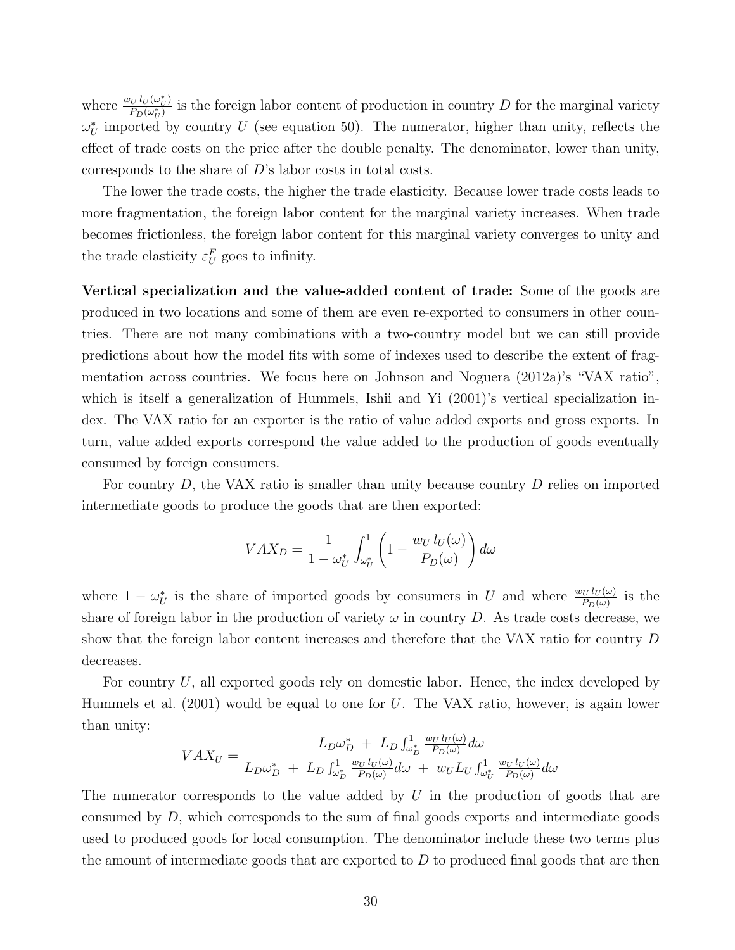where  $\frac{w_U l_U(\omega_U^*)}{P_D(\omega^*)}$  $\frac{\partial U(t(\omega_U))}{\partial P_D(\omega_U^*)}$  is the foreign labor content of production in country D for the marginal variety  $\omega_U^*$  imported by country U (see equation 50). The numerator, higher than unity, reflects the effect of trade costs on the price after the double penalty. The denominator, lower than unity, corresponds to the share of D's labor costs in total costs.

The lower the trade costs, the higher the trade elasticity. Because lower trade costs leads to more fragmentation, the foreign labor content for the marginal variety increases. When trade becomes frictionless, the foreign labor content for this marginal variety converges to unity and the trade elasticity  $\varepsilon_U^F$  goes to infinity.

Vertical specialization and the value-added content of trade: Some of the goods are produced in two locations and some of them are even re-exported to consumers in other countries. There are not many combinations with a two-country model but we can still provide predictions about how the model fits with some of indexes used to describe the extent of fragmentation across countries. We focus here on Johnson and Noguera (2012a)'s "VAX ratio", which is itself a generalization of Hummels, Ishii and Yi (2001)'s vertical specialization index. The VAX ratio for an exporter is the ratio of value added exports and gross exports. In turn, value added exports correspond the value added to the production of goods eventually consumed by foreign consumers.

For country D, the VAX ratio is smaller than unity because country D relies on imported intermediate goods to produce the goods that are then exported:

$$
VAX_D = \frac{1}{1 - \omega_U^*} \int_{\omega_U^*}^{1} \left(1 - \frac{w_U l_U(\omega)}{P_D(\omega)}\right) d\omega
$$

where  $1 - \omega_U^*$  is the share of imported goods by consumers in U and where  $\frac{w_U l_U(\omega)}{P_D(\omega)}$  is the share of foreign labor in the production of variety  $\omega$  in country D. As trade costs decrease, we show that the foreign labor content increases and therefore that the VAX ratio for country D decreases.

For country U, all exported goods rely on domestic labor. Hence, the index developed by Hummels et al. (2001) would be equal to one for U. The VAX ratio, however, is again lower than unity:

$$
VAX_U = \frac{L_D\omega_D^* + L_D \int_{\omega_D^*}^1 \frac{w_U l_U(\omega)}{P_D(\omega)} d\omega}{L_D\omega_D^* + L_D \int_{\omega_D^*}^1 \frac{w_U l_U(\omega)}{P_D(\omega)} d\omega + w_U L_U \int_{\omega_U^*}^1 \frac{w_U l_U(\omega)}{P_D(\omega)} d\omega}
$$

The numerator corresponds to the value added by  $U$  in the production of goods that are consumed by D, which corresponds to the sum of final goods exports and intermediate goods used to produced goods for local consumption. The denominator include these two terms plus the amount of intermediate goods that are exported to  $D$  to produced final goods that are then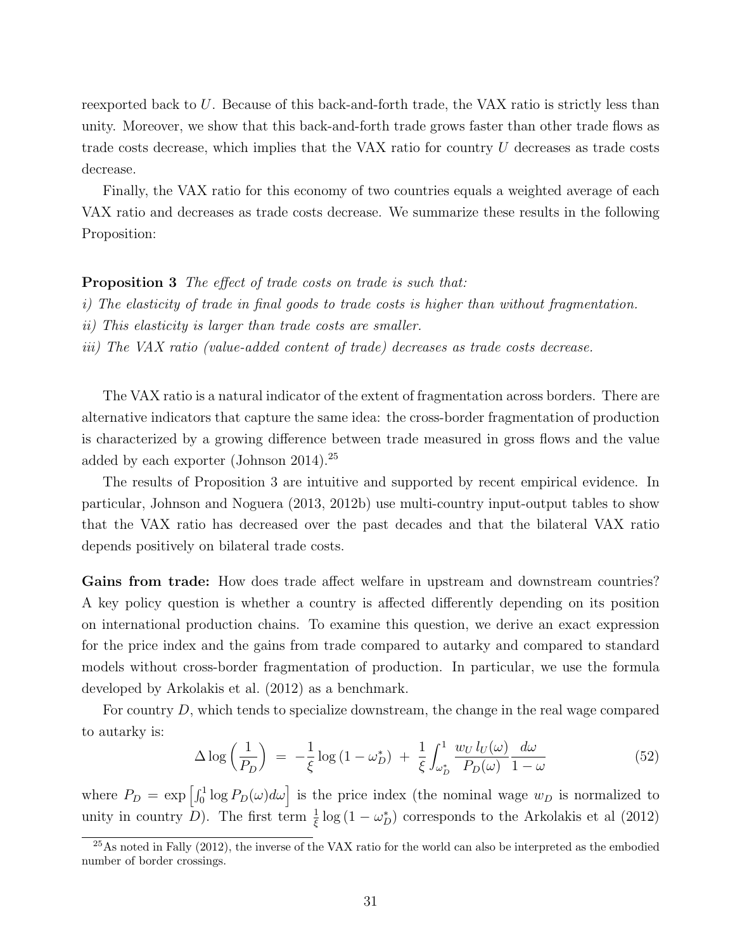reexported back to U. Because of this back-and-forth trade, the VAX ratio is strictly less than unity. Moreover, we show that this back-and-forth trade grows faster than other trade flows as trade costs decrease, which implies that the VAX ratio for country U decreases as trade costs decrease.

Finally, the VAX ratio for this economy of two countries equals a weighted average of each VAX ratio and decreases as trade costs decrease. We summarize these results in the following Proposition:

#### Proposition 3 The effect of trade costs on trade is such that:

- i) The elasticity of trade in final goods to trade costs is higher than without fragmentation.
- ii) This elasticity is larger than trade costs are smaller.
- iii) The VAX ratio (value-added content of trade) decreases as trade costs decrease.

The VAX ratio is a natural indicator of the extent of fragmentation across borders. There are alternative indicators that capture the same idea: the cross-border fragmentation of production is characterized by a growing difference between trade measured in gross flows and the value added by each exporter (Johnson 2014).<sup>25</sup>

The results of Proposition 3 are intuitive and supported by recent empirical evidence. In particular, Johnson and Noguera (2013, 2012b) use multi-country input-output tables to show that the VAX ratio has decreased over the past decades and that the bilateral VAX ratio depends positively on bilateral trade costs.

Gains from trade: How does trade affect welfare in upstream and downstream countries? A key policy question is whether a country is affected differently depending on its position on international production chains. To examine this question, we derive an exact expression for the price index and the gains from trade compared to autarky and compared to standard models without cross-border fragmentation of production. In particular, we use the formula developed by Arkolakis et al. (2012) as a benchmark.

For country D, which tends to specialize downstream, the change in the real wage compared to autarky is:

$$
\Delta \log \left( \frac{1}{P_D} \right) = -\frac{1}{\xi} \log \left( 1 - \omega_D^* \right) + \frac{1}{\xi} \int_{\omega_D^*}^{1} \frac{w_U l_U(\omega)}{P_D(\omega)} \frac{d\omega}{1 - \omega} \tag{52}
$$

where  $P_D = \exp \left[\int_0^1 \log P_D(\omega) d\omega \right]$  is the price index (the nominal wage  $w_D$  is normalized to unity in country D). The first term  $\frac{1}{\xi} \log (1 - \omega_D^*)$  corresponds to the Arkolakis et al (2012)

 $^{25}$ As noted in Fally (2012), the inverse of the VAX ratio for the world can also be interpreted as the embodied number of border crossings.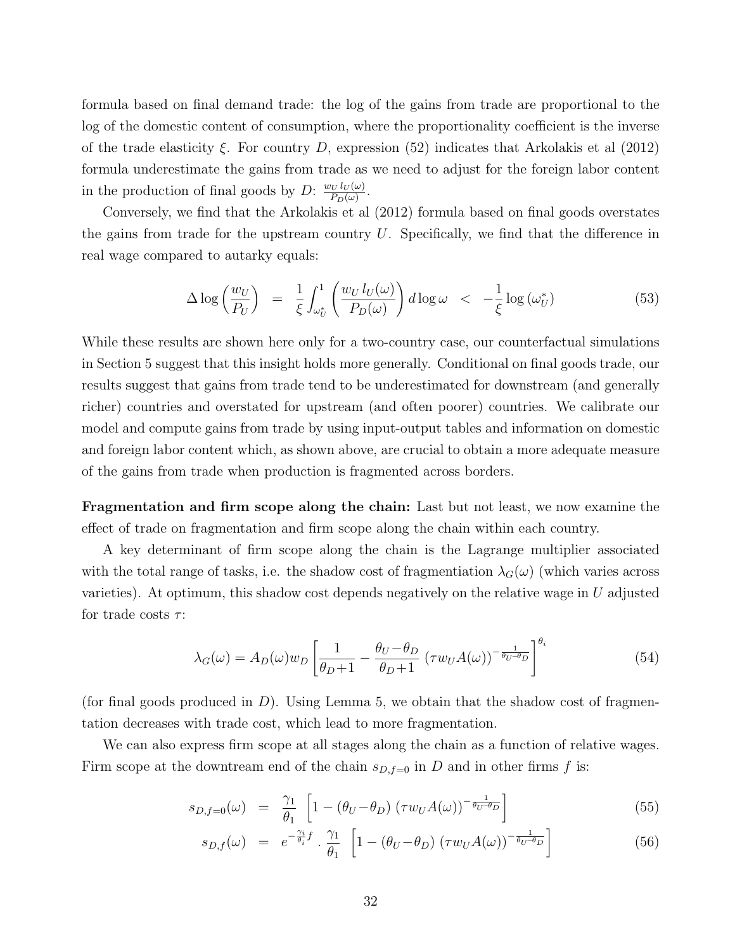formula based on final demand trade: the log of the gains from trade are proportional to the log of the domestic content of consumption, where the proportionality coefficient is the inverse of the trade elasticity  $\xi$ . For country D, expression (52) indicates that Arkolakis et al (2012) formula underestimate the gains from trade as we need to adjust for the foreign labor content in the production of final goods by D:  $\frac{w_U l_U(\omega)}{P_D(\omega)}$  $\frac{v_U l_U(\omega)}{P_D(\omega)}$ .

Conversely, we find that the Arkolakis et al (2012) formula based on final goods overstates the gains from trade for the upstream country  $U$ . Specifically, we find that the difference in real wage compared to autarky equals:

$$
\Delta \log \left( \frac{w_U}{P_U} \right) = \frac{1}{\xi} \int_{\omega_U^*}^1 \left( \frac{w_U l_U(\omega)}{P_D(\omega)} \right) d \log \omega < -\frac{1}{\xi} \log \left( \omega_U^* \right)
$$
(53)

While these results are shown here only for a two-country case, our counterfactual simulations in Section 5 suggest that this insight holds more generally. Conditional on final goods trade, our results suggest that gains from trade tend to be underestimated for downstream (and generally richer) countries and overstated for upstream (and often poorer) countries. We calibrate our model and compute gains from trade by using input-output tables and information on domestic and foreign labor content which, as shown above, are crucial to obtain a more adequate measure of the gains from trade when production is fragmented across borders.

Fragmentation and firm scope along the chain: Last but not least, we now examine the effect of trade on fragmentation and firm scope along the chain within each country.

A key determinant of firm scope along the chain is the Lagrange multiplier associated with the total range of tasks, i.e. the shadow cost of fragmentiation  $\lambda_G(\omega)$  (which varies across varieties). At optimum, this shadow cost depends negatively on the relative wage in  $U$  adjusted for trade costs  $\tau$ :

$$
\lambda_G(\omega) = A_D(\omega) w_D \left[ \frac{1}{\theta_D + 1} - \frac{\theta_U - \theta_D}{\theta_D + 1} \left( \tau w_U A(\omega) \right)^{-\frac{1}{\theta_U - \theta_D}} \right]^{\theta_i} \tag{54}
$$

(for final goods produced in  $D$ ). Using Lemma 5, we obtain that the shadow cost of fragmentation decreases with trade cost, which lead to more fragmentation.

We can also express firm scope at all stages along the chain as a function of relative wages. Firm scope at the downtream end of the chain  $s_{D,f=0}$  in D and in other firms f is:

$$
s_{D,f=0}(\omega) = \frac{\gamma_1}{\theta_1} \left[ 1 - \left( \theta_U - \theta_D \right) \left( \tau w_U A(\omega) \right)^{-\frac{1}{\theta_U - \theta_D}} \right] \tag{55}
$$

$$
s_{D,f}(\omega) = e^{-\frac{\gamma_i}{\theta_i}f} \cdot \frac{\gamma_1}{\theta_1} \left[1 - \left(\theta_U - \theta_D\right) \left(\tau w_U A(\omega)\right)^{-\frac{1}{\theta_U - \theta_D}}\right] \tag{56}
$$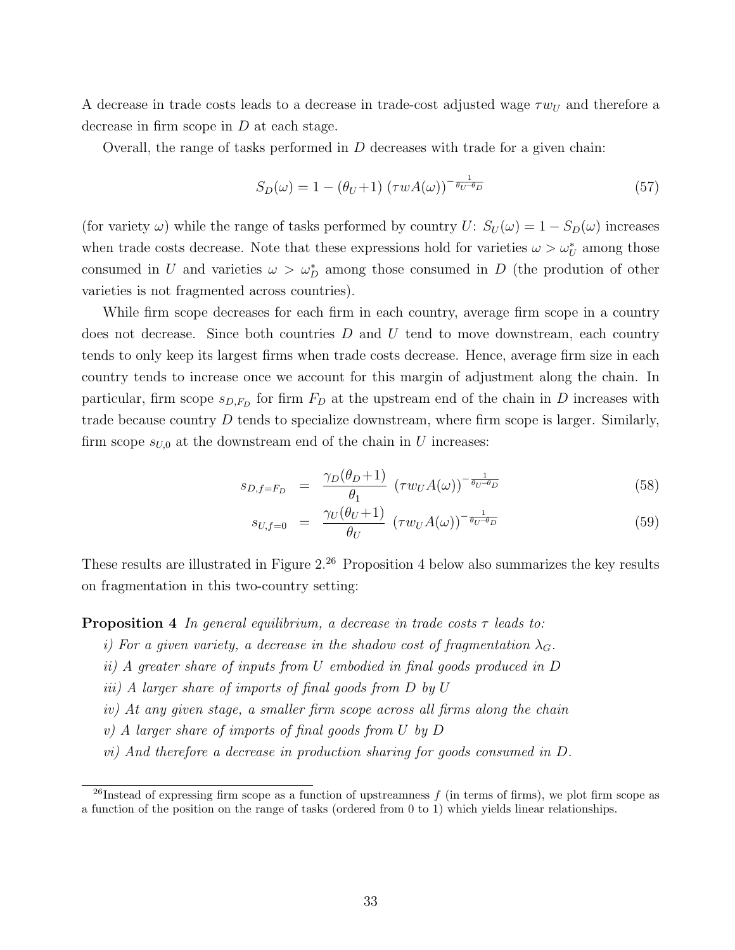A decrease in trade costs leads to a decrease in trade-cost adjusted wage  $\tau w_U$  and therefore a decrease in firm scope in  $D$  at each stage.

Overall, the range of tasks performed in  $D$  decreases with trade for a given chain:

$$
S_D(\omega) = 1 - (\theta_U + 1) \left(\tau w A(\omega)\right)^{-\frac{1}{\theta_U - \theta_D}}
$$
\n
$$
(57)
$$

(for variety  $\omega$ ) while the range of tasks performed by country  $U: S_U(\omega) = 1 - S_D(\omega)$  increases when trade costs decrease. Note that these expressions hold for varieties  $\omega > \omega_U^*$  among those consumed in U and varieties  $\omega > \omega_D^*$  among those consumed in D (the prodution of other varieties is not fragmented across countries).

While firm scope decreases for each firm in each country, average firm scope in a country does not decrease. Since both countries  $D$  and  $U$  tend to move downstream, each country tends to only keep its largest firms when trade costs decrease. Hence, average firm size in each country tends to increase once we account for this margin of adjustment along the chain. In particular, firm scope  $s_{D,F_D}$  for firm  $F_D$  at the upstream end of the chain in D increases with trade because country  $D$  tends to specialize downstream, where firm scope is larger. Similarly, firm scope  $s_{U,0}$  at the downstream end of the chain in U increases:

$$
s_{D,f=F_D} = \frac{\gamma_D(\theta_D+1)}{\theta_1} \left(\tau w_U A(\omega)\right)^{-\frac{1}{\theta_U-\theta_D}}
$$
(58)

$$
s_{U,f=0} = \frac{\gamma_U(\theta_U+1)}{\theta_U} \left(\tau w_U A(\omega)\right)^{-\frac{1}{\theta_U-\theta_D}}
$$
(59)

These results are illustrated in Figure 2.<sup>26</sup> Proposition 4 below also summarizes the key results on fragmentation in this two-country setting:

#### **Proposition 4** In general equilibrium, a decrease in trade costs  $\tau$  leads to:

- i) For a given variety, a decrease in the shadow cost of fragmentation  $\lambda_G$ .
- ii) A greater share of inputs from U embodied in final goods produced in D
- iii) A larger share of imports of final goods from D by U
- iv) At any given stage, a smaller firm scope across all firms along the chain
- v) A larger share of imports of final goods from U by D
- vi) And therefore a decrease in production sharing for goods consumed in D.

<sup>&</sup>lt;sup>26</sup>Instead of expressing firm scope as a function of upstreamness f (in terms of firms), we plot firm scope as a function of the position on the range of tasks (ordered from 0 to 1) which yields linear relationships.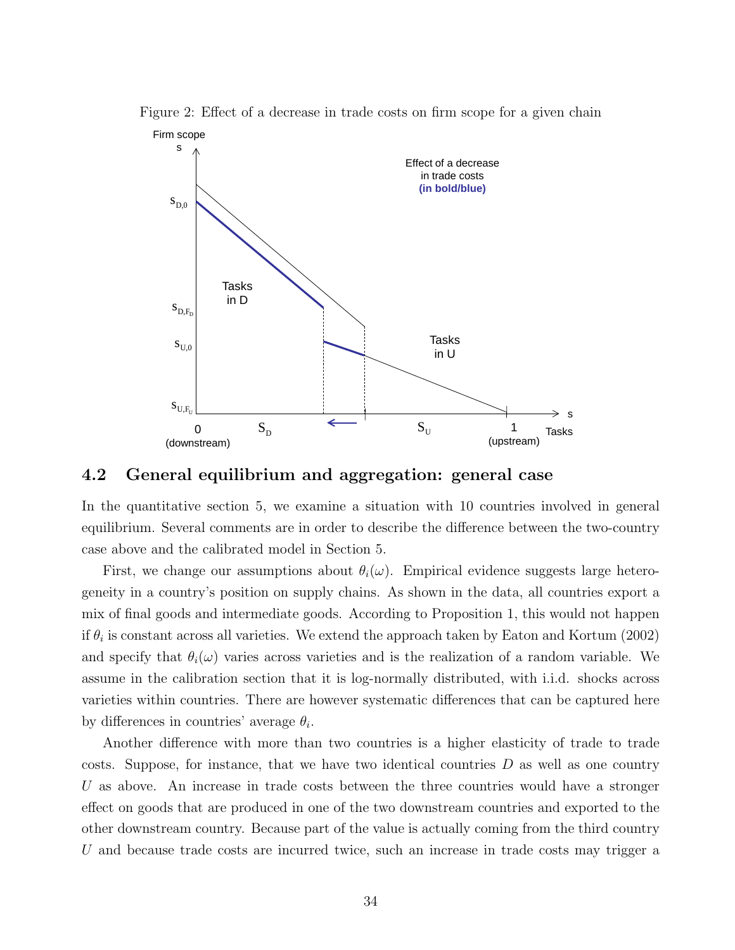

Figure 2: Effect of a decrease in trade costs on firm scope for a given chain

#### 4.2 General equilibrium and aggregation: general case

In the quantitative section 5, we examine a situation with 10 countries involved in general equilibrium. Several comments are in order to describe the difference between the two-country case above and the calibrated model in Section 5.

First, we change our assumptions about  $\theta_i(\omega)$ . Empirical evidence suggests large heterogeneity in a country's position on supply chains. As shown in the data, all countries export a mix of final goods and intermediate goods. According to Proposition 1, this would not happen if  $\theta_i$  is constant across all varieties. We extend the approach taken by Eaton and Kortum (2002) and specify that  $\theta_i(\omega)$  varies across varieties and is the realization of a random variable. We assume in the calibration section that it is log-normally distributed, with i.i.d. shocks across varieties within countries. There are however systematic differences that can be captured here by differences in countries' average  $\theta_i$ .

Another difference with more than two countries is a higher elasticity of trade to trade costs. Suppose, for instance, that we have two identical countries  $D$  as well as one country U as above. An increase in trade costs between the three countries would have a stronger effect on goods that are produced in one of the two downstream countries and exported to the other downstream country. Because part of the value is actually coming from the third country U and because trade costs are incurred twice, such an increase in trade costs may trigger a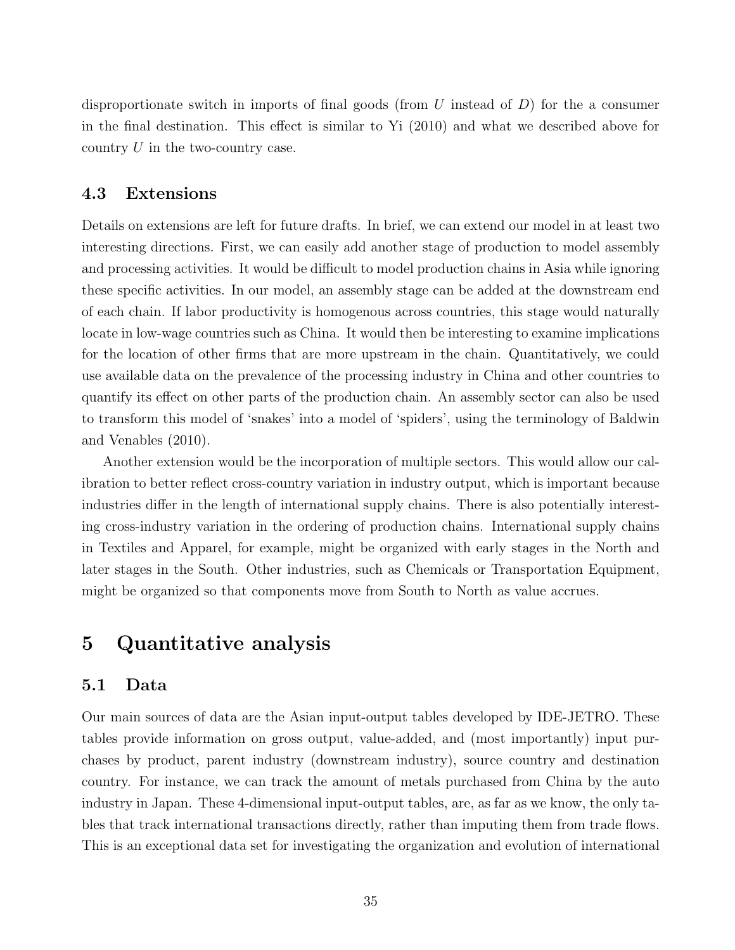disproportionate switch in imports of final goods (from  $U$  instead of  $D$ ) for the a consumer in the final destination. This effect is similar to Yi (2010) and what we described above for country  $U$  in the two-country case.

### 4.3 Extensions

Details on extensions are left for future drafts. In brief, we can extend our model in at least two interesting directions. First, we can easily add another stage of production to model assembly and processing activities. It would be difficult to model production chains in Asia while ignoring these specific activities. In our model, an assembly stage can be added at the downstream end of each chain. If labor productivity is homogenous across countries, this stage would naturally locate in low-wage countries such as China. It would then be interesting to examine implications for the location of other firms that are more upstream in the chain. Quantitatively, we could use available data on the prevalence of the processing industry in China and other countries to quantify its effect on other parts of the production chain. An assembly sector can also be used to transform this model of 'snakes' into a model of 'spiders', using the terminology of Baldwin and Venables (2010).

Another extension would be the incorporation of multiple sectors. This would allow our calibration to better reflect cross-country variation in industry output, which is important because industries differ in the length of international supply chains. There is also potentially interesting cross-industry variation in the ordering of production chains. International supply chains in Textiles and Apparel, for example, might be organized with early stages in the North and later stages in the South. Other industries, such as Chemicals or Transportation Equipment, might be organized so that components move from South to North as value accrues.

# 5 Quantitative analysis

### 5.1 Data

Our main sources of data are the Asian input-output tables developed by IDE-JETRO. These tables provide information on gross output, value-added, and (most importantly) input purchases by product, parent industry (downstream industry), source country and destination country. For instance, we can track the amount of metals purchased from China by the auto industry in Japan. These 4-dimensional input-output tables, are, as far as we know, the only tables that track international transactions directly, rather than imputing them from trade flows. This is an exceptional data set for investigating the organization and evolution of international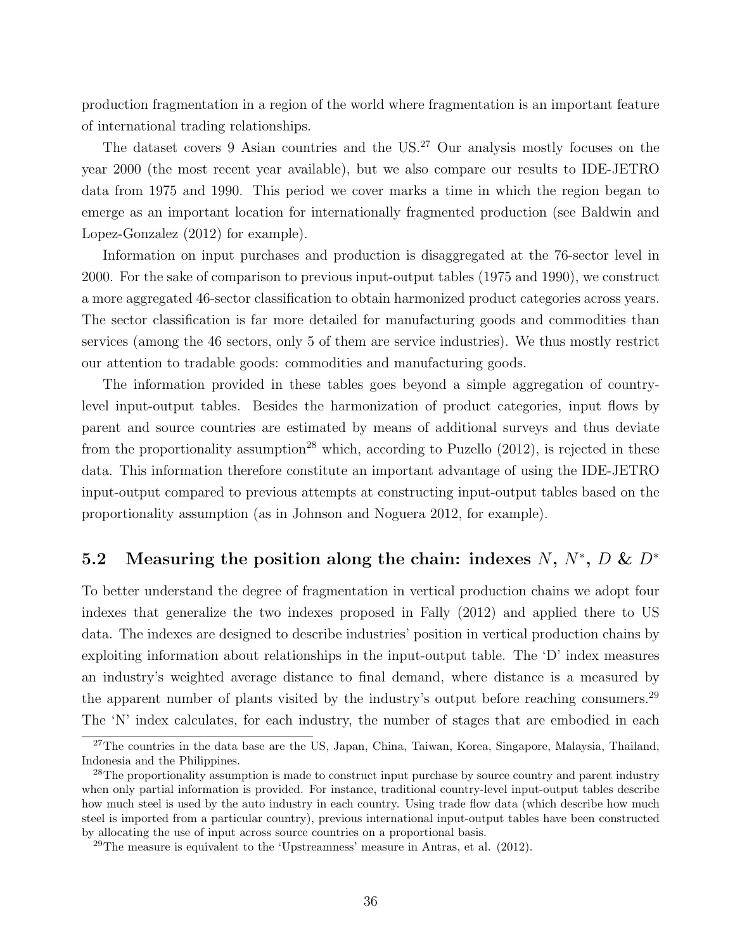production fragmentation in a region of the world where fragmentation is an important feature of international trading relationships.

The dataset covers 9 Asian countries and the US.<sup>27</sup> Our analysis mostly focuses on the year 2000 (the most recent year available), but we also compare our results to IDE-JETRO data from 1975 and 1990. This period we cover marks a time in which the region began to emerge as an important location for internationally fragmented production (see Baldwin and Lopez-Gonzalez (2012) for example).

Information on input purchases and production is disaggregated at the 76-sector level in 2000. For the sake of comparison to previous input-output tables (1975 and 1990), we construct a more aggregated 46-sector classification to obtain harmonized product categories across years. The sector classification is far more detailed for manufacturing goods and commodities than services (among the 46 sectors, only 5 of them are service industries). We thus mostly restrict our attention to tradable goods: commodities and manufacturing goods.

The information provided in these tables goes beyond a simple aggregation of countrylevel input-output tables. Besides the harmonization of product categories, input flows by parent and source countries are estimated by means of additional surveys and thus deviate from the proportionality assumption<sup>28</sup> which, according to Puzello  $(2012)$ , is rejected in these data. This information therefore constitute an important advantage of using the IDE-JETRO input-output compared to previous attempts at constructing input-output tables based on the proportionality assumption (as in Johnson and Noguera 2012, for example).

## 5.2 Measuring the position along the chain: indexes N,  $N^*$ , D &  $D^*$

To better understand the degree of fragmentation in vertical production chains we adopt four indexes that generalize the two indexes proposed in Fally (2012) and applied there to US data. The indexes are designed to describe industries' position in vertical production chains by exploiting information about relationships in the input-output table. The 'D' index measures an industry's weighted average distance to final demand, where distance is a measured by the apparent number of plants visited by the industry's output before reaching consumers.<sup>29</sup> The 'N' index calculates, for each industry, the number of stages that are embodied in each

<sup>&</sup>lt;sup>27</sup>The countries in the data base are the US, Japan, China, Taiwan, Korea, Singapore, Malaysia, Thailand, Indonesia and the Philippines.

<sup>&</sup>lt;sup>28</sup>The proportionality assumption is made to construct input purchase by source country and parent industry when only partial information is provided. For instance, traditional country-level input-output tables describe how much steel is used by the auto industry in each country. Using trade flow data (which describe how much steel is imported from a particular country), previous international input-output tables have been constructed by allocating the use of input across source countries on a proportional basis.

 $29$ The measure is equivalent to the 'Upstreamness' measure in Antras, et al. (2012).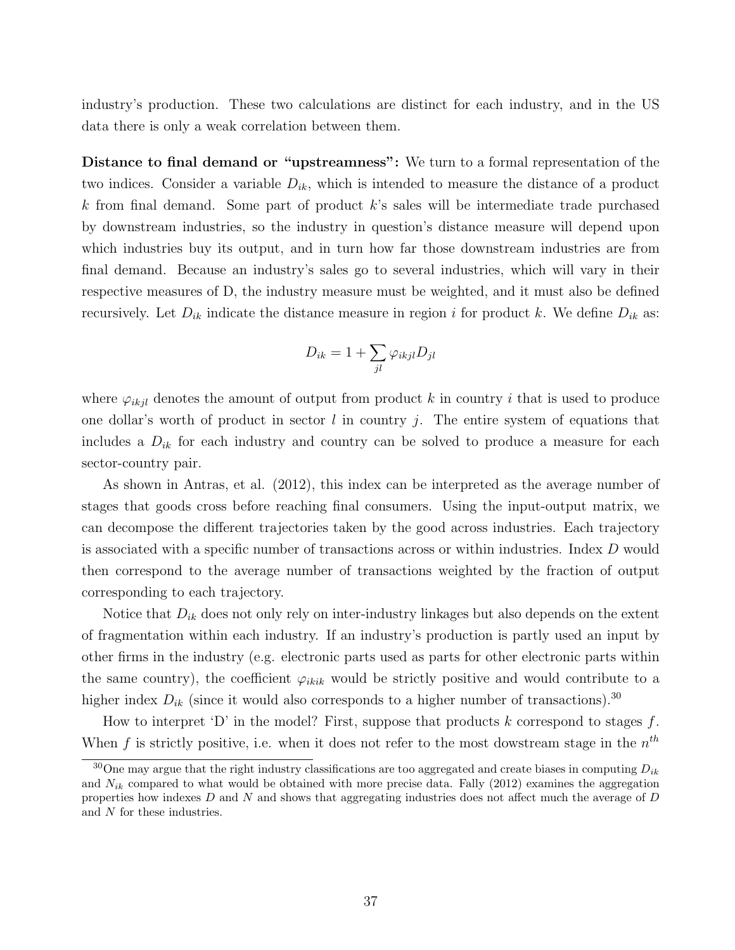industry's production. These two calculations are distinct for each industry, and in the US data there is only a weak correlation between them.

Distance to final demand or "upstreamness": We turn to a formal representation of the two indices. Consider a variable  $D_{ik}$ , which is intended to measure the distance of a product  $k$  from final demand. Some part of product  $k$ 's sales will be intermediate trade purchased by downstream industries, so the industry in question's distance measure will depend upon which industries buy its output, and in turn how far those downstream industries are from final demand. Because an industry's sales go to several industries, which will vary in their respective measures of D, the industry measure must be weighted, and it must also be defined recursively. Let  $D_{ik}$  indicate the distance measure in region i for product k. We define  $D_{ik}$  as:

$$
D_{ik} = 1 + \sum_{jl} \varphi_{ikjl} D_{jl}
$$

where  $\varphi_{ikjl}$  denotes the amount of output from product k in country i that is used to produce one dollar's worth of product in sector  $l$  in country  $j$ . The entire system of equations that includes a  $D_{ik}$  for each industry and country can be solved to produce a measure for each sector-country pair.

As shown in Antras, et al. (2012), this index can be interpreted as the average number of stages that goods cross before reaching final consumers. Using the input-output matrix, we can decompose the different trajectories taken by the good across industries. Each trajectory is associated with a specific number of transactions across or within industries. Index D would then correspond to the average number of transactions weighted by the fraction of output corresponding to each trajectory.

Notice that  $D_{ik}$  does not only rely on inter-industry linkages but also depends on the extent of fragmentation within each industry. If an industry's production is partly used an input by other firms in the industry (e.g. electronic parts used as parts for other electronic parts within the same country), the coefficient  $\varphi_{ikik}$  would be strictly positive and would contribute to a higher index  $D_{ik}$  (since it would also corresponds to a higher number of transactions).<sup>30</sup>

How to interpret 'D' in the model? First, suppose that products  $k$  correspond to stages  $f$ . When f is strictly positive, i.e. when it does not refer to the most dowstream stage in the  $n^{th}$ 

<sup>&</sup>lt;sup>30</sup>One may argue that the right industry classifications are too aggregated and create biases in computing  $D_{ik}$ and  $N_{ik}$  compared to what would be obtained with more precise data. Fally (2012) examines the aggregation properties how indexes  $D$  and  $N$  and shows that aggregating industries does not affect much the average of  $D$ and N for these industries.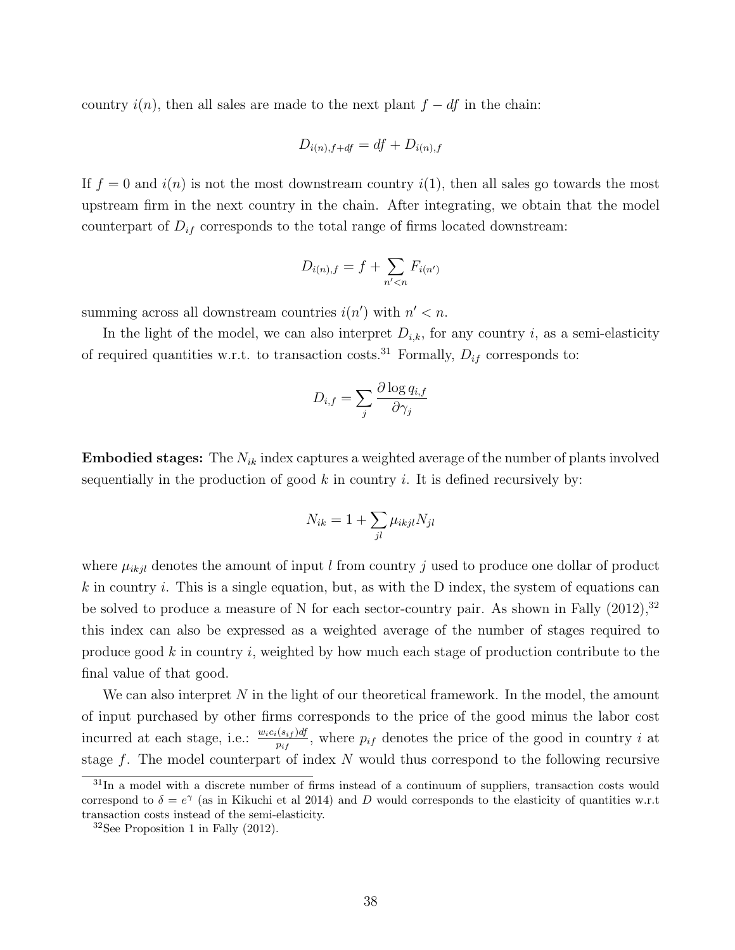country  $i(n)$ , then all sales are made to the next plant  $f - df$  in the chain:

$$
D_{i(n),f+df} = df + D_{i(n),f}
$$

If  $f = 0$  and  $i(n)$  is not the most downstream country  $i(1)$ , then all sales go towards the most upstream firm in the next country in the chain. After integrating, we obtain that the model counterpart of  $D_{if}$  corresponds to the total range of firms located downstream:

$$
D_{i(n),f} = f + \sum_{n' < n} F_{i(n')}
$$

summing across all downstream countries  $i(n')$  with  $n' < n$ .

In the light of the model, we can also interpret  $D_{i,k}$ , for any country i, as a semi-elasticity of required quantities w.r.t. to transaction costs.<sup>31</sup> Formally,  $D_{if}$  corresponds to:

$$
D_{i,f} = \sum_j \frac{\partial \log q_{i,f}}{\partial \gamma_j}
$$

**Embodied stages:** The  $N_{ik}$  index captures a weighted average of the number of plants involved sequentially in the production of good  $k$  in country  $i$ . It is defined recursively by:

$$
N_{ik} = 1 + \sum_{jl} \mu_{ikjl} N_{jl}
$$

where  $\mu_{ikjl}$  denotes the amount of input l from country j used to produce one dollar of product k in country i. This is a single equation, but, as with the D index, the system of equations can be solved to produce a measure of N for each sector-country pair. As shown in Fally  $(2012)$ ,  $32$ this index can also be expressed as a weighted average of the number of stages required to produce good k in country i, weighted by how much each stage of production contribute to the final value of that good.

We can also interpret  $N$  in the light of our theoretical framework. In the model, the amount of input purchased by other firms corresponds to the price of the good minus the labor cost incurred at each stage, i.e.:  $\frac{w_ic_i(s_{if})df}{p_{if}}$ , where  $p_{if}$  denotes the price of the good in country i at stage  $f$ . The model counterpart of index  $N$  would thus correspond to the following recursive

 $31$ In a model with a discrete number of firms instead of a continuum of suppliers, transaction costs would correspond to  $\delta = e^{\gamma}$  (as in Kikuchi et al 2014) and D would corresponds to the elasticity of quantities w.r.t transaction costs instead of the semi-elasticity.

<sup>32</sup>See Proposition 1 in Fally (2012).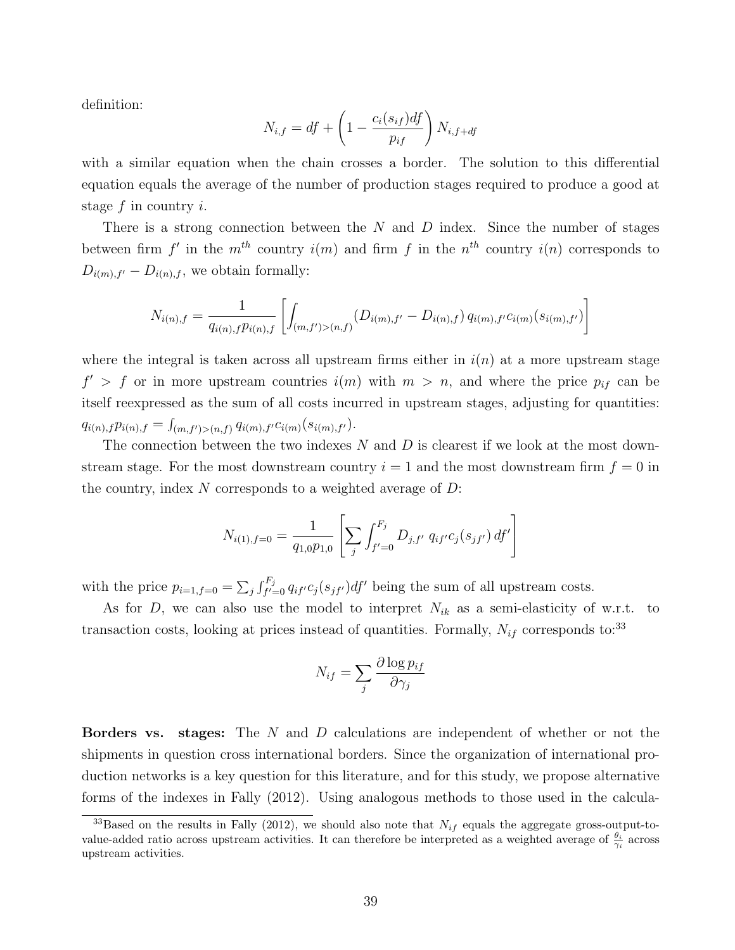definition:

$$
N_{i,f} = df + \left(1 - \frac{c_i(s_{if})df}{p_{if}}\right)N_{i,f+df}
$$

with a similar equation when the chain crosses a border. The solution to this differential equation equals the average of the number of production stages required to produce a good at stage  $f$  in country  $i$ .

There is a strong connection between the  $N$  and  $D$  index. Since the number of stages between firm f' in the  $m^{th}$  country  $i(m)$  and firm f in the  $n^{th}$  country  $i(n)$  corresponds to  $D_{i(m),f'} - D_{i(n),f}$ , we obtain formally:

$$
N_{i(n),f} = \frac{1}{q_{i(n),f}p_{i(n),f}} \left[ \int_{(m,f')>(n,f)} (D_{i(m),f'} - D_{i(n),f}) q_{i(m),f'} c_{i(m)}(s_{i(m),f'}) \right]
$$

where the integral is taken across all upstream firms either in  $i(n)$  at a more upstream stage  $f' > f$  or in more upstream countries  $i(m)$  with  $m > n$ , and where the price  $p_{if}$  can be itself reexpressed as the sum of all costs incurred in upstream stages, adjusting for quantities:  $q_{i(n),f} p_{i(n),f} = \int_{(m,f')>(n,f)} q_{i(m),f'} c_{i(m)}(s_{i(m),f'}).$ 

The connection between the two indexes  $N$  and  $D$  is clearest if we look at the most downstream stage. For the most downstream country  $i = 1$  and the most downstream firm  $f = 0$  in the country, index  $N$  corresponds to a weighted average of  $D$ :

$$
N_{i(1),f=0} = \frac{1}{q_{1,0}p_{1,0}} \left[ \sum_{j} \int_{f'=0}^{F_j} D_{j,f'} q_{if'} c_j(s_{jf'}) df' \right]
$$

with the price  $p_{i=1,f=0} = \sum_j \int_{f'=0}^{F_j} q_{if'} c_j(s_{jf'}) df'$  being the sum of all upstream costs.

As for  $D$ , we can also use the model to interpret  $N_{ik}$  as a semi-elasticity of w.r.t. to transaction costs, looking at prices instead of quantities. Formally,  $N_{if}$  corresponds to:<sup>33</sup>

$$
N_{if} = \sum_{j} \frac{\partial \log p_{if}}{\partial \gamma_j}
$$

**Borders vs.** stages: The  $N$  and  $D$  calculations are independent of whether or not the shipments in question cross international borders. Since the organization of international production networks is a key question for this literature, and for this study, we propose alternative forms of the indexes in Fally (2012). Using analogous methods to those used in the calcula-

<sup>&</sup>lt;sup>33</sup>Based on the results in Fally (2012), we should also note that  $N_{if}$  equals the aggregate gross-output-tovalue-added ratio across upstream activities. It can therefore be interpreted as a weighted average of  $\frac{\theta_i}{\gamma_i}$  across upstream activities.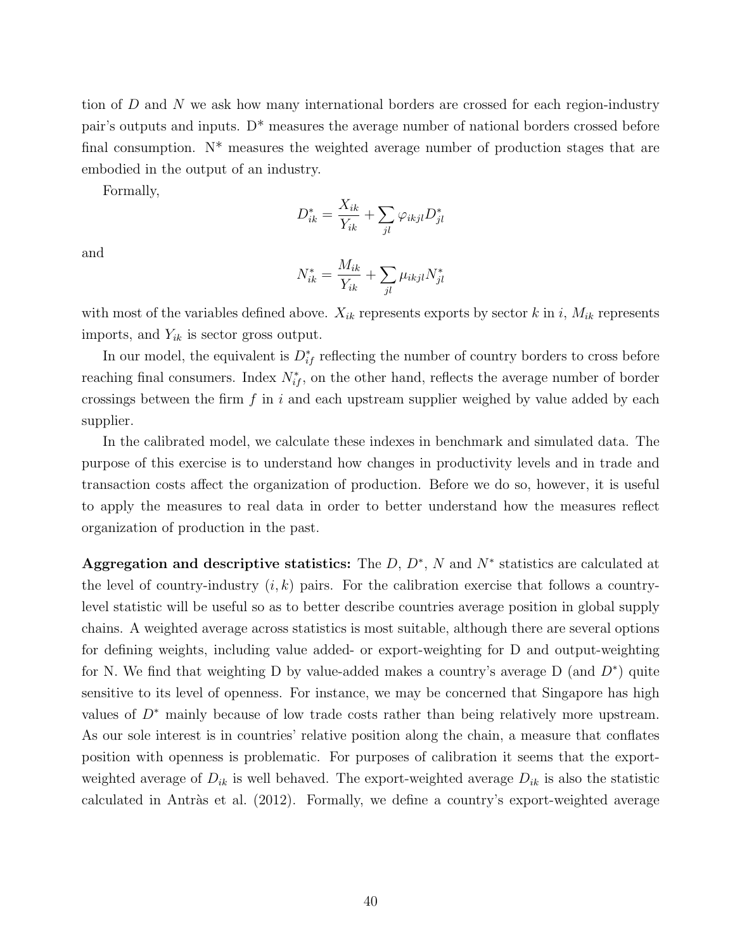tion of D and N we ask how many international borders are crossed for each region-industry pair's outputs and inputs. D\* measures the average number of national borders crossed before final consumption.  $N^*$  measures the weighted average number of production stages that are embodied in the output of an industry.

Formally,

$$
D_{ik}^* = \frac{X_{ik}}{Y_{ik}} + \sum_{jl} \varphi_{ikjl} D_{jl}^*
$$

and

$$
N_{ik}^* = \frac{M_{ik}}{Y_{ik}} + \sum_{jl} \mu_{ikjl} N_{jl}^*
$$

with most of the variables defined above.  $X_{ik}$  represents exports by sector k in i,  $M_{ik}$  represents imports, and  $Y_{ik}$  is sector gross output.

In our model, the equivalent is  $D_{if}^*$  reflecting the number of country borders to cross before reaching final consumers. Index  $N_{if}^*$ , on the other hand, reflects the average number of border crossings between the firm f in i and each upstream supplier weighed by value added by each supplier.

In the calibrated model, we calculate these indexes in benchmark and simulated data. The purpose of this exercise is to understand how changes in productivity levels and in trade and transaction costs affect the organization of production. Before we do so, however, it is useful to apply the measures to real data in order to better understand how the measures reflect organization of production in the past.

Aggregation and descriptive statistics: The  $D, D^*, N$  and  $N^*$  statistics are calculated at the level of country-industry  $(i, k)$  pairs. For the calibration exercise that follows a countrylevel statistic will be useful so as to better describe countries average position in global supply chains. A weighted average across statistics is most suitable, although there are several options for defining weights, including value added- or export-weighting for D and output-weighting for N. We find that weighting D by value-added makes a country's average D (and  $D^*$ ) quite sensitive to its level of openness. For instance, we may be concerned that Singapore has high values of D<sup>∗</sup> mainly because of low trade costs rather than being relatively more upstream. As our sole interest is in countries' relative position along the chain, a measure that conflates position with openness is problematic. For purposes of calibration it seems that the exportweighted average of  $D_{ik}$  is well behaved. The export-weighted average  $D_{ik}$  is also the statistic calculated in Antràs et al.  $(2012)$ . Formally, we define a country's export-weighted average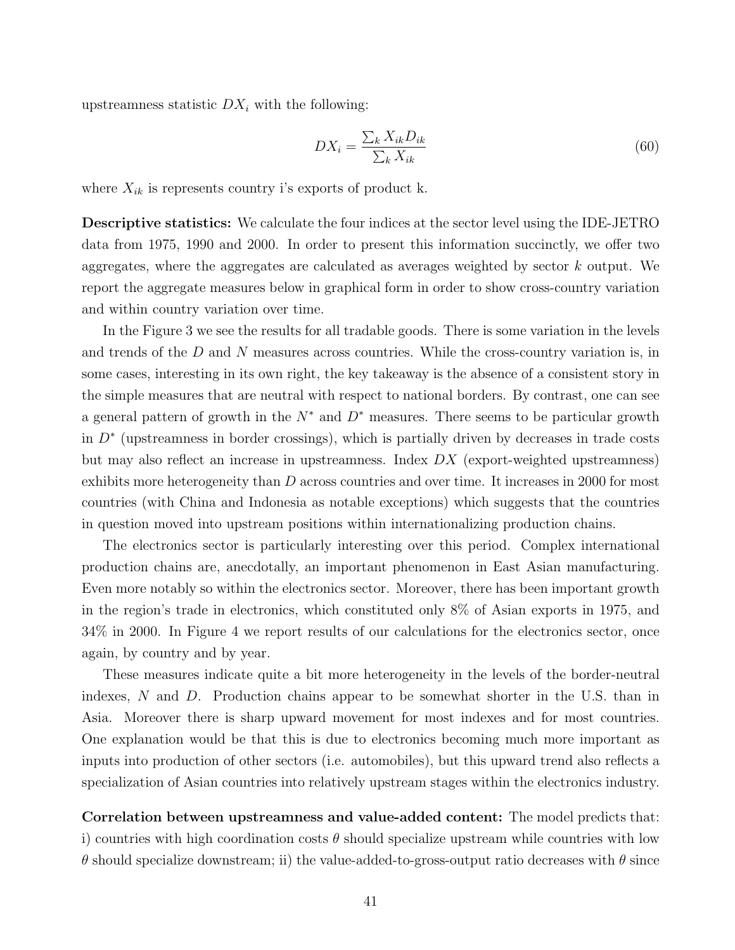upstreamness statistic  $DX_i$  with the following:

$$
DX_i = \frac{\sum_k X_{ik} D_{ik}}{\sum_k X_{ik}}
$$
\n
$$
(60)
$$

where  $X_{ik}$  is represents country i's exports of product k.

Descriptive statistics: We calculate the four indices at the sector level using the IDE-JETRO data from 1975, 1990 and 2000. In order to present this information succinctly, we offer two aggregates, where the aggregates are calculated as averages weighted by sector k output. We report the aggregate measures below in graphical form in order to show cross-country variation and within country variation over time.

In the Figure 3 we see the results for all tradable goods. There is some variation in the levels and trends of the  $D$  and  $N$  measures across countries. While the cross-country variation is, in some cases, interesting in its own right, the key takeaway is the absence of a consistent story in the simple measures that are neutral with respect to national borders. By contrast, one can see a general pattern of growth in the  $N^*$  and  $D^*$  measures. There seems to be particular growth in D<sup>∗</sup> (upstreamness in border crossings), which is partially driven by decreases in trade costs but may also reflect an increase in upstreamness. Index  $DX$  (export-weighted upstreamness) exhibits more heterogeneity than D across countries and over time. It increases in 2000 for most countries (with China and Indonesia as notable exceptions) which suggests that the countries in question moved into upstream positions within internationalizing production chains.

The electronics sector is particularly interesting over this period. Complex international production chains are, anecdotally, an important phenomenon in East Asian manufacturing. Even more notably so within the electronics sector. Moreover, there has been important growth in the region's trade in electronics, which constituted only 8% of Asian exports in 1975, and 34% in 2000. In Figure 4 we report results of our calculations for the electronics sector, once again, by country and by year.

These measures indicate quite a bit more heterogeneity in the levels of the border-neutral indexes, N and D. Production chains appear to be somewhat shorter in the U.S. than in Asia. Moreover there is sharp upward movement for most indexes and for most countries. One explanation would be that this is due to electronics becoming much more important as inputs into production of other sectors (i.e. automobiles), but this upward trend also reflects a specialization of Asian countries into relatively upstream stages within the electronics industry.

Correlation between upstreamness and value-added content: The model predicts that: i) countries with high coordination costs  $\theta$  should specialize upstream while countries with low θ should specialize downstream; ii) the value-added-to-gross-output ratio decreases with θ since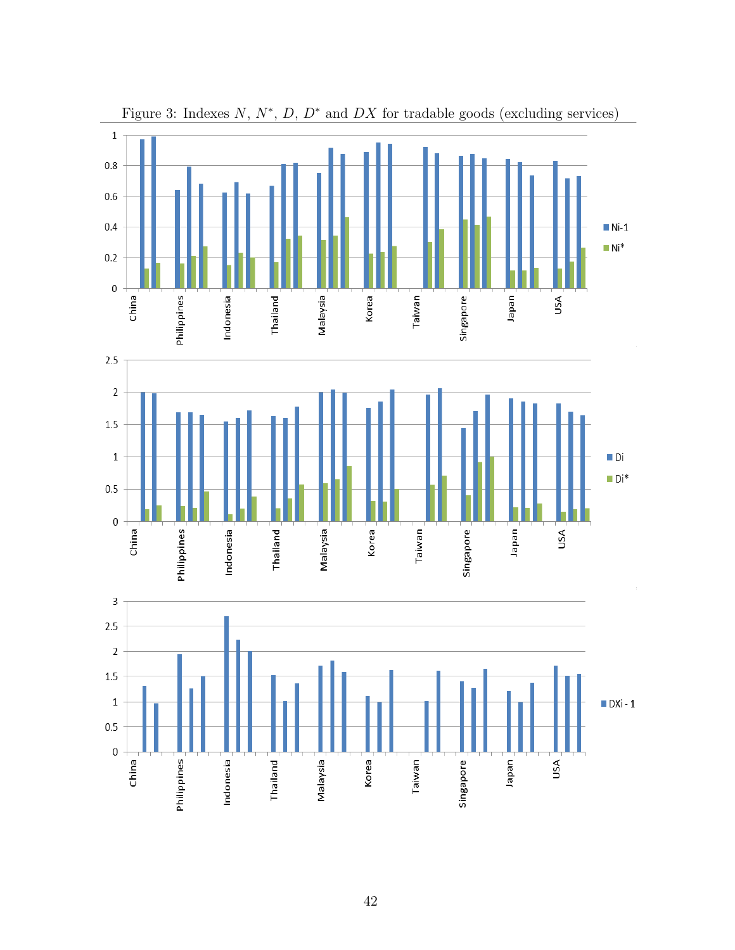

Figure 3: Indexes  $N, N^*, D, D^*$  and  $DX$  for tradable goods (excluding services)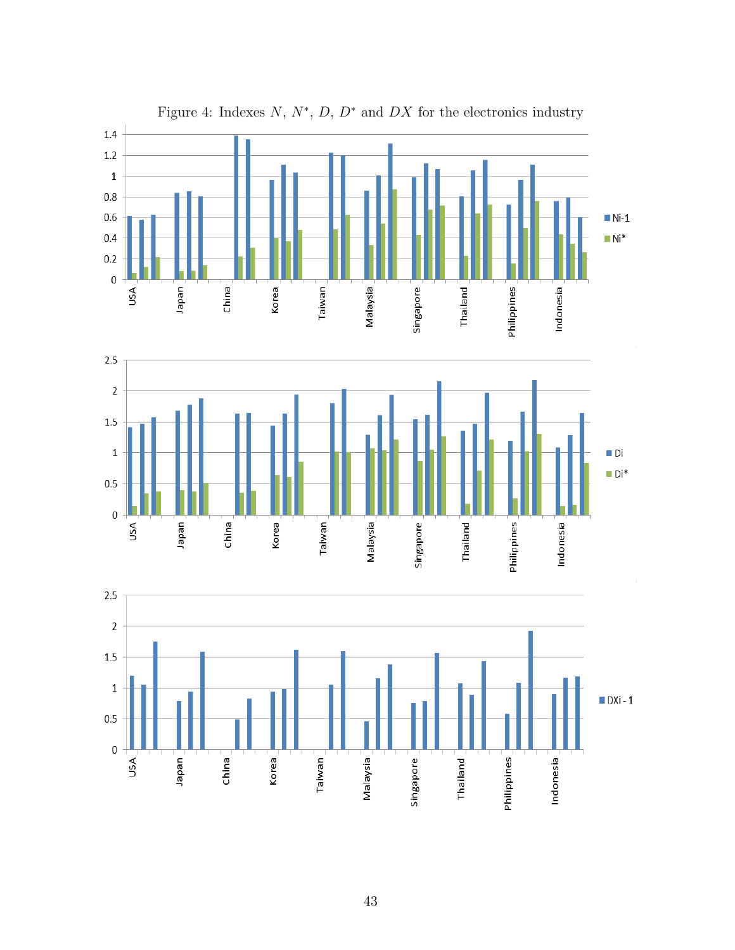

### Figure 4: Indexes  $N, N^*, D, D^*$  and  $DX$  for the electronics industry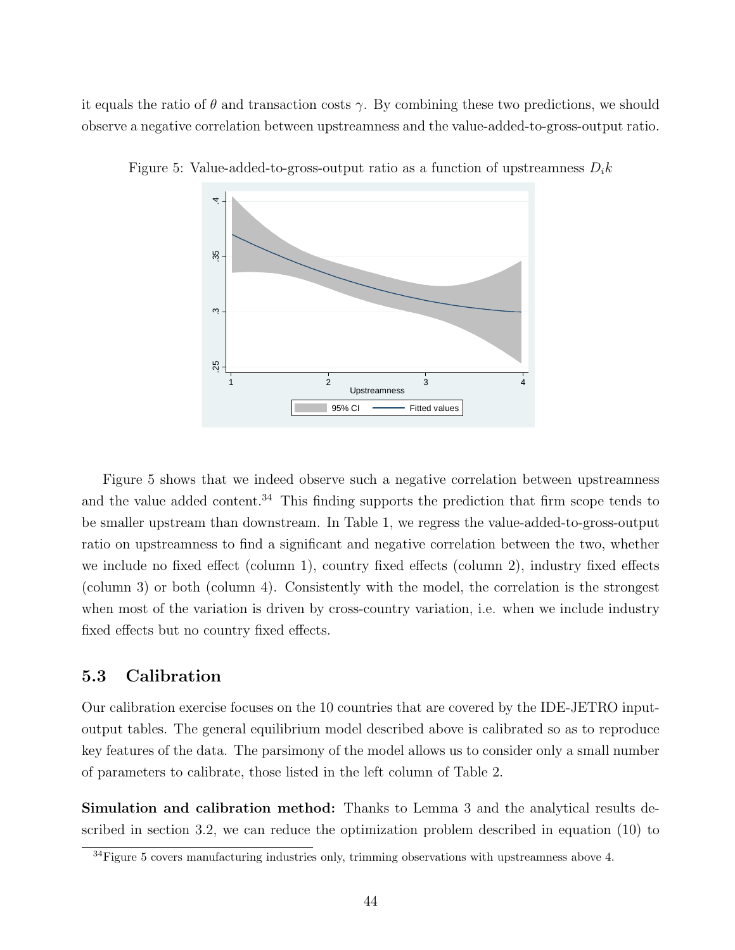it equals the ratio of  $\theta$  and transaction costs  $\gamma$ . By combining these two predictions, we should observe a negative correlation between upstreamness and the value-added-to-gross-output ratio.



Figure 5: Value-added-to-gross-output ratio as a function of upstreamness  $D_i k$ 

Figure 5 shows that we indeed observe such a negative correlation between upstreamness and the value added content.<sup>34</sup> This finding supports the prediction that firm scope tends to be smaller upstream than downstream. In Table 1, we regress the value-added-to-gross-output ratio on upstreamness to find a significant and negative correlation between the two, whether we include no fixed effect (column 1), country fixed effects (column 2), industry fixed effects (column 3) or both (column 4). Consistently with the model, the correlation is the strongest when most of the variation is driven by cross-country variation, i.e. when we include industry fixed effects but no country fixed effects.

### 5.3 Calibration

Our calibration exercise focuses on the 10 countries that are covered by the IDE-JETRO inputoutput tables. The general equilibrium model described above is calibrated so as to reproduce key features of the data. The parsimony of the model allows us to consider only a small number of parameters to calibrate, those listed in the left column of Table 2.

Simulation and calibration method: Thanks to Lemma 3 and the analytical results described in section 3.2, we can reduce the optimization problem described in equation (10) to

 $34$  Figure 5 covers manufacturing industries only, trimming observations with upstreamness above 4.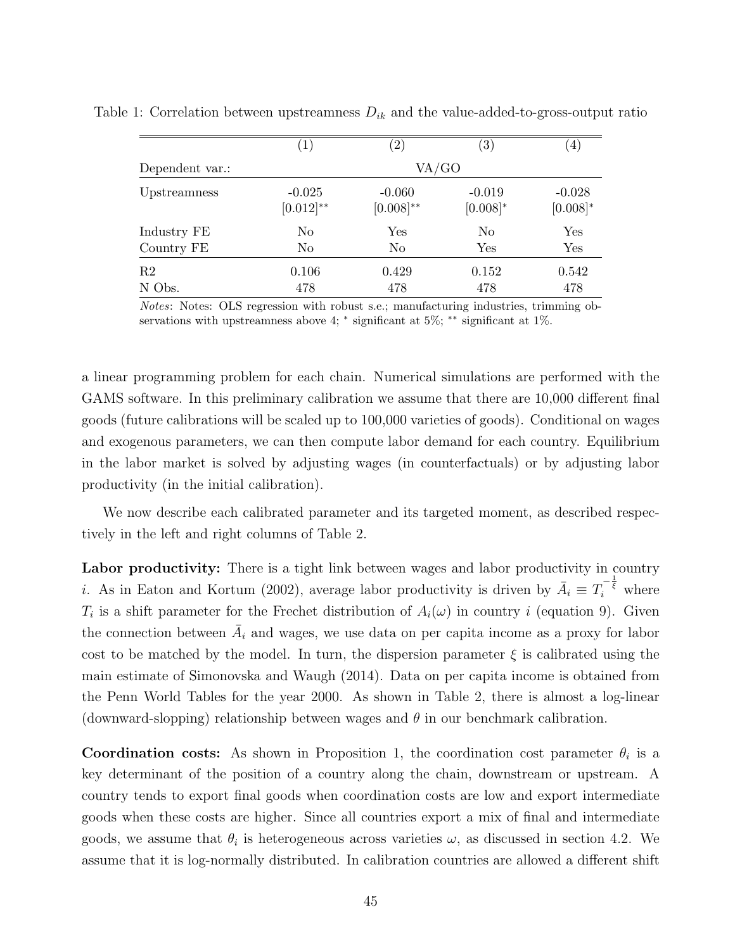|                 | $\left( 1\right)$          | $\left( 2\right)$          | $\left( 3\right)$       | $\left(4\right)$          |
|-----------------|----------------------------|----------------------------|-------------------------|---------------------------|
| Dependent var.: |                            | VA/GO                      |                         |                           |
| Upstreamness    | $-0.025$<br>$[0.012]^{**}$ | $-0.060$<br>$[0.008]^{**}$ | $-0.019$<br>$[0.008]$ * | $-0.028$<br>$[0.008]^{*}$ |
| Industry FE     | N <sub>o</sub>             | Yes                        | No                      | Yes                       |
| Country FE      | N <sub>o</sub>             | No                         | Yes                     | Yes                       |
| R <sub>2</sub>  | 0.106                      | 0.429                      | 0.152                   | 0.542                     |
| N Obs.          | 478                        | 478                        | 478                     | 478                       |

Table 1: Correlation between upstreamness  $D_{ik}$  and the value-added-to-gross-output ratio

Notes: Notes: OLS regression with robust s.e.; manufacturing industries, trimming observations with upstreamness above 4;  $*$  significant at 5%;  $**$  significant at 1%.

a linear programming problem for each chain. Numerical simulations are performed with the GAMS software. In this preliminary calibration we assume that there are 10,000 different final goods (future calibrations will be scaled up to 100,000 varieties of goods). Conditional on wages and exogenous parameters, we can then compute labor demand for each country. Equilibrium in the labor market is solved by adjusting wages (in counterfactuals) or by adjusting labor productivity (in the initial calibration).

We now describe each calibrated parameter and its targeted moment, as described respectively in the left and right columns of Table 2.

Labor productivity: There is a tight link between wages and labor productivity in country *i*. As in Eaton and Kortum (2002), average labor productivity is driven by  $\overline{A}_i = T_i^{-\frac{1}{\xi}}$  where  $T_i$  is a shift parameter for the Frechet distribution of  $A_i(\omega)$  in country i (equation 9). Given the connection between  $\overline{A}_i$  and wages, we use data on per capita income as a proxy for labor cost to be matched by the model. In turn, the dispersion parameter  $\xi$  is calibrated using the main estimate of Simonovska and Waugh (2014). Data on per capita income is obtained from the Penn World Tables for the year 2000. As shown in Table 2, there is almost a log-linear (downward-slopping) relationship between wages and  $\theta$  in our benchmark calibration.

**Coordination costs:** As shown in Proposition 1, the coordination cost parameter  $\theta_i$  is a key determinant of the position of a country along the chain, downstream or upstream. A country tends to export final goods when coordination costs are low and export intermediate goods when these costs are higher. Since all countries export a mix of final and intermediate goods, we assume that  $\theta_i$  is heterogeneous across varieties  $\omega$ , as discussed in section 4.2. We assume that it is log-normally distributed. In calibration countries are allowed a different shift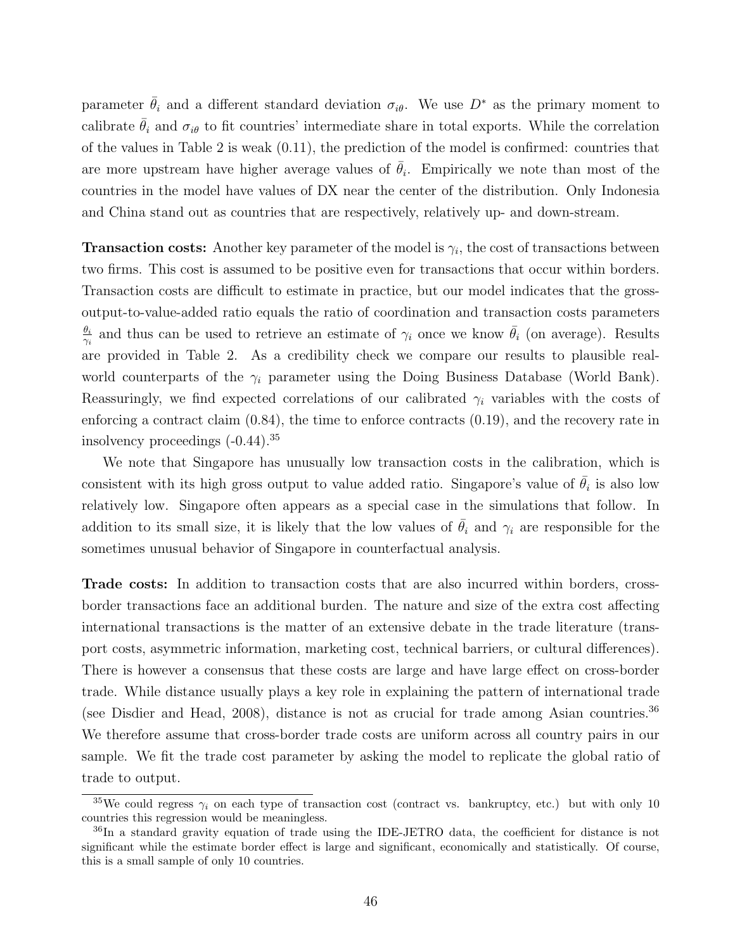parameter  $\bar{\theta}_i$  and a different standard deviation  $\sigma_{i\theta}$ . We use  $D^*$  as the primary moment to calibrate  $\bar{\theta}_i$  and  $\sigma_{i\theta}$  to fit countries' intermediate share in total exports. While the correlation of the values in Table 2 is weak (0.11), the prediction of the model is confirmed: countries that are more upstream have higher average values of  $\bar{\theta}_i$ . Empirically we note than most of the countries in the model have values of DX near the center of the distribution. Only Indonesia and China stand out as countries that are respectively, relatively up- and down-stream.

**Transaction costs:** Another key parameter of the model is  $\gamma_i$ , the cost of transactions between two firms. This cost is assumed to be positive even for transactions that occur within borders. Transaction costs are difficult to estimate in practice, but our model indicates that the grossoutput-to-value-added ratio equals the ratio of coordination and transaction costs parameters  $\theta_i$  $\frac{\theta_i}{\gamma_i}$  and thus can be used to retrieve an estimate of  $\gamma_i$  once we know  $\bar{\theta}_i$  (on average). Results are provided in Table 2. As a credibility check we compare our results to plausible realworld counterparts of the  $\gamma_i$  parameter using the Doing Business Database (World Bank). Reassuringly, we find expected correlations of our calibrated  $\gamma_i$  variables with the costs of enforcing a contract claim (0.84), the time to enforce contracts (0.19), and the recovery rate in insolvency proceedings (-0.44).<sup>35</sup>

We note that Singapore has unusually low transaction costs in the calibration, which is consistent with its high gross output to value added ratio. Singapore's value of  $\bar{\theta}_i$  is also low relatively low. Singapore often appears as a special case in the simulations that follow. In addition to its small size, it is likely that the low values of  $\bar{\theta}_i$  and  $\gamma_i$  are responsible for the sometimes unusual behavior of Singapore in counterfactual analysis.

Trade costs: In addition to transaction costs that are also incurred within borders, crossborder transactions face an additional burden. The nature and size of the extra cost affecting international transactions is the matter of an extensive debate in the trade literature (transport costs, asymmetric information, marketing cost, technical barriers, or cultural differences). There is however a consensus that these costs are large and have large effect on cross-border trade. While distance usually plays a key role in explaining the pattern of international trade (see Disdier and Head, 2008), distance is not as crucial for trade among Asian countries.<sup>36</sup> We therefore assume that cross-border trade costs are uniform across all country pairs in our sample. We fit the trade cost parameter by asking the model to replicate the global ratio of trade to output.

<sup>&</sup>lt;sup>35</sup>We could regress  $\gamma_i$  on each type of transaction cost (contract vs. bankruptcy, etc.) but with only 10 countries this regression would be meaningless.

<sup>36</sup>In a standard gravity equation of trade using the IDE-JETRO data, the coefficient for distance is not significant while the estimate border effect is large and significant, economically and statistically. Of course, this is a small sample of only 10 countries.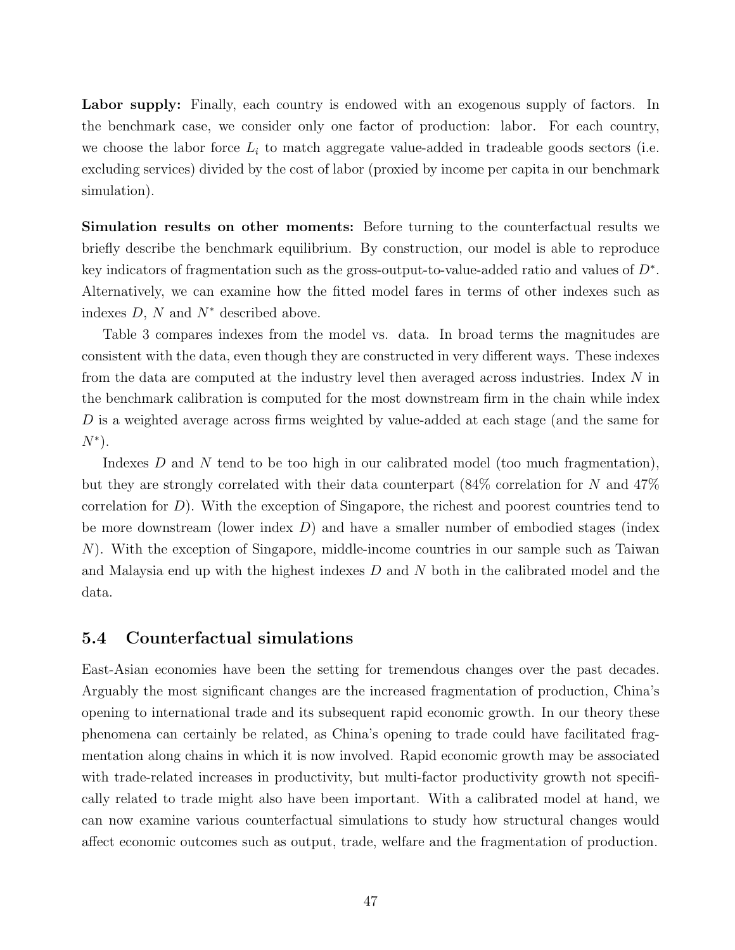Labor supply: Finally, each country is endowed with an exogenous supply of factors. In the benchmark case, we consider only one factor of production: labor. For each country, we choose the labor force  $L_i$  to match aggregate value-added in tradeable goods sectors (i.e. excluding services) divided by the cost of labor (proxied by income per capita in our benchmark simulation).

Simulation results on other moments: Before turning to the counterfactual results we briefly describe the benchmark equilibrium. By construction, our model is able to reproduce key indicators of fragmentation such as the gross-output-to-value-added ratio and values of  $D^*$ . Alternatively, we can examine how the fitted model fares in terms of other indexes such as indexes  $D, N$  and  $N^*$  described above.

Table 3 compares indexes from the model vs. data. In broad terms the magnitudes are consistent with the data, even though they are constructed in very different ways. These indexes from the data are computed at the industry level then averaged across industries. Index N in the benchmark calibration is computed for the most downstream firm in the chain while index D is a weighted average across firms weighted by value-added at each stage (and the same for  $N^*$ ).

Indexes D and N tend to be too high in our calibrated model (too much fragmentation), but they are strongly correlated with their data counterpart (84% correlation for N and 47% correlation for  $D$ ). With the exception of Singapore, the richest and poorest countries tend to be more downstream (lower index  $D$ ) and have a smaller number of embodied stages (index N). With the exception of Singapore, middle-income countries in our sample such as Taiwan and Malaysia end up with the highest indexes D and N both in the calibrated model and the data.

### 5.4 Counterfactual simulations

East-Asian economies have been the setting for tremendous changes over the past decades. Arguably the most significant changes are the increased fragmentation of production, China's opening to international trade and its subsequent rapid economic growth. In our theory these phenomena can certainly be related, as China's opening to trade could have facilitated fragmentation along chains in which it is now involved. Rapid economic growth may be associated with trade-related increases in productivity, but multi-factor productivity growth not specifically related to trade might also have been important. With a calibrated model at hand, we can now examine various counterfactual simulations to study how structural changes would affect economic outcomes such as output, trade, welfare and the fragmentation of production.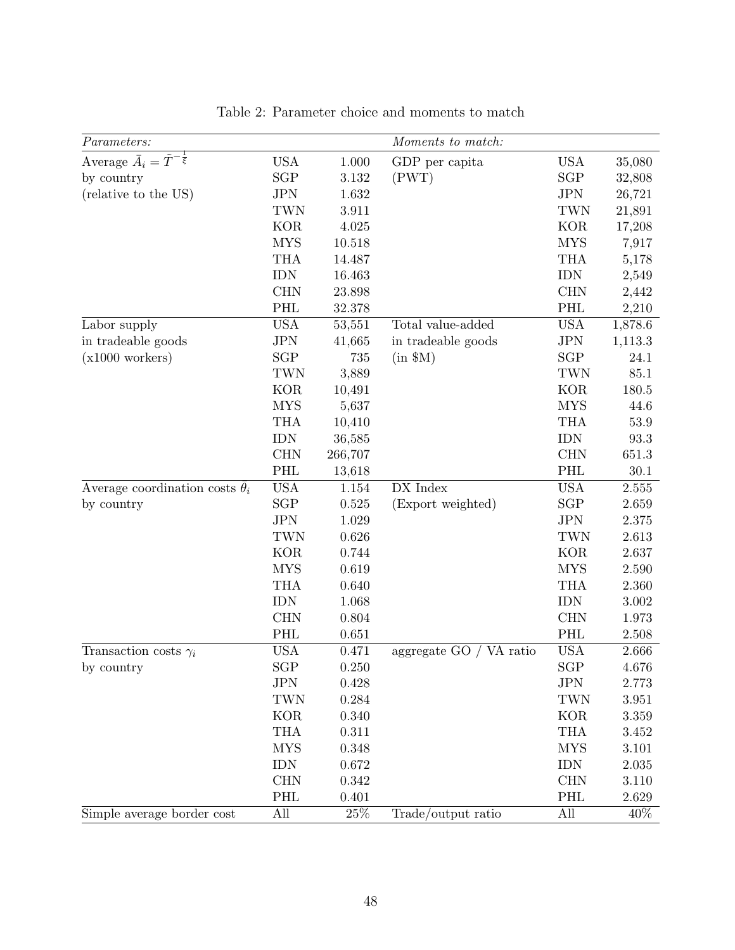| Parameters:                                      |            |         | Moments to match:       |                      |         |
|--------------------------------------------------|------------|---------|-------------------------|----------------------|---------|
| Average $\bar{A}_i = \tilde{T}^{-\frac{1}{\xi}}$ | <b>USA</b> | 1.000   | GDP per capita          | <b>USA</b>           | 35,080  |
| by country                                       | SGP        | 3.132   | (PWT)                   | <b>SGP</b>           | 32,808  |
| (relative to the US)                             | <b>JPN</b> | 1.632   |                         | <b>JPN</b>           | 26,721  |
|                                                  | TWN        | 3.911   |                         | TWN                  | 21,891  |
|                                                  | <b>KOR</b> | 4.025   |                         | <b>KOR</b>           | 17,208  |
|                                                  | <b>MYS</b> | 10.518  |                         | <b>MYS</b>           | 7,917   |
|                                                  | <b>THA</b> | 14.487  |                         | <b>THA</b>           | 5,178   |
|                                                  | <b>IDN</b> | 16.463  |                         | <b>IDN</b>           | 2,549   |
|                                                  | <b>CHN</b> | 23.898  |                         | <b>CHN</b>           | 2,442   |
|                                                  | PHL        | 32.378  |                         | <b>PHL</b>           | 2,210   |
| Labor supply                                     | <b>USA</b> | 53,551  | Total value-added       | <b>USA</b>           | 1,878.6 |
| in tradeable goods                               | <b>JPN</b> | 41,665  | in tradeable goods      | <b>JPN</b>           | 1,113.3 |
| $(x1000 \text{ workers})$                        | SGP        | 735     | $(in$ \$M $)$           | <b>SGP</b>           | 24.1    |
|                                                  | TWN        | 3,889   |                         | TWN                  | 85.1    |
|                                                  | <b>KOR</b> | 10,491  |                         | <b>KOR</b>           | 180.5   |
|                                                  | <b>MYS</b> | 5,637   |                         | <b>MYS</b>           | 44.6    |
|                                                  | <b>THA</b> | 10,410  |                         | <b>THA</b>           | 53.9    |
|                                                  | <b>IDN</b> | 36,585  |                         | <b>IDN</b>           | 93.3    |
|                                                  | <b>CHN</b> | 266,707 |                         | <b>CHN</b>           | 651.3   |
|                                                  | PHL        | 13,618  |                         | PHL                  | 30.1    |
| Average coordination costs $\theta_i$            | <b>USA</b> | 1.154   | DX Index                | <b>USA</b>           | 2.555   |
| by country                                       | SGP        | 0.525   | (Export weighted)       | $\operatorname{SGP}$ | 2.659   |
|                                                  | <b>JPN</b> | 1.029   |                         | <b>JPN</b>           | 2.375   |
|                                                  | <b>TWN</b> | 0.626   |                         | TWN                  | 2.613   |
|                                                  | <b>KOR</b> | 0.744   |                         | <b>KOR</b>           | 2.637   |
|                                                  | <b>MYS</b> | 0.619   |                         | <b>MYS</b>           | 2.590   |
|                                                  | <b>THA</b> | 0.640   |                         | <b>THA</b>           | 2.360   |
|                                                  | <b>IDN</b> | 1.068   |                         | <b>IDN</b>           | 3.002   |
|                                                  | <b>CHN</b> | 0.804   |                         | <b>CHN</b>           | 1.973   |
|                                                  | PHL        | 0.651   |                         | PHL                  | 2.508   |
| Transaction costs $\gamma_i$                     | <b>USA</b> | 0.471   | aggregate GO / VA ratio | <b>USA</b>           | 2.666   |
| by country                                       | <b>SGP</b> | 0.250   |                         | <b>SGP</b>           | 4.676   |
|                                                  | JPN        | 0.428   |                         | <b>JPN</b>           | 2.773   |
|                                                  | <b>TWN</b> | 0.284   |                         | TWN                  | 3.951   |
|                                                  | <b>KOR</b> | 0.340   |                         | <b>KOR</b>           | 3.359   |
|                                                  | <b>THA</b> | 0.311   |                         | <b>THA</b>           | 3.452   |
|                                                  | <b>MYS</b> | 0.348   |                         | <b>MYS</b>           | 3.101   |
|                                                  | <b>IDN</b> | 0.672   |                         | <b>IDN</b>           | 2.035   |
|                                                  | <b>CHN</b> | 0.342   |                         | <b>CHN</b>           | 3.110   |
|                                                  | PHL        | 0.401   |                         | PHL                  | 2.629   |
| Simple average border cost                       | All        | $25\%$  | Trade/output ratio      | All                  | $40\%$  |

Table 2: Parameter choice and moments to match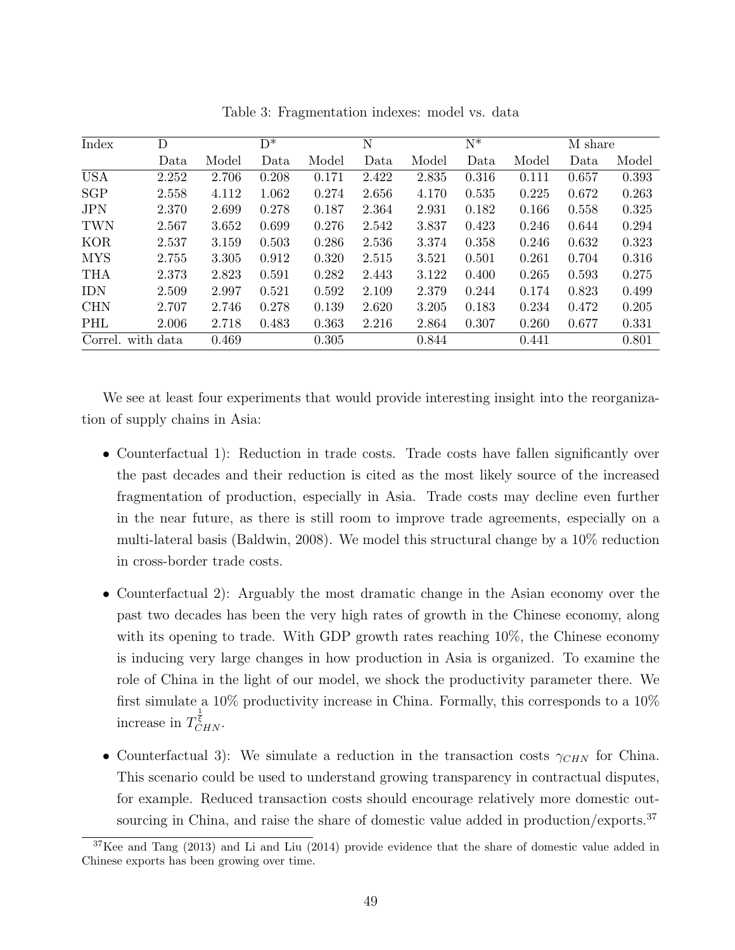| Index      | D         |       | $D^*$ |       | N     |       | $N^*$ |       | M share |       |
|------------|-----------|-------|-------|-------|-------|-------|-------|-------|---------|-------|
|            | Data      | Model | Data  | Model | Data  | Model | Data  | Model | Data    | Model |
| <b>USA</b> | 2.252     | 2.706 | 0.208 | 0.171 | 2.422 | 2.835 | 0.316 | 0.111 | 0.657   | 0.393 |
| <b>SGP</b> | 2.558     | 4.112 | 1.062 | 0.274 | 2.656 | 4.170 | 0.535 | 0.225 | 0.672   | 0.263 |
| <b>JPN</b> | 2.370     | 2.699 | 0.278 | 0.187 | 2.364 | 2.931 | 0.182 | 0.166 | 0.558   | 0.325 |
| <b>TWN</b> | 2.567     | 3.652 | 0.699 | 0.276 | 2.542 | 3.837 | 0.423 | 0.246 | 0.644   | 0.294 |
| <b>KOR</b> | 2.537     | 3.159 | 0.503 | 0.286 | 2.536 | 3.374 | 0.358 | 0.246 | 0.632   | 0.323 |
| <b>MYS</b> | 2.755     | 3.305 | 0.912 | 0.320 | 2.515 | 3.521 | 0.501 | 0.261 | 0.704   | 0.316 |
| <b>THA</b> | 2.373     | 2.823 | 0.591 | 0.282 | 2.443 | 3.122 | 0.400 | 0.265 | 0.593   | 0.275 |
| <b>IDN</b> | 2.509     | 2.997 | 0.521 | 0.592 | 2.109 | 2.379 | 0.244 | 0.174 | 0.823   | 0.499 |
| <b>CHN</b> | 2.707     | 2.746 | 0.278 | 0.139 | 2.620 | 3.205 | 0.183 | 0.234 | 0.472   | 0.205 |
| PHL        | 2.006     | 2.718 | 0.483 | 0.363 | 2.216 | 2.864 | 0.307 | 0.260 | 0.677   | 0.331 |
| Correl.    | with data | 0.469 |       | 0.305 |       | 0.844 |       | 0.441 |         | 0.801 |

Table 3: Fragmentation indexes: model vs. data

We see at least four experiments that would provide interesting insight into the reorganization of supply chains in Asia:

- Counterfactual 1): Reduction in trade costs. Trade costs have fallen significantly over the past decades and their reduction is cited as the most likely source of the increased fragmentation of production, especially in Asia. Trade costs may decline even further in the near future, as there is still room to improve trade agreements, especially on a multi-lateral basis (Baldwin, 2008). We model this structural change by a 10% reduction in cross-border trade costs.
- Counterfactual 2): Arguably the most dramatic change in the Asian economy over the past two decades has been the very high rates of growth in the Chinese economy, along with its opening to trade. With GDP growth rates reaching 10%, the Chinese economy is inducing very large changes in how production in Asia is organized. To examine the role of China in the light of our model, we shock the productivity parameter there. We first simulate a 10% productivity increase in China. Formally, this corresponds to a  $10\%$ increase in  $T_{CHN}^{\bar{\xi}}$ .
- Counterfactual 3): We simulate a reduction in the transaction costs  $\gamma_{CHN}$  for China. This scenario could be used to understand growing transparency in contractual disputes, for example. Reduced transaction costs should encourage relatively more domestic outsourcing in China, and raise the share of domestic value added in production/exports.<sup>37</sup>

<sup>&</sup>lt;sup>37</sup>Kee and Tang (2013) and Li and Liu (2014) provide evidence that the share of domestic value added in Chinese exports has been growing over time.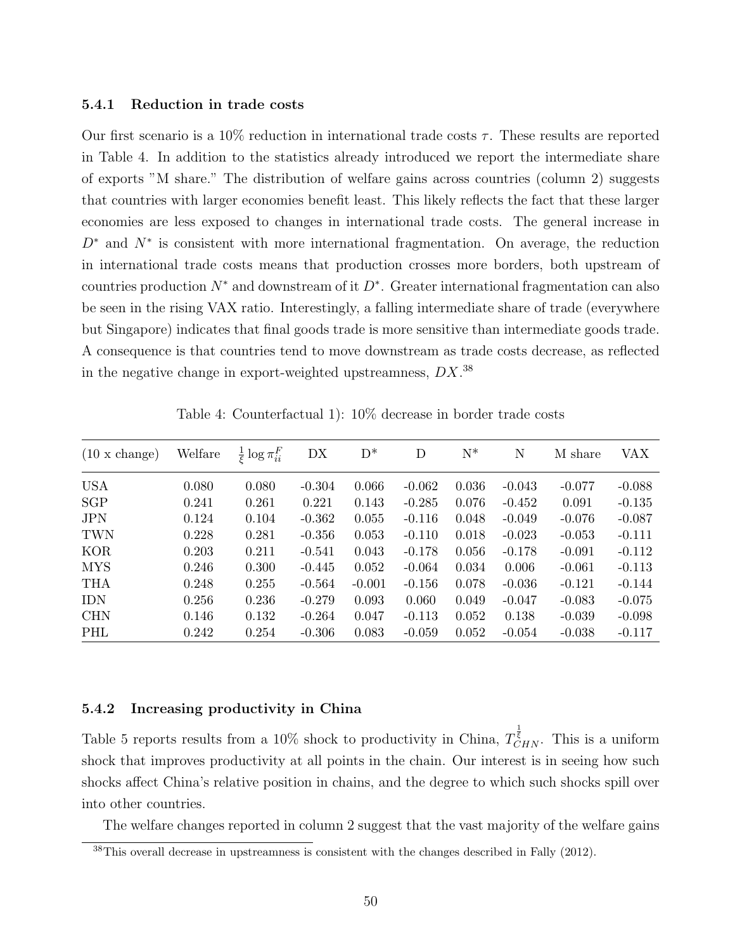#### 5.4.1 Reduction in trade costs

Our first scenario is a 10% reduction in international trade costs  $\tau$ . These results are reported in Table 4. In addition to the statistics already introduced we report the intermediate share of exports "M share." The distribution of welfare gains across countries (column 2) suggests that countries with larger economies benefit least. This likely reflects the fact that these larger economies are less exposed to changes in international trade costs. The general increase in  $D^*$  and  $N^*$  is consistent with more international fragmentation. On average, the reduction in international trade costs means that production crosses more borders, both upstream of countries production  $N^*$  and downstream of it  $D^*$ . Greater international fragmentation can also be seen in the rising VAX ratio. Interestingly, a falling intermediate share of trade (everywhere but Singapore) indicates that final goods trade is more sensitive than intermediate goods trade. A consequence is that countries tend to move downstream as trade costs decrease, as reflected in the negative change in export-weighted upstreamness,  $DX$ <sup>38</sup>

| $(10 \times \text{change})$ | Welfare | $rac{1}{\epsilon} \log \pi_{ii}^F$ | DX       | $D^*$    | D        | $\mathrm{N}^*$ | N        | M share  | VAX      |
|-----------------------------|---------|------------------------------------|----------|----------|----------|----------------|----------|----------|----------|
| <b>USA</b>                  | 0.080   | 0.080                              | $-0.304$ | 0.066    | $-0.062$ | 0.036          | $-0.043$ | $-0.077$ | $-0.088$ |
| SGP                         | 0.241   | 0.261                              | 0.221    | 0.143    | $-0.285$ | 0.076          | $-0.452$ | 0.091    | $-0.135$ |
| <b>JPN</b>                  | 0.124   | 0.104                              | $-0.362$ | 0.055    | $-0.116$ | 0.048          | $-0.049$ | $-0.076$ | $-0.087$ |
| <b>TWN</b>                  | 0.228   | 0.281                              | $-0.356$ | 0.053    | $-0.110$ | 0.018          | $-0.023$ | $-0.053$ | $-0.111$ |
| <b>KOR</b>                  | 0.203   | 0.211                              | $-0.541$ | 0.043    | $-0.178$ | 0.056          | $-0.178$ | $-0.091$ | $-0.112$ |
| <b>MYS</b>                  | 0.246   | 0.300                              | $-0.445$ | 0.052    | $-0.064$ | 0.034          | 0.006    | $-0.061$ | $-0.113$ |
| <b>THA</b>                  | 0.248   | 0.255                              | $-0.564$ | $-0.001$ | $-0.156$ | 0.078          | $-0.036$ | $-0.121$ | $-0.144$ |
| <b>IDN</b>                  | 0.256   | 0.236                              | $-0.279$ | 0.093    | 0.060    | 0.049          | $-0.047$ | $-0.083$ | $-0.075$ |
| <b>CHN</b>                  | 0.146   | 0.132                              | $-0.264$ | 0.047    | $-0.113$ | 0.052          | 0.138    | $-0.039$ | $-0.098$ |
| PHL                         | 0.242   | 0.254                              | $-0.306$ | 0.083    | $-0.059$ | 0.052          | $-0.054$ | $-0.038$ | $-0.117$ |

Table 4: Counterfactual 1): 10% decrease in border trade costs

#### 5.4.2 Increasing productivity in China

Table 5 reports results from a 10% shock to productivity in China,  $T_{CHN}^{\frac{1}{\xi}}$ . This is a uniform shock that improves productivity at all points in the chain. Our interest is in seeing how such shocks affect China's relative position in chains, and the degree to which such shocks spill over into other countries.

The welfare changes reported in column 2 suggest that the vast majority of the welfare gains

 $38$ This overall decrease in upstreamness is consistent with the changes described in Fally (2012).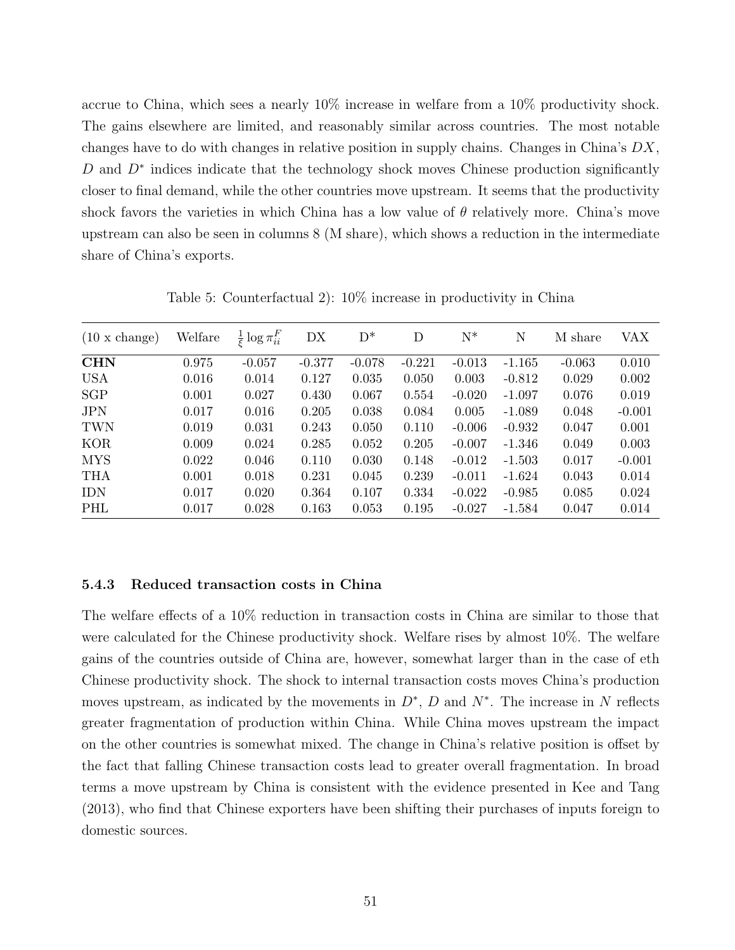accrue to China, which sees a nearly 10% increase in welfare from a 10% productivity shock. The gains elsewhere are limited, and reasonably similar across countries. The most notable changes have to do with changes in relative position in supply chains. Changes in China's  $DX$ , D and  $D^*$  indices indicate that the technology shock moves Chinese production significantly closer to final demand, while the other countries move upstream. It seems that the productivity shock favors the varieties in which China has a low value of  $\theta$  relatively more. China's move upstream can also be seen in columns 8 (M share), which shows a reduction in the intermediate share of China's exports.

| $(10 \times \text{change})$ | Welfare | $\frac{1}{5} \log \pi_{ii}^F$ | DX       | $D^*$    | D        | $N^*$    | N        | M share  | VAX      |
|-----------------------------|---------|-------------------------------|----------|----------|----------|----------|----------|----------|----------|
| <b>CHN</b>                  | 0.975   | $-0.057$                      | $-0.377$ | $-0.078$ | $-0.221$ | $-0.013$ | $-1.165$ | $-0.063$ | 0.010    |
| <b>USA</b>                  | 0.016   | 0.014                         | 0.127    | 0.035    | 0.050    | 0.003    | $-0.812$ | 0.029    | 0.002    |
| SGP                         | 0.001   | 0.027                         | 0.430    | 0.067    | 0.554    | $-0.020$ | $-1.097$ | 0.076    | 0.019    |
| <b>JPN</b>                  | 0.017   | 0.016                         | 0.205    | 0.038    | 0.084    | 0.005    | $-1.089$ | 0.048    | $-0.001$ |
| <b>TWN</b>                  | 0.019   | 0.031                         | 0.243    | 0.050    | 0.110    | $-0.006$ | $-0.932$ | 0.047    | 0.001    |
| <b>KOR</b>                  | 0.009   | 0.024                         | 0.285    | 0.052    | 0.205    | $-0.007$ | $-1.346$ | 0.049    | 0.003    |
| <b>MYS</b>                  | 0.022   | 0.046                         | 0.110    | 0.030    | 0.148    | $-0.012$ | $-1.503$ | 0.017    | $-0.001$ |
| <b>THA</b>                  | 0.001   | 0.018                         | 0.231    | 0.045    | 0.239    | $-0.011$ | $-1.624$ | 0.043    | 0.014    |
| <b>IDN</b>                  | 0.017   | 0.020                         | 0.364    | 0.107    | 0.334    | $-0.022$ | $-0.985$ | 0.085    | 0.024    |
| PHL                         | 0.017   | 0.028                         | 0.163    | 0.053    | 0.195    | $-0.027$ | $-1.584$ | 0.047    | 0.014    |

Table 5: Counterfactual 2): 10% increase in productivity in China

#### 5.4.3 Reduced transaction costs in China

The welfare effects of a 10% reduction in transaction costs in China are similar to those that were calculated for the Chinese productivity shock. Welfare rises by almost 10%. The welfare gains of the countries outside of China are, however, somewhat larger than in the case of eth Chinese productivity shock. The shock to internal transaction costs moves China's production moves upstream, as indicated by the movements in  $D^*$ , D and  $N^*$ . The increase in N reflects greater fragmentation of production within China. While China moves upstream the impact on the other countries is somewhat mixed. The change in China's relative position is offset by the fact that falling Chinese transaction costs lead to greater overall fragmentation. In broad terms a move upstream by China is consistent with the evidence presented in Kee and Tang (2013), who find that Chinese exporters have been shifting their purchases of inputs foreign to domestic sources.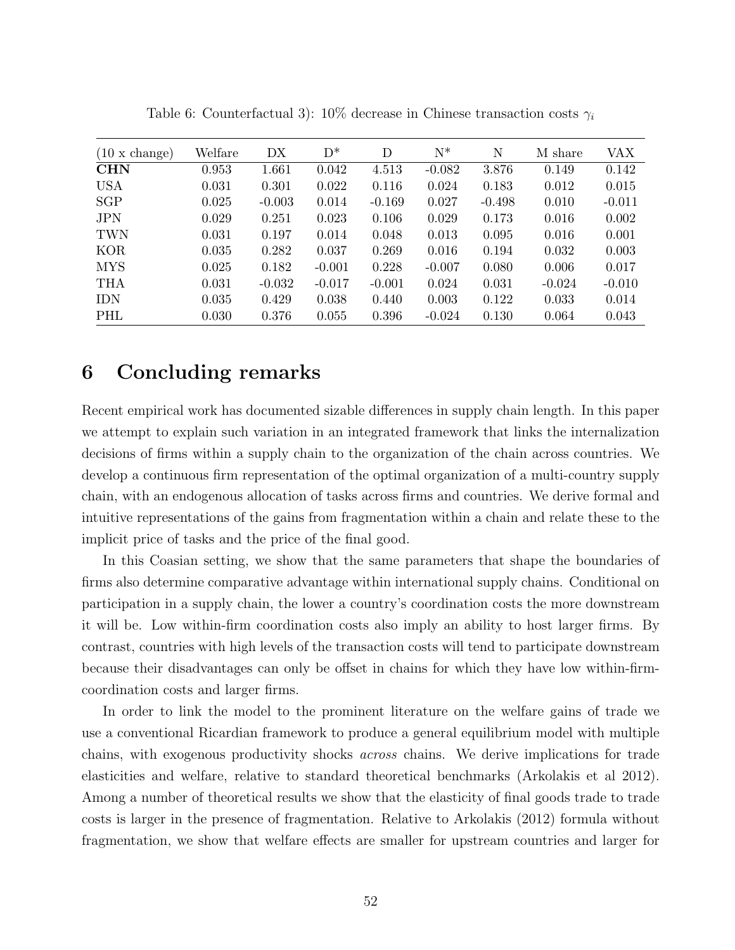| $(10 \times \text{change})$ | Welfare | DX       | $D^*$    | D        | $N^*$    | N        | M share  | VAX      |
|-----------------------------|---------|----------|----------|----------|----------|----------|----------|----------|
| <b>CHN</b>                  | 0.953   | 1.661    | 0.042    | 4.513    | $-0.082$ | 3.876    | 0.149    | 0.142    |
| <b>USA</b>                  | 0.031   | 0.301    | 0.022    | 0.116    | 0.024    | 0.183    | 0.012    | 0.015    |
| <b>SGP</b>                  | 0.025   | $-0.003$ | 0.014    | $-0.169$ | 0.027    | $-0.498$ | 0.010    | $-0.011$ |
| <b>JPN</b>                  | 0.029   | 0.251    | 0.023    | 0.106    | 0.029    | 0.173    | 0.016    | 0.002    |
| <b>TWN</b>                  | 0.031   | 0.197    | 0.014    | 0.048    | 0.013    | 0.095    | 0.016    | 0.001    |
| <b>KOR</b>                  | 0.035   | 0.282    | 0.037    | 0.269    | 0.016    | 0.194    | 0.032    | 0.003    |
| <b>MYS</b>                  | 0.025   | 0.182    | $-0.001$ | 0.228    | $-0.007$ | 0.080    | 0.006    | 0.017    |
| <b>THA</b>                  | 0.031   | $-0.032$ | $-0.017$ | $-0.001$ | 0.024    | 0.031    | $-0.024$ | $-0.010$ |
| <b>IDN</b>                  | 0.035   | 0.429    | 0.038    | 0.440    | 0.003    | 0.122    | 0.033    | 0.014    |
| PHL                         | 0.030   | 0.376    | 0.055    | 0.396    | $-0.024$ | 0.130    | 0.064    | 0.043    |

Table 6: Counterfactual 3):  $10\%$  decrease in Chinese transaction costs  $\gamma_i$ 

## 6 Concluding remarks

Recent empirical work has documented sizable differences in supply chain length. In this paper we attempt to explain such variation in an integrated framework that links the internalization decisions of firms within a supply chain to the organization of the chain across countries. We develop a continuous firm representation of the optimal organization of a multi-country supply chain, with an endogenous allocation of tasks across firms and countries. We derive formal and intuitive representations of the gains from fragmentation within a chain and relate these to the implicit price of tasks and the price of the final good.

In this Coasian setting, we show that the same parameters that shape the boundaries of firms also determine comparative advantage within international supply chains. Conditional on participation in a supply chain, the lower a country's coordination costs the more downstream it will be. Low within-firm coordination costs also imply an ability to host larger firms. By contrast, countries with high levels of the transaction costs will tend to participate downstream because their disadvantages can only be offset in chains for which they have low within-firmcoordination costs and larger firms.

In order to link the model to the prominent literature on the welfare gains of trade we use a conventional Ricardian framework to produce a general equilibrium model with multiple chains, with exogenous productivity shocks across chains. We derive implications for trade elasticities and welfare, relative to standard theoretical benchmarks (Arkolakis et al 2012). Among a number of theoretical results we show that the elasticity of final goods trade to trade costs is larger in the presence of fragmentation. Relative to Arkolakis (2012) formula without fragmentation, we show that welfare effects are smaller for upstream countries and larger for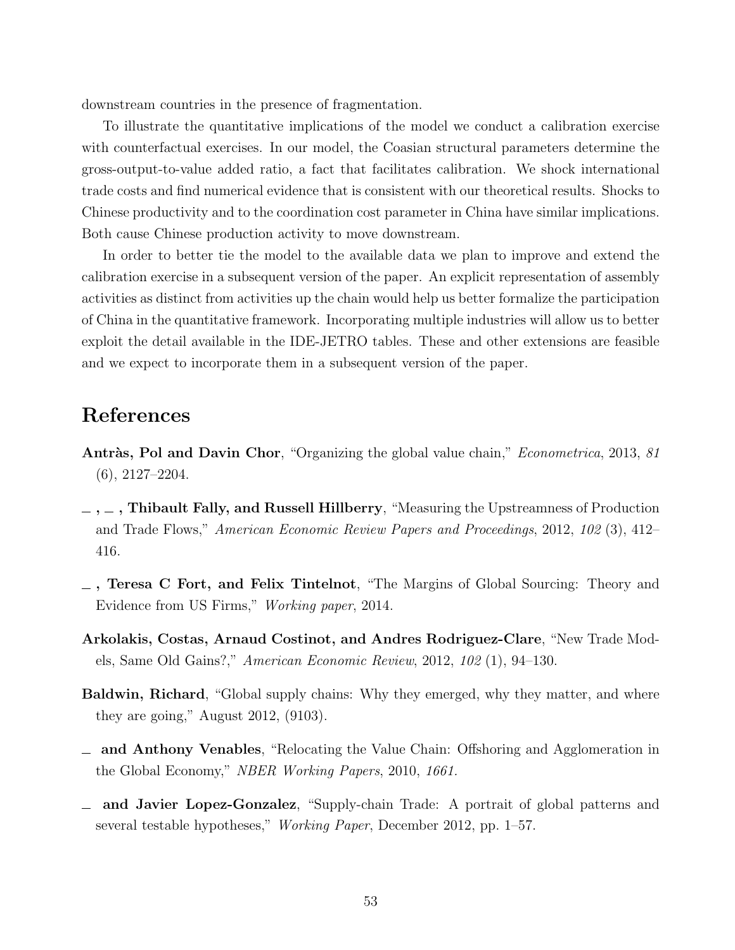downstream countries in the presence of fragmentation.

To illustrate the quantitative implications of the model we conduct a calibration exercise with counterfactual exercises. In our model, the Coasian structural parameters determine the gross-output-to-value added ratio, a fact that facilitates calibration. We shock international trade costs and find numerical evidence that is consistent with our theoretical results. Shocks to Chinese productivity and to the coordination cost parameter in China have similar implications. Both cause Chinese production activity to move downstream.

In order to better tie the model to the available data we plan to improve and extend the calibration exercise in a subsequent version of the paper. An explicit representation of assembly activities as distinct from activities up the chain would help us better formalize the participation of China in the quantitative framework. Incorporating multiple industries will allow us to better exploit the detail available in the IDE-JETRO tables. These and other extensions are feasible and we expect to incorporate them in a subsequent version of the paper.

## References

- Antràs, Pol and Davin Chor, "Organizing the global value chain," *Econometrica*, 2013, 81 (6), 2127–2204.
- $\ldots$ , Thibault Fally, and Russell Hillberry, "Measuring the Upstreamness of Production and Trade Flows," American Economic Review Papers and Proceedings, 2012, 102 (3), 412– 416.
- , Teresa C Fort, and Felix Tintelnot, "The Margins of Global Sourcing: Theory and Evidence from US Firms," Working paper, 2014.
- Arkolakis, Costas, Arnaud Costinot, and Andres Rodriguez-Clare, "New Trade Models, Same Old Gains?," American Economic Review, 2012, 102 (1), 94–130.
- Baldwin, Richard, "Global supply chains: Why they emerged, why they matter, and where they are going," August 2012, (9103).
- and Anthony Venables, "Relocating the Value Chain: Offshoring and Agglomeration in the Global Economy," NBER Working Papers, 2010, 1661.
- and Javier Lopez-Gonzalez, "Supply-chain Trade: A portrait of global patterns and several testable hypotheses," Working Paper, December 2012, pp. 1–57.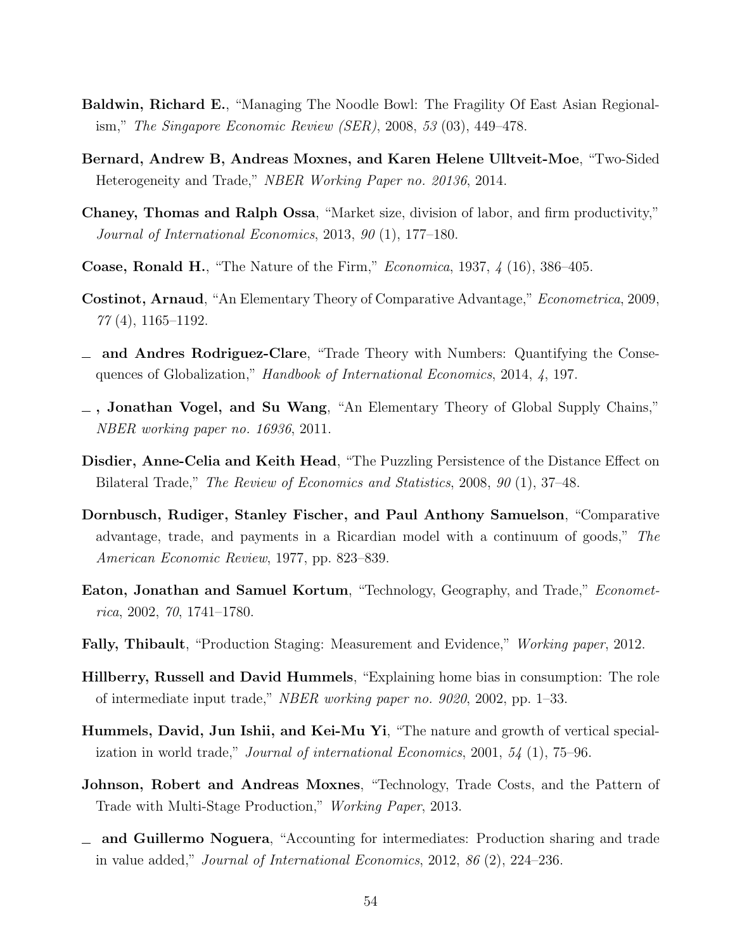- Baldwin, Richard E., "Managing The Noodle Bowl: The Fragility Of East Asian Regionalism," The Singapore Economic Review (SER), 2008, 53 (03), 449–478.
- Bernard, Andrew B, Andreas Moxnes, and Karen Helene Ulltveit-Moe, "Two-Sided Heterogeneity and Trade," NBER Working Paper no. 20136, 2014.
- Chaney, Thomas and Ralph Ossa, "Market size, division of labor, and firm productivity," Journal of International Economics, 2013, 90 (1), 177–180.
- Coase, Ronald H., "The Nature of the Firm," Economica, 1937, 4 (16), 386–405.
- Costinot, Arnaud, "An Elementary Theory of Comparative Advantage," Econometrica, 2009, 77 (4), 1165–1192.
- and Andres Rodriguez-Clare, "Trade Theory with Numbers: Quantifying the Consequences of Globalization," Handbook of International Economics, 2014, 4, 197.
- $\overline{\phantom{a}}$ , Jonathan Vogel, and Su Wang, "An Elementary Theory of Global Supply Chains," NBER working paper no. 16936, 2011.
- Disdier, Anne-Celia and Keith Head, "The Puzzling Persistence of the Distance Effect on Bilateral Trade," The Review of Economics and Statistics, 2008, 90 (1), 37–48.
- Dornbusch, Rudiger, Stanley Fischer, and Paul Anthony Samuelson, "Comparative advantage, trade, and payments in a Ricardian model with a continuum of goods," The American Economic Review, 1977, pp. 823–839.
- Eaton, Jonathan and Samuel Kortum, "Technology, Geography, and Trade," Econometrica, 2002, 70, 1741–1780.
- Fally, Thibault, "Production Staging: Measurement and Evidence," Working paper, 2012.
- Hillberry, Russell and David Hummels, "Explaining home bias in consumption: The role of intermediate input trade," NBER working paper no. 9020, 2002, pp. 1–33.
- Hummels, David, Jun Ishii, and Kei-Mu Yi, "The nature and growth of vertical specialization in world trade," *Journal of international Economics*, 2001,  $54$  (1), 75–96.
- Johnson, Robert and Andreas Moxnes, "Technology, Trade Costs, and the Pattern of Trade with Multi-Stage Production," Working Paper, 2013.
- and Guillermo Noguera, "Accounting for intermediates: Production sharing and trade in value added," Journal of International Economics, 2012, 86 (2), 224–236.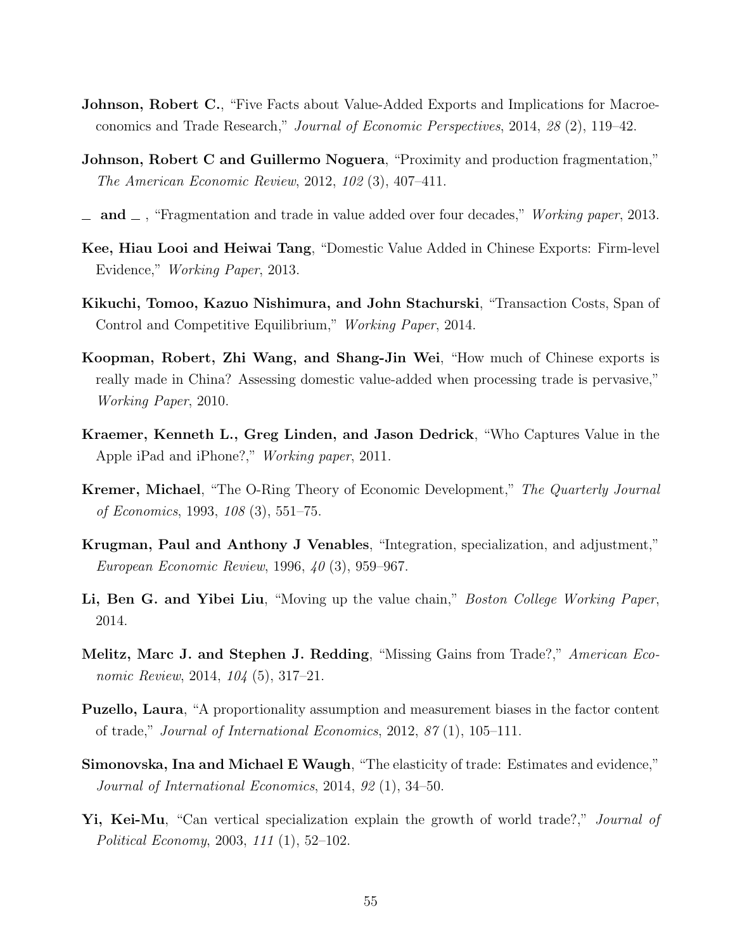- **Johnson, Robert C.**, "Five Facts about Value-Added Exports and Implications for Macroeconomics and Trade Research," Journal of Economic Perspectives, 2014, 28 (2), 119–42.
- Johnson, Robert C and Guillermo Noguera, "Proximity and production fragmentation," The American Economic Review, 2012, 102 (3), 407–411.
- $\Delta$  and  $\Delta$ , "Fragmentation and trade in value added over four decades," Working paper, 2013.
- Kee, Hiau Looi and Heiwai Tang, "Domestic Value Added in Chinese Exports: Firm-level Evidence," Working Paper, 2013.
- Kikuchi, Tomoo, Kazuo Nishimura, and John Stachurski, "Transaction Costs, Span of Control and Competitive Equilibrium," Working Paper, 2014.
- Koopman, Robert, Zhi Wang, and Shang-Jin Wei, "How much of Chinese exports is really made in China? Assessing domestic value-added when processing trade is pervasive," Working Paper, 2010.
- Kraemer, Kenneth L., Greg Linden, and Jason Dedrick, "Who Captures Value in the Apple iPad and iPhone?," Working paper, 2011.
- Kremer, Michael, "The O-Ring Theory of Economic Development," The Quarterly Journal of Economics, 1993, 108 (3), 551–75.
- Krugman, Paul and Anthony J Venables, "Integration, specialization, and adjustment," European Economic Review, 1996, 40 (3), 959–967.
- Li, Ben G. and Yibei Liu, "Moving up the value chain," *Boston College Working Paper*, 2014.
- Melitz, Marc J. and Stephen J. Redding, "Missing Gains from Trade?," American Economic Review, 2014, 104 (5), 317–21.
- Puzello, Laura, "A proportionality assumption and measurement biases in the factor content of trade," Journal of International Economics, 2012, 87 (1), 105–111.
- Simonovska, Ina and Michael E Waugh, "The elasticity of trade: Estimates and evidence," Journal of International Economics, 2014, 92 (1), 34–50.
- Yi, Kei-Mu, "Can vertical specialization explain the growth of world trade?," *Journal of* Political Economy, 2003, 111 (1), 52–102.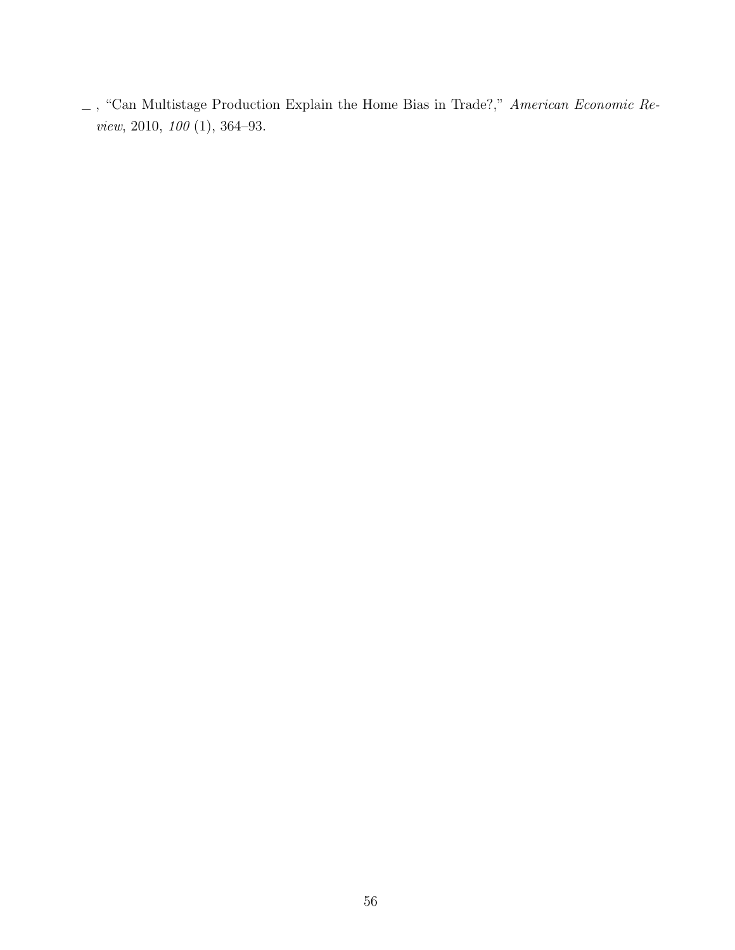$\_$ , "Can Multistage Production Explain the Home Bias in Trade?," American Economic Review, 2010, 100 (1), 364–93.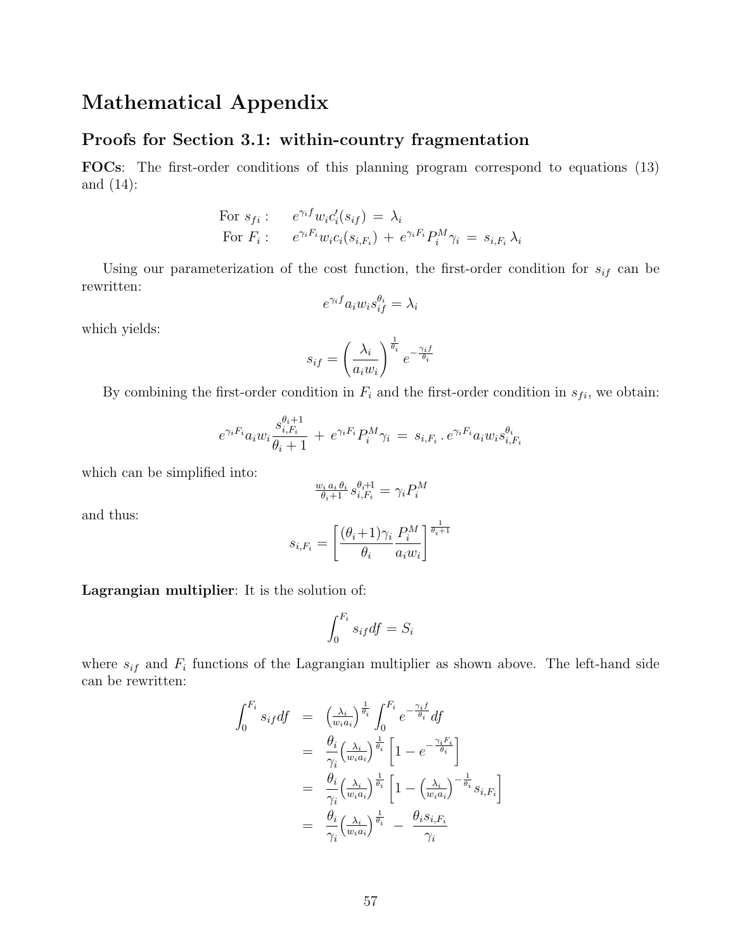## Mathematical Appendix

### Proofs for Section 3.1: within-country fragmentation

FOCs: The first-order conditions of this planning program correspond to equations (13) and (14):

For 
$$
s_{fi}
$$
:  $e^{\gamma_i f} w_i c_i'(s_{if}) = \lambda_i$   
For  $F_i$ :  $e^{\gamma_i F_i} w_i c_i(s_{i,F_i}) + e^{\gamma_i F_i} P_i^M \gamma_i = s_{i,F_i} \lambda_i$ 

Using our parameterization of the cost function, the first-order condition for  $s_{if}$  can be rewritten:

$$
e^{\gamma_i f} a_i w_i s_{if}^{\theta_i} = \lambda_i
$$

which yields:

$$
s_{if} = \left(\frac{\lambda_i}{a_i w_i}\right)^{\frac{1}{\theta_i}} e^{-\frac{\gamma_i f}{\theta_i}}
$$

By combining the first-order condition in  $F_i$  and the first-order condition in  $s_{fi}$ , we obtain:

$$
e^{\gamma_i F_i}a_i w_i \frac{s_{i,F_i}^{\theta_i+1}}{\theta_i+1} \,+\, e^{\gamma_i F_i} P_i^M \gamma_i \,=\, s_{i,F_i}\,.\, e^{\gamma_i F_i}a_i w_i s_{i,F_i}^{\theta_i}
$$

which can be simplified into:

$$
\tfrac{w_i\, a_i\, \theta_i}{\theta_i+1}\, s_{i,F_i}^{\theta_i+1} = \gamma_i P_i^M
$$

and thus:

$$
s_{i,F_i} = \left[\frac{(\theta_i+1)\gamma_i}{\theta_i} \frac{P_i^M}{a_i w_i}\right]^{\frac{1}{\theta_i+1}}
$$

Lagrangian multiplier: It is the solution of:

$$
\int_0^{F_i} s_{if} df = S_i
$$

where  $s_{if}$  and  $F_i$  functions of the Lagrangian multiplier as shown above. The left-hand side can be rewritten:

$$
\int_{0}^{F_i} s_{if} df = \left(\frac{\lambda_i}{w_i a_i}\right)^{\frac{1}{\theta_i}} \int_{0}^{F_i} e^{-\frac{\gamma_i f}{\theta_i}} df
$$
\n
$$
= \frac{\theta_i}{\gamma_i} \left(\frac{\lambda_i}{w_i a_i}\right)^{\frac{1}{\theta_i}} \left[1 - e^{-\frac{\gamma_i F_i}{\theta_i}}\right]
$$
\n
$$
= \frac{\theta_i}{\gamma_i} \left(\frac{\lambda_i}{w_i a_i}\right)^{\frac{1}{\theta_i}} \left[1 - \left(\frac{\lambda_i}{w_i a_i}\right)^{-\frac{1}{\theta_i}} s_{i, F_i}\right]
$$
\n
$$
= \frac{\theta_i}{\gamma_i} \left(\frac{\lambda_i}{w_i a_i}\right)^{\frac{1}{\theta_i}} - \frac{\theta_i s_{i, F_i}}{\gamma_i}
$$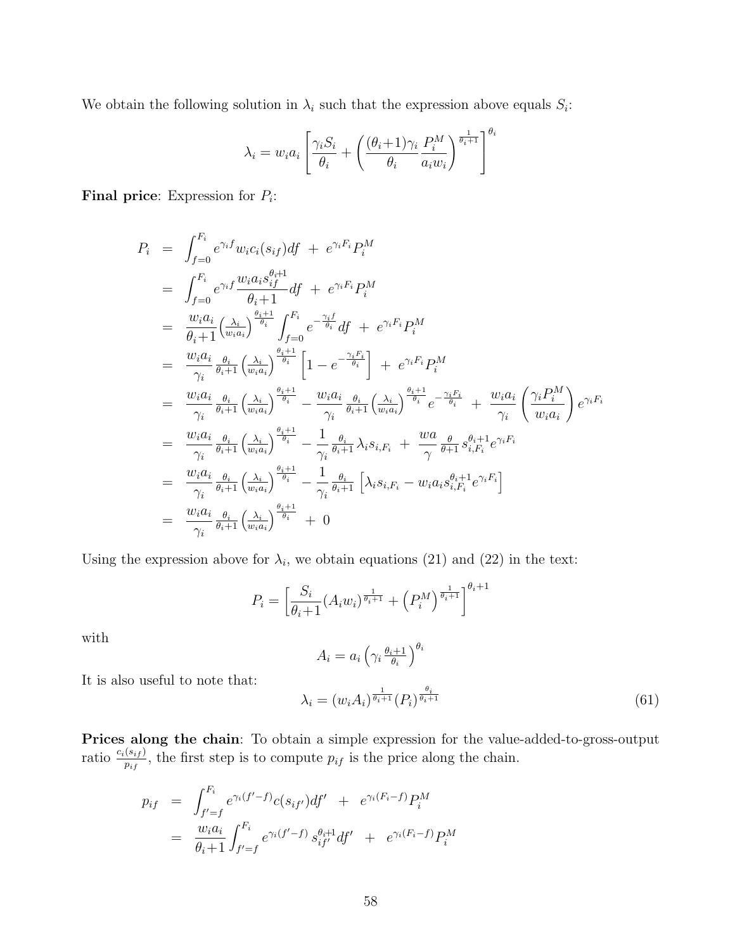We obtain the following solution in  $\lambda_i$  such that the expression above equals  $S_i$ :

$$
\lambda_i = w_i a_i \left[ \frac{\gamma_i S_i}{\theta_i} + \left( \frac{(\theta_i + 1)\gamma_i}{\theta_i} \frac{P_i^M}{a_i w_i} \right)^{\frac{1}{\theta_i + 1}} \right]^{\theta_i}
$$

Final price: Expression for  $P_i$ :

$$
P_{i} = \int_{f=0}^{F_{i}} e^{\gamma_{i}f} w_{i} c_{i}(s_{if}) df + e^{\gamma_{i}F_{i}} P_{i}^{M}
$$
\n
$$
= \int_{f=0}^{F_{i}} e^{\gamma_{i}f} \frac{w_{i} a_{i} s_{if}^{\theta_{i}+1}}{\theta_{i}+1} df + e^{\gamma_{i}F_{i}} P_{i}^{M}
$$
\n
$$
= \frac{w_{i} a_{i}}{\theta_{i}+1} (\frac{\lambda_{i}}{w_{i} a_{i}})^{\frac{\theta_{i}+1}{\theta_{i}}} \int_{f=0}^{F_{i}} e^{-\frac{\gamma_{i}f}{\theta_{i}}} df + e^{\gamma_{i}F_{i}} P_{i}^{M}
$$
\n
$$
= \frac{w_{i} a_{i}}{\gamma_{i}} \frac{\theta_{i}}{\theta_{i}+1} (\frac{\lambda_{i}}{w_{i} a_{i}})^{\frac{\theta_{i}+1}{\theta_{i}}} \left[1 - e^{-\frac{\gamma_{i}F_{i}}{\theta_{i}}} + e^{\gamma_{i}F_{i}} P_{i}^{M}\right]
$$
\n
$$
= \frac{w_{i} a_{i}}{\gamma_{i}} \frac{\theta_{i}}{\theta_{i}+1} (\frac{\lambda_{i}}{w_{i} a_{i}})^{\frac{\theta_{i}+1}{\theta_{i}}} - \frac{w_{i} a_{i}}{\gamma_{i}} \frac{\theta_{i}}{\theta_{i}+1} (\frac{\lambda_{i}}{w_{i} a_{i}})^{\frac{\theta_{i}+1}{\theta_{i}}} + \frac{w_{i} a_{i}}{\gamma_{i}} (\frac{\gamma_{i} P_{i}^{M}}{w_{i} a_{i}})^{\theta_{i}}
$$
\n
$$
= \frac{w_{i} a_{i}}{\gamma_{i}} \frac{\theta_{i}}{\theta_{i}+1} (\frac{\lambda_{i}}{w_{i} a_{i}})^{\frac{\theta_{i}+1}{\theta_{i}}} - \frac{1}{\gamma_{i}} \frac{\theta_{i}}{\theta_{i}+1} \lambda_{i} s_{i, F_{i}} + \frac{w a}{\gamma} \frac{\theta}{\theta+1} s_{i, F_{i}}^{\theta_{i}+1} e^{\gamma_{i}F_{i}}
$$
\n
$$
= \frac{w_{i} a_{i}}{\gamma_{i}} \frac{\theta_{i}}{\theta_{i}+1} (\frac{\lambda_{i}}{
$$

Using the expression above for  $\lambda_i$ , we obtain equations (21) and (22) in the text:

$$
P_i = \left[\frac{S_i}{\theta_i + 1} (A_i w_i)^{\frac{1}{\theta_i + 1}} + \left(P_i^M\right)^{\frac{1}{\theta_i + 1}}\right]^{\theta_i + 1}
$$

with

$$
A_i = a_i \left( \gamma_i \frac{\theta_i + 1}{\theta_i} \right)^{\theta_i}
$$

It is also useful to note that:

$$
\lambda_i = (w_i A_i)^{\frac{1}{\theta_i + 1}} (P_i)^{\frac{\theta_i}{\theta_i + 1}} \tag{61}
$$

Prices along the chain: To obtain a simple expression for the value-added-to-gross-output ratio  $\frac{c_i(s_{if})}{p_{if}}$ , the first step is to compute  $p_{if}$  is the price along the chain.

$$
p_{if} = \int_{f'=f}^{F_i} e^{\gamma_i (f'-f)} c(s_{if'}) df' + e^{\gamma_i (F_i-f)} P_i^M
$$
  
= 
$$
\frac{w_i a_i}{\theta_i + 1} \int_{f'=f}^{F_i} e^{\gamma_i (f'-f)} s_{if'}^{\theta_i + 1} df' + e^{\gamma_i (F_i-f)} P_i^M
$$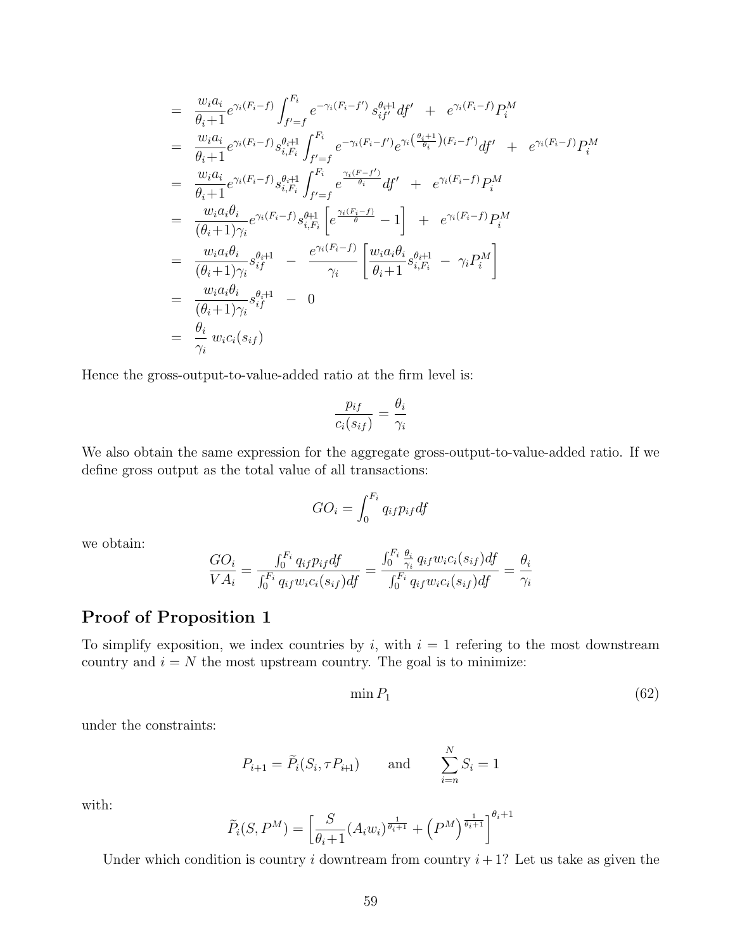$$
= \frac{w_i a_i}{\theta_i + 1} e^{\gamma_i (F_i - f)} \int_{f' = f}^{F_i} e^{-\gamma_i (F_i - f')} s_{if'}^{\theta_i + 1} df' + e^{\gamma_i (F_i - f)} P_i^M
$$
  
\n
$$
= \frac{w_i a_i}{\theta_i + 1} e^{\gamma_i (F_i - f)} s_{i, F_i}^{\theta_i + 1} \int_{f' = f}^{F_i} e^{-\gamma_i (F_i - f')} e^{\gamma_i (\frac{\theta_i + 1}{\theta_i}) (F_i - f')} df' + e^{\gamma_i (F_i - f)} P_i^M
$$
  
\n
$$
= \frac{w_i a_i}{\theta_i + 1} e^{\gamma_i (F_i - f)} s_{i, F_i}^{\theta + 1} \int_{f' = f}^{F_i} e^{\frac{\gamma_i (F_i - f')}{\theta_i}} df' + e^{\gamma_i (F_i - f)} P_i^M
$$
  
\n
$$
= \frac{w_i a_i \theta_i}{(\theta_i + 1)\gamma_i} e^{\gamma_i (F_i - f)} s_{i, F_i}^{\theta + 1} \left[ e^{\frac{\gamma_i (F_i - f)}{\theta}} - 1 \right] + e^{\gamma_i (F_i - f)} P_i^M
$$
  
\n
$$
= \frac{w_i a_i \theta_i}{(\theta_i + 1)\gamma_i} s_{if}^{\theta_i + 1} - \frac{e^{\gamma_i (F_i - f)}}{\gamma_i} \left[ \frac{w_i a_i \theta_i}{\theta_i + 1} s_{i, F_i}^{\theta + 1} - \gamma_i P_i^M \right]
$$
  
\n
$$
= \frac{w_i a_i \theta_i}{(\theta_i + 1)\gamma_i} s_{if}^{\theta_i + 1} - 0
$$
  
\n
$$
= \frac{\theta_i}{\gamma_i} w_i c_i(s_{if})
$$

Hence the gross-output-to-value-added ratio at the firm level is:

$$
\frac{p_{if}}{c_i(s_{if})} = \frac{\theta_i}{\gamma_i}
$$

We also obtain the same expression for the aggregate gross-output-to-value-added ratio. If we define gross output as the total value of all transactions:

$$
GO_i = \int_0^{F_i} q_{if} p_{if} df
$$

we obtain:

$$
\frac{GO_i}{VA_i} = \frac{\int_0^{F_i} q_{if} p_{if} df}{\int_0^{F_i} q_{if} w_{i} c_i(s_{if}) df} = \frac{\int_0^{F_i} \frac{\theta_i}{\gamma_i} q_{if} w_{i} c_i(s_{if}) df}{\int_0^{F_i} q_{if} w_{i} c_i(s_{if}) df} = \frac{\theta_i}{\gamma_i}
$$

## Proof of Proposition 1

To simplify exposition, we index countries by i, with  $i = 1$  refering to the most downstream country and  $i = N$  the most upstream country. The goal is to minimize:

$$
\min P_1 \tag{62}
$$

under the constraints:

$$
P_{i+1} = \tilde{P}_i(S_i, \tau P_{i+1})
$$
 and  $\sum_{i=n}^{N} S_i = 1$ 

with:

$$
\widetilde{P}_i(S, P^M) = \left[\frac{S}{\theta_i + 1} (A_i w_i)^{\frac{1}{\theta_i + 1}} + \left(P^M\right)^{\frac{1}{\theta_i + 1}}\right]^{\theta_i + 1}
$$

Under which condition is country i downtream from country  $i+1$ ? Let us take as given the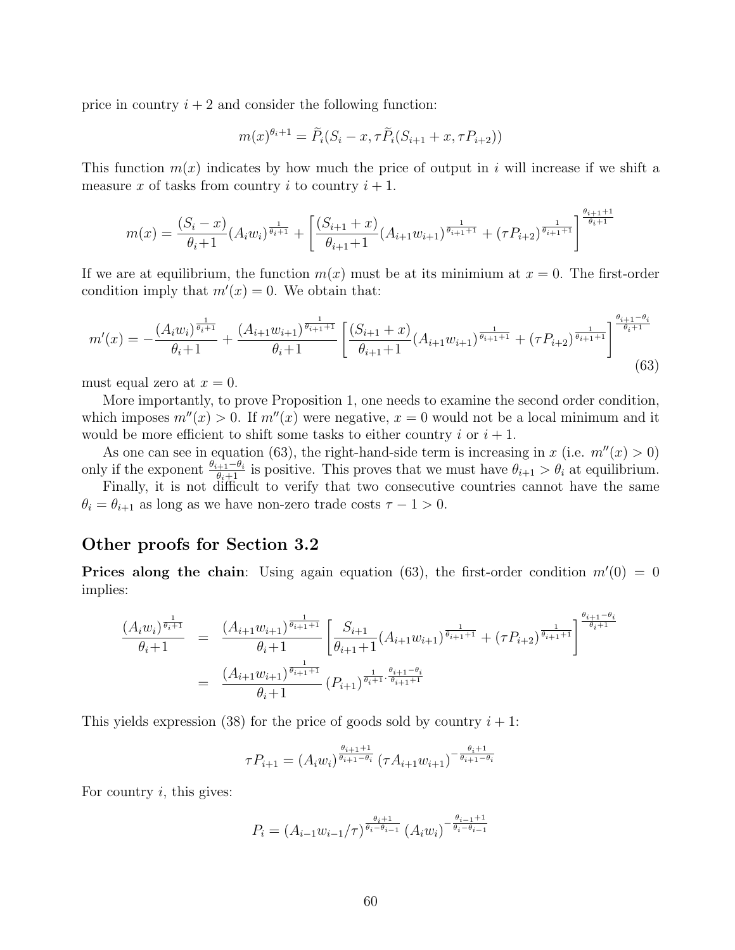price in country  $i + 2$  and consider the following function:

$$
m(x)^{\theta_i+1} = \tilde{P}_i(S_i - x, \tau \tilde{P}_i(S_{i+1} + x, \tau P_{i+2}))
$$

This function  $m(x)$  indicates by how much the price of output in i will increase if we shift a measure x of tasks from country i to country  $i + 1$ .

$$
m(x) = \frac{(S_i - x)}{\theta_i + 1} (A_i w_i)^{\frac{1}{\theta_i + 1}} + \left[ \frac{(S_{i+1} + x)}{\theta_{i+1} + 1} (A_{i+1} w_{i+1})^{\frac{1}{\theta_{i+1} + 1}} + (\tau P_{i+2})^{\frac{1}{\theta_{i+1} + 1}} \right]^{\frac{\theta_{i+1} + 1}{\theta_i + 1}}
$$

If we are at equilibrium, the function  $m(x)$  must be at its minimium at  $x = 0$ . The first-order condition imply that  $m'(x) = 0$ . We obtain that:

$$
m'(x) = -\frac{(A_i w_i)^{\frac{1}{\theta_i+1}}}{\theta_i+1} + \frac{(A_{i+1} w_{i+1})^{\frac{1}{\theta_i+1+1}}}{\theta_i+1} \left[ \frac{(S_{i+1} + x)}{\theta_{i+1}+1} (A_{i+1} w_{i+1})^{\frac{1}{\theta_{i+1}+1}} + (\tau P_{i+2})^{\frac{1}{\theta_{i+1}+1}} \right]^{\frac{\theta_{i+1}-\theta_i}{\theta_i+1}} (63)
$$

must equal zero at  $x = 0$ .

More importantly, to prove Proposition 1, one needs to examine the second order condition, which imposes  $m''(x) > 0$ . If  $m''(x)$  were negative,  $x = 0$  would not be a local minimum and it would be more efficient to shift some tasks to either country i or  $i + 1$ .

As one can see in equation (63), the right-hand-side term is increasing in x (i.e.  $m''(x) > 0$ ) only if the exponent  $\frac{\theta_{i+1}-\theta_i}{\theta_i+1}$  is positive. This proves that we must have  $\theta_{i+1} > \theta_i$  at equilibrium.

Finally, it is not difficult to verify that two consecutive countries cannot have the same  $\theta_i = \theta_{i+1}$  as long as we have non-zero trade costs  $\tau - 1 > 0$ .

#### Other proofs for Section 3.2

**Prices along the chain**: Using again equation (63), the first-order condition  $m'(0) = 0$ implies:

$$
\begin{array}{rcl} \frac{(A_{i}w_{i})^{\frac{1}{\theta_{i}+1}}}{\theta_{i}+1} & = & \frac{(A_{i+1}w_{i+1})^{\frac{1}{\theta_{i+1}+1}}}{\theta_{i}+1} \left[\frac{S_{i+1}}{\theta_{i+1}+1}(A_{i+1}w_{i+1})^{\frac{1}{\theta_{i+1}+1}}+(\tau P_{i+2})^{\frac{1}{\theta_{i+1}+1}}\right]^{\frac{\theta_{i+1}-\theta_{i}}{\theta_{i}+1}} \\ & = & \frac{(A_{i+1}w_{i+1})^{\frac{1}{\theta_{i+1}+1}}}{\theta_{i}+1}(P_{i+1})^{\frac{1}{\theta_{i}+1}\cdot\frac{\theta_{i+1}-\theta_{i}}{\theta_{i+1}+1}} \end{array}
$$

This yields expression (38) for the price of goods sold by country  $i + 1$ :

$$
\tau P_{i+1} = (A_i w_i)^{\frac{\theta_{i+1}+1}{\theta_{i+1}-\theta_i}} (\tau A_{i+1} w_{i+1})^{-\frac{\theta_i+1}{\theta_{i+1}-\theta_i}}
$$

For country  $i$ , this gives:

$$
P_i = (A_{i-1}w_{i-1}/\tau)^{\frac{\theta_i+1}{\theta_i-\theta_{i-1}}} (A_iw_i)^{-\frac{\theta_{i-1}+1}{\theta_i-\theta_{i-1}}}
$$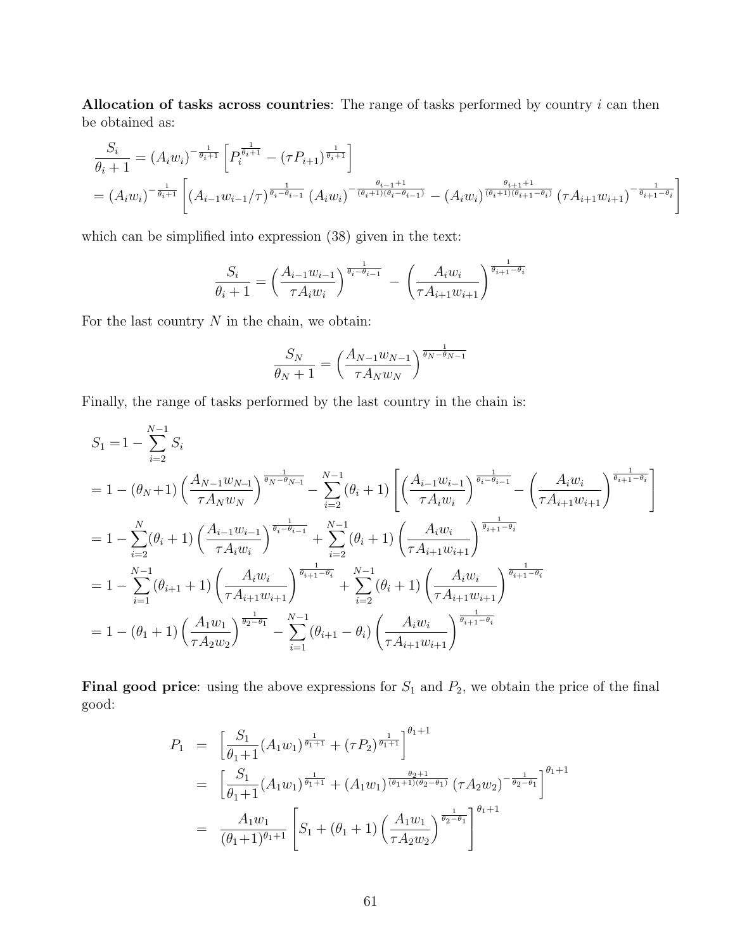Allocation of tasks across countries: The range of tasks performed by country  $i$  can then be obtained as:

$$
\frac{S_i}{\theta_i+1} = (A_i w_i)^{-\frac{1}{\theta_i+1}} \left[ P_i^{\frac{1}{\theta_i+1}} - (\tau P_{i+1})^{\frac{1}{\theta_i+1}} \right]
$$
\n
$$
= (A_i w_i)^{-\frac{1}{\theta_i+1}} \left[ (A_{i-1} w_{i-1}/\tau)^{\frac{1}{\theta_i-\theta_{i-1}}} (A_i w_i)^{-\frac{\theta_{i-1}+1}{(\theta_i+1)(\theta_i-\theta_{i-1})}} - (A_i w_i)^{\frac{\theta_{i+1}+1}{(\theta_i+1)(\theta_{i+1}-\theta_i)}} (\tau A_{i+1} w_{i+1})^{-\frac{1}{\theta_{i+1}-\theta_i}} \right]
$$

which can be simplified into expression (38) given in the text:

$$
\frac{S_i}{\theta_i + 1} = \left(\frac{A_{i-1}w_{i-1}}{\tau A_i w_i}\right)^{\frac{1}{\theta_i - \theta_{i-1}}} - \left(\frac{A_i w_i}{\tau A_{i+1}w_{i+1}}\right)^{\frac{1}{\theta_{i+1} - \theta_i}}
$$

For the last country  $N$  in the chain, we obtain:

$$
\frac{S_N}{\theta_N + 1} = \left(\frac{A_{N-1}w_{N-1}}{\tau A_N w_N}\right)^{\frac{1}{\theta_N - \theta_{N-1}}}
$$

Finally, the range of tasks performed by the last country in the chain is:

$$
S_{1} = 1 - \sum_{i=2}^{N-1} S_{i}
$$
  
=  $1 - (\theta_{N} + 1) \left( \frac{A_{N-1}w_{N-1}}{\tau A_{N}w_{N}} \right)^{\frac{1}{\theta_{N}-\theta_{N-1}}} - \sum_{i=2}^{N-1} (\theta_{i} + 1) \left[ \left( \frac{A_{i-1}w_{i-1}}{\tau A_{i}w_{i}} \right)^{\frac{1}{\theta_{i}-\theta_{i-1}}} - \left( \frac{A_{i}w_{i}}{\tau A_{i+1}w_{i+1}} \right)^{\frac{1}{\theta_{i+1}-\theta_{i}}} \right]$   
=  $1 - \sum_{i=2}^{N} (\theta_{i} + 1) \left( \frac{A_{i-1}w_{i-1}}{\tau A_{i}w_{i}} \right)^{\frac{1}{\theta_{i}-\theta_{i-1}}} + \sum_{i=2}^{N-1} (\theta_{i} + 1) \left( \frac{A_{i}w_{i}}{\tau A_{i+1}w_{i+1}} \right)^{\frac{1}{\theta_{i+1}-\theta_{i}}}$   
=  $1 - \sum_{i=1}^{N-1} (\theta_{i+1} + 1) \left( \frac{A_{i}w_{i}}{\tau A_{i+1}w_{i+1}} \right)^{\frac{1}{\theta_{i+1}-\theta_{i}}} + \sum_{i=2}^{N-1} (\theta_{i} + 1) \left( \frac{A_{i}w_{i}}{\tau A_{i+1}w_{i+1}} \right)^{\frac{1}{\theta_{i+1}-\theta_{i}}}$   
=  $1 - (\theta_{1} + 1) \left( \frac{A_{1}w_{1}}{\tau A_{2}w_{2}} \right)^{\frac{1}{\theta_{2}-\theta_{1}}} - \sum_{i=1}^{N-1} (\theta_{i+1} - \theta_{i}) \left( \frac{A_{i}w_{i}}{\tau A_{i+1}w_{i+1}} \right)^{\frac{1}{\theta_{i+1}-\theta_{i}}}$ 

**Final good price:** using the above expressions for  $S_1$  and  $P_2$ , we obtain the price of the final good:

$$
P_{1} = \left[\frac{S_{1}}{\theta_{1}+1}(A_{1}w_{1})^{\frac{1}{\theta_{1}+1}} + (\tau P_{2})^{\frac{1}{\theta_{1}+1}}\right]^{\theta_{1}+1}
$$
  
\n
$$
= \left[\frac{S_{1}}{\theta_{1}+1}(A_{1}w_{1})^{\frac{1}{\theta_{1}+1}} + (A_{1}w_{1})^{\frac{\theta_{2}+1}{(\theta_{1}+1)(\theta_{2}-\theta_{1})}}(\tau A_{2}w_{2})^{-\frac{1}{\theta_{2}-\theta_{1}}}\right]^{\theta_{1}+1}
$$
  
\n
$$
= \frac{A_{1}w_{1}}{(\theta_{1}+1)^{\theta_{1}+1}} \left[S_{1} + (\theta_{1}+1) \left(\frac{A_{1}w_{1}}{\tau A_{2}w_{2}}\right)^{\frac{1}{\theta_{2}-\theta_{1}}}\right]^{\theta_{1}+1}
$$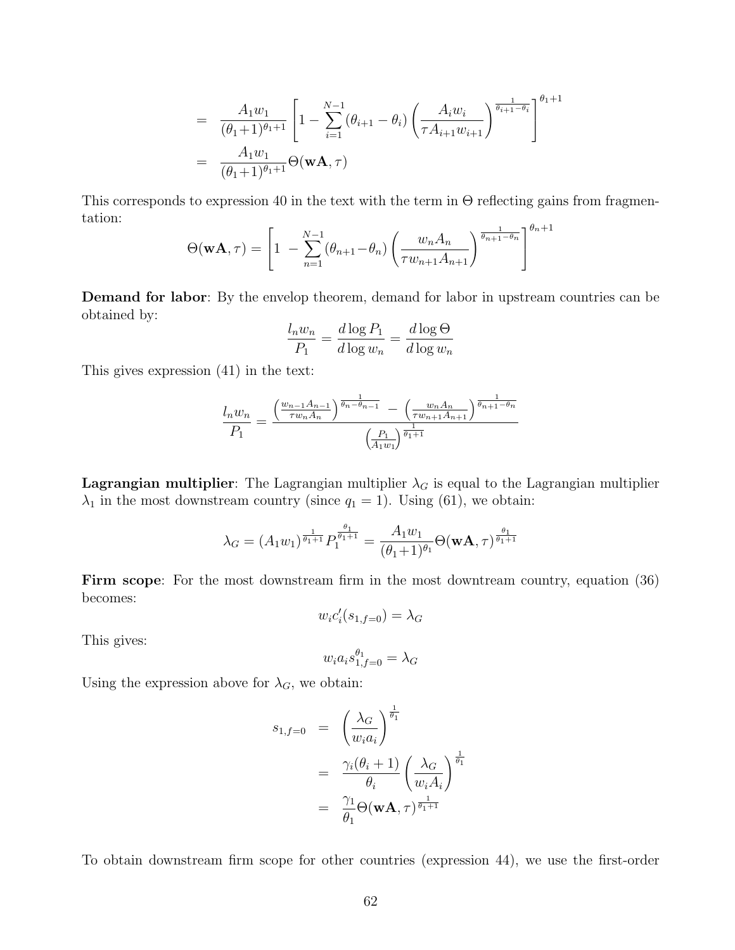$$
= \frac{A_1 w_1}{(\theta_1 + 1)^{\theta_1 + 1}} \left[ 1 - \sum_{i=1}^{N-1} (\theta_{i+1} - \theta_i) \left( \frac{A_i w_i}{\tau A_{i+1} w_{i+1}} \right)^{\frac{1}{\theta_{i+1} - \theta_i}} \right]^{\theta_1 + 1}
$$
  
= 
$$
\frac{A_1 w_1}{(\theta_1 + 1)^{\theta_1 + 1}} \Theta(\mathbf{w} \mathbf{A}, \tau)
$$

This corresponds to expression 40 in the text with the term in  $\Theta$  reflecting gains from fragmentation:

$$
\Theta(\mathbf{w}\mathbf{A},\tau) = \left[1 - \sum_{n=1}^{N-1} (\theta_{n+1} - \theta_n) \left(\frac{w_n A_n}{\tau w_{n+1} A_{n+1}}\right)^{\frac{1}{\theta_{n+1} - \theta_n}}\right]^{\theta_n + 1}
$$

Demand for labor: By the envelop theorem, demand for labor in upstream countries can be obtained by:

$$
\frac{l_n w_n}{P_1} = \frac{d \log P_1}{d \log w_n} = \frac{d \log \Theta}{d \log w_n}
$$

This gives expression (41) in the text:

$$
\frac{l_n w_n}{P_1} = \frac{\left(\frac{w_{n-1} A_{n-1}}{\tau w_n A_n}\right)^{\frac{1}{\theta_n - \theta_{n-1}}} - \left(\frac{w_n A_n}{\tau w_{n+1} A_{n+1}}\right)^{\frac{1}{\theta_{n+1} - \theta_n}}}{\left(\frac{P_1}{A_1 w_1}\right)^{\frac{1}{\theta_1 + 1}}}
$$

Lagrangian multiplier: The Lagrangian multiplier  $\lambda_G$  is equal to the Lagrangian multiplier  $\lambda_1$  in the most downstream country (since  $q_1 = 1$ ). Using (61), we obtain:

$$
\lambda_G = (A_1 w_1)^{\frac{1}{\theta_1 + 1}} P_1^{\frac{\theta_1}{\theta_1 + 1}} = \frac{A_1 w_1}{(\theta_1 + 1)^{\theta_1}} \Theta(\mathbf{w}\mathbf{A}, \tau)^{\frac{\theta_1}{\theta_1 + 1}}
$$

Firm scope: For the most downstream firm in the most downtream country, equation (36) becomes:

$$
w_i c_i'(s_{1,f=0}) = \lambda_G
$$

This gives:

$$
w_ia_is_{1,f=0}^{\theta_1}=\lambda_G
$$

Using the expression above for  $\lambda_G$ , we obtain:

$$
s_{1,f=0} = \left(\frac{\lambda_G}{w_i a_i}\right)^{\frac{1}{\theta_1}}
$$
  
= 
$$
\frac{\gamma_i(\theta_i + 1)}{\theta_i} \left(\frac{\lambda_G}{w_i A_i}\right)^{\frac{1}{\theta_1}}
$$
  
= 
$$
\frac{\gamma_1}{\theta_1} \Theta(\mathbf{w} \mathbf{A}, \tau)^{\frac{1}{\theta_1 + 1}}
$$

To obtain downstream firm scope for other countries (expression 44), we use the first-order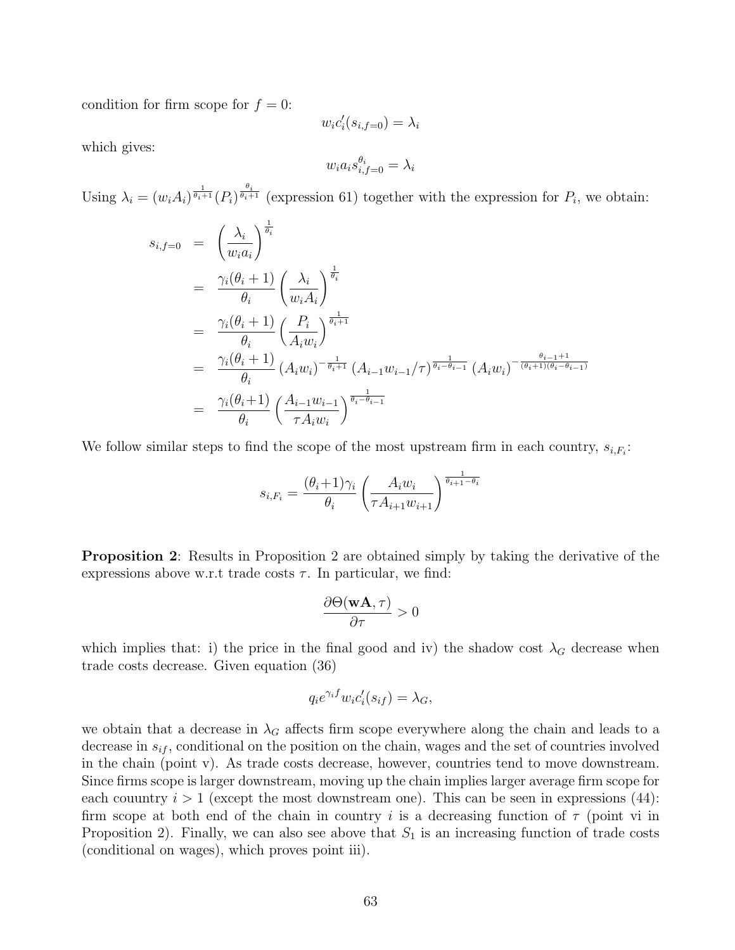condition for firm scope for  $f = 0$ :

$$
w_i c_i'(s_{i,f=0}) = \lambda_i
$$

which gives:

$$
w_i a_i s_{i,f=0}^{\theta_i} = \lambda_i
$$

Using  $\lambda_i = (w_i A_i)^{\frac{1}{\theta_i+1}} (P_i)^{\frac{\theta_i}{\theta_i+1}}$  (expression 61) together with the expression for  $P_i$ , we obtain:

$$
s_{i,f=0} = \left(\frac{\lambda_i}{w_i a_i}\right)^{\frac{1}{\theta_i}}
$$
  
\n
$$
= \frac{\gamma_i(\theta_i + 1)}{\theta_i} \left(\frac{\lambda_i}{w_i A_i}\right)^{\frac{1}{\theta_i}}
$$
  
\n
$$
= \frac{\gamma_i(\theta_i + 1)}{\theta_i} \left(\frac{P_i}{A_i w_i}\right)^{\frac{1}{\theta_i + 1}}
$$
  
\n
$$
= \frac{\gamma_i(\theta_i + 1)}{\theta_i} (A_i w_i)^{-\frac{1}{\theta_i + 1}} (A_{i-1} w_{i-1}/\tau)^{\frac{1}{\theta_i - \theta_{i-1}}} (A_i w_i)^{-\frac{\theta_{i-1} + 1}{(\theta_i + 1)(\theta_i - \theta_{i-1})}}
$$
  
\n
$$
= \frac{\gamma_i(\theta_i + 1)}{\theta_i} \left(\frac{A_{i-1} w_{i-1}}{\tau A_i w_i}\right)^{\frac{1}{\theta_i - \theta_{i-1}}}
$$

We follow similar steps to find the scope of the most upstream firm in each country,  $s_{i,F_i}$ :

$$
s_{i,F_i} = \frac{(\theta_i + 1)\gamma_i}{\theta_i} \left(\frac{A_i w_i}{\tau A_{i+1} w_{i+1}}\right)^{\frac{1}{\theta_{i+1} - \theta_i}}
$$

Proposition 2: Results in Proposition 2 are obtained simply by taking the derivative of the expressions above w.r.t trade costs  $\tau$ . In particular, we find:

$$
\frac{\partial \Theta(\mathbf{w}\mathbf{A}, \tau)}{\partial \tau} > 0
$$

which implies that: i) the price in the final good and iv) the shadow cost  $\lambda_G$  decrease when trade costs decrease. Given equation (36)

$$
q_i e^{\gamma_i f} w_i c_i'(s_{if}) = \lambda_G,
$$

we obtain that a decrease in  $\lambda_G$  affects firm scope everywhere along the chain and leads to a decrease in  $s_{if}$ , conditional on the position on the chain, wages and the set of countries involved in the chain (point v). As trade costs decrease, however, countries tend to move downstream. Since firms scope is larger downstream, moving up the chain implies larger average firm scope for each couuntry  $i > 1$  (except the most downstream one). This can be seen in expressions (44): firm scope at both end of the chain in country i is a decreasing function of  $\tau$  (point vi in Proposition 2). Finally, we can also see above that  $S_1$  is an increasing function of trade costs (conditional on wages), which proves point iii).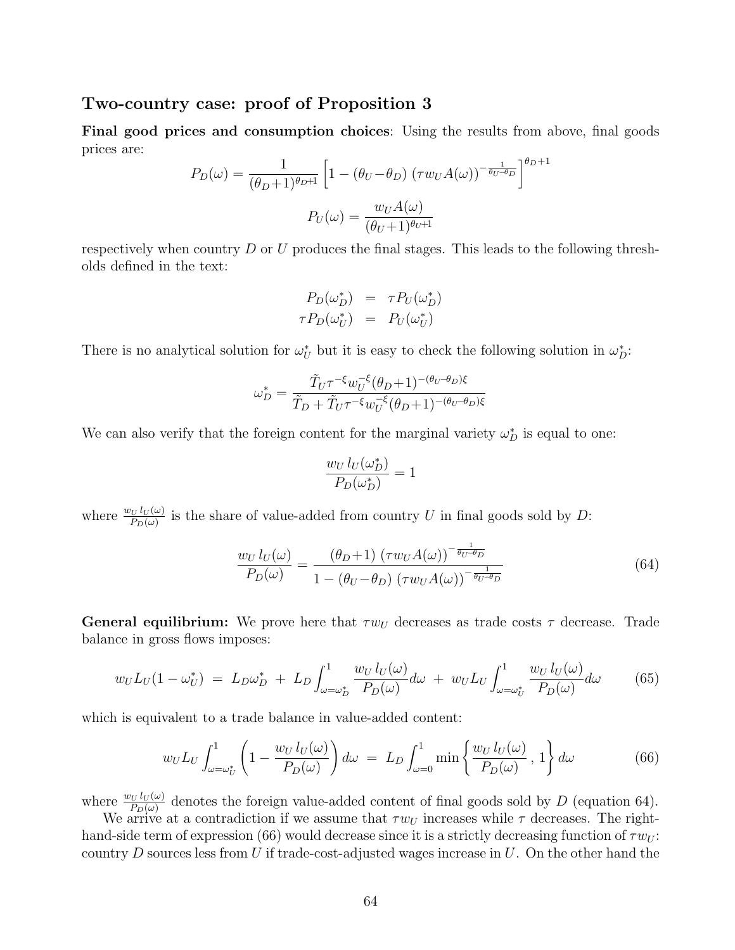### Two-country case: proof of Proposition 3

Final good prices and consumption choices: Using the results from above, final goods prices are:

$$
P_D(\omega) = \frac{1}{(\theta_D + 1)^{\theta_D + 1}} \left[ 1 - (\theta_U - \theta_D) (\tau w_U A(\omega))^{-\frac{1}{\theta_U - \theta_D}} \right]^{\theta_D + 1}
$$

$$
P_U(\omega) = \frac{w_U A(\omega)}{(\theta_U + 1)^{\theta_U + 1}}
$$

respectively when country  $D$  or  $U$  produces the final stages. This leads to the following thresholds defined in the text:

$$
P_D(\omega_D^*) = \tau P_U(\omega_D^*)
$$
  

$$
\tau P_D(\omega_U^*) = P_U(\omega_U^*)
$$

There is no analytical solution for  $\omega_U^*$  but it is easy to check the following solution in  $\omega_D^*$ :

$$
\omega_D^* = \frac{\tilde{T}_U \tau^{-\xi} w_U^{-\xi} (\theta_D+1)^{-(\theta_U-\theta_D) \xi}}{\tilde{T}_D + \tilde{T}_U \tau^{-\xi} w_U^{-\xi} (\theta_D+1)^{-(\theta_U-\theta_D) \xi}}
$$

We can also verify that the foreign content for the marginal variety  $\omega_D^*$  is equal to one:

$$
\frac{w_U l_U(\omega_D^*)}{P_D(\omega_D^*)} = 1
$$

where  $\frac{w_U l_U(\omega)}{P_D(\omega)}$  is the share of value-added from country U in final goods sold by D:

$$
\frac{w_U l_U(\omega)}{P_D(\omega)} = \frac{(\theta_D + 1) (\tau w_U A(\omega))^{-\frac{1}{\theta_U - \theta_D}}}{1 - (\theta_U - \theta_D) (\tau w_U A(\omega))^{-\frac{1}{\theta_U - \theta_D}}}
$$
(64)

**General equilibrium:** We prove here that  $\tau w_U$  decreases as trade costs  $\tau$  decrease. Trade balance in gross flows imposes:

$$
w_U L_U(1 - \omega_U^*) = L_D \omega_D^* + L_D \int_{\omega = \omega_D^*}^1 \frac{w_U l_U(\omega)}{P_D(\omega)} d\omega + w_U L_U \int_{\omega = \omega_U^*}^1 \frac{w_U l_U(\omega)}{P_D(\omega)} d\omega \qquad (65)
$$

which is equivalent to a trade balance in value-added content:

$$
w_U L_U \int_{\omega = \omega_U^*}^1 \left( 1 - \frac{w_U l_U(\omega)}{P_D(\omega)} \right) d\omega = L_D \int_{\omega = 0}^1 \min \left\{ \frac{w_U l_U(\omega)}{P_D(\omega)}, 1 \right\} d\omega \tag{66}
$$

where  $\frac{w_U l_U(\omega)}{P_D(\omega)}$  denotes the foreign value-added content of final goods sold by D (equation 64).

We arrive at a contradiction if we assume that  $\tau w_U$  increases while  $\tau$  decreases. The righthand-side term of expression (66) would decrease since it is a strictly decreasing function of  $\tau w_U$ : country D sources less from U if trade-cost-adjusted wages increase in U. On the other hand the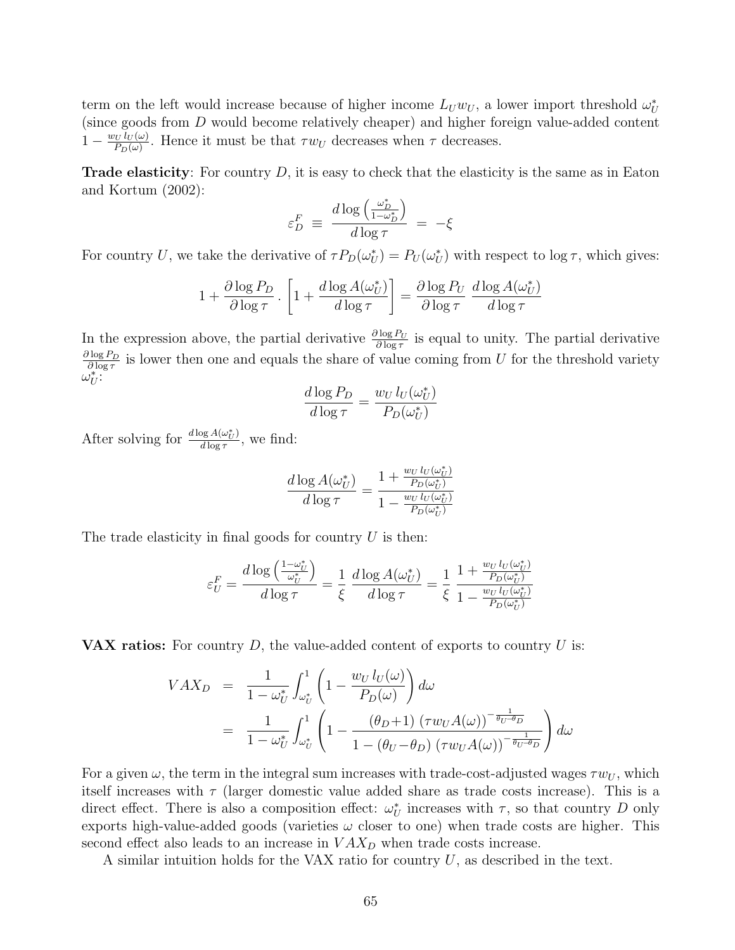term on the left would increase because of higher income  $L_U w_U$ , a lower import threshold  $\omega_U^*$ (since goods from  $D$  would become relatively cheaper) and higher foreign value-added content  $1-\frac{w_U l_U(\omega)}{P_D(\omega)}$  $\frac{\partial U}{\partial D(\omega)}$ . Hence it must be that  $\tau w_U$  decreases when  $\tau$  decreases.

**Trade elasticity**: For country  $D$ , it is easy to check that the elasticity is the same as in Eaton and Kortum (2002):

$$
\varepsilon_D^F \equiv \frac{d \log\left(\frac{\omega_D^*}{1 - \omega_D^*}\right)}{d \log \tau} \, = \, -\xi
$$

For country U, we take the derivative of  $\tau P_D(\omega_U^*) = P_U(\omega_U^*)$  with respect to  $\log \tau$ , which gives:

$$
1 + \frac{\partial \log P_D}{\partial \log \tau} \cdot \left[ 1 + \frac{d \log A(\omega_U^*)}{d \log \tau} \right] = \frac{\partial \log P_U}{\partial \log \tau} \frac{d \log A(\omega_U^*)}{d \log \tau}
$$

In the expression above, the partial derivative  $\frac{\partial \log P_U}{\partial \log \tau}$  is equal to unity. The partial derivative  $\partial \log P_D$  $\frac{\partial \log P_D}{\partial \log \tau}$  is lower then one and equals the share of value coming from U for the threshold variety  $\omega_U^*$ :

$$
\frac{d \log P_D}{d \log \tau} = \frac{w_U l_U(\omega_U^*)}{P_D(\omega_U^*)}
$$

After solving for  $\frac{d \log A(\omega_U^*)}{d \log \tau}$  $\frac{\log A(\omega_U)}{d \log \tau}$ , we find:

$$
\frac{d \log A(\omega_U^*)}{d\log \tau} = \frac{1+\frac{w_Ul_U(\omega_U^*)}{P_D(\omega_U^*)}}{1-\frac{w_Ul_U(\omega_U^*)}{P_D(\omega_U^*)}}
$$

The trade elasticity in final goods for country  $U$  is then:

$$
\varepsilon_U^F = \frac{d \log\left(\frac{1-\omega_U^*}{\omega_U^*}\right)}{d \log \tau} = \frac{1}{\xi} \frac{d \log A(\omega_U^*)}{d \log \tau} = \frac{1}{\xi} \frac{1 + \frac{w_U l_U(\omega_U^*)}{P_D(\omega_U^*)}}{1 - \frac{w_U l_U(\omega_U^*)}{P_D(\omega_U^*)}}
$$

**VAX ratios:** For country  $D$ , the value-added content of exports to country  $U$  is:

$$
VAX_D = \frac{1}{1 - \omega_U^*} \int_{\omega_U^*}^1 \left( 1 - \frac{w_U l_U(\omega)}{P_D(\omega)} \right) d\omega
$$
  
= 
$$
\frac{1}{1 - \omega_U^*} \int_{\omega_U^*}^1 \left( 1 - \frac{\left( \theta_D + 1 \right) \left( \tau w_U A(\omega) \right)^{-\frac{1}{\theta_U - \theta_D}}}{1 - \left( \theta_U - \theta_D \right) \left( \tau w_U A(\omega) \right)^{-\frac{1}{\theta_U - \theta_D}}} \right) d\omega
$$

For a given  $\omega$ , the term in the integral sum increases with trade-cost-adjusted wages  $\tau w_U$ , which itself increases with  $\tau$  (larger domestic value added share as trade costs increase). This is a direct effect. There is also a composition effect:  $\omega_U^*$  increases with  $\tau$ , so that country D only exports high-value-added goods (varieties  $\omega$  closer to one) when trade costs are higher. This second effect also leads to an increase in  $VAX_D$  when trade costs increase.

A similar intuition holds for the VAX ratio for country  $U$ , as described in the text.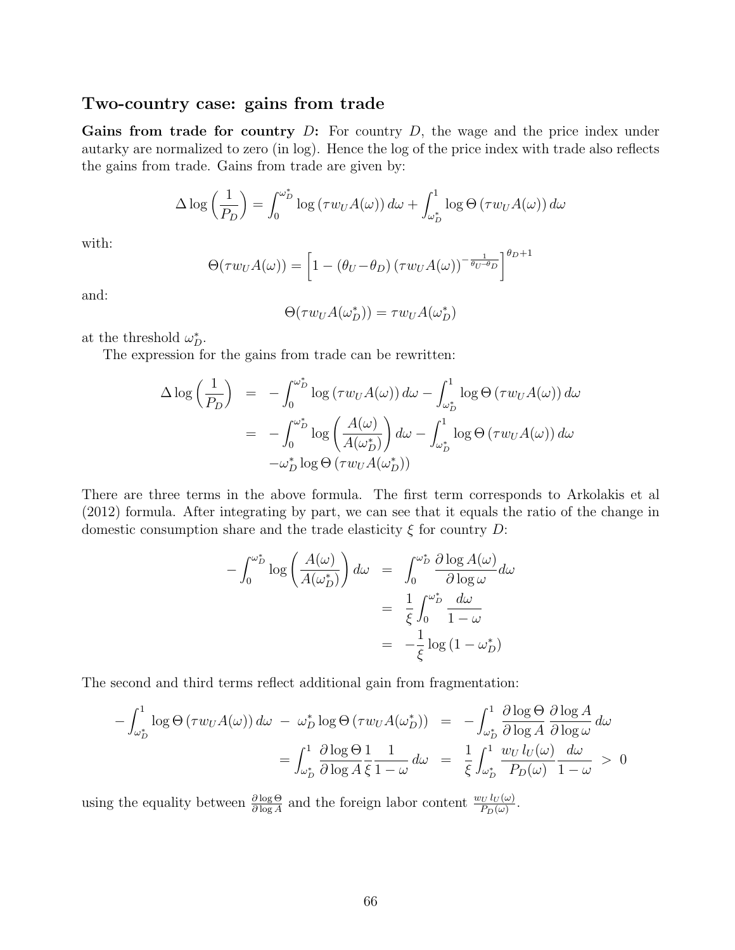### Two-country case: gains from trade

Gains from trade for country  $D$ : For country  $D$ , the wage and the price index under autarky are normalized to zero (in log). Hence the log of the price index with trade also reflects the gains from trade. Gains from trade are given by:

$$
\Delta \log \left( \frac{1}{P_D} \right) = \int_0^{\omega_D^*} \log \left( \tau w_U A(\omega) \right) d\omega + \int_{\omega_D^*}^1 \log \Theta \left( \tau w_U A(\omega) \right) d\omega
$$

with:

$$
\Theta(\tau w_U A(\omega)) = \left[1 - (\theta_U - \theta_D) (\tau w_U A(\omega))^{-\frac{1}{\theta_U - \theta_D}}\right]^{\theta_D + 1}
$$

and:

$$
\Theta(\tau w_U A(\omega_D^*)) = \tau w_U A(\omega_D^*)
$$

at the threshold  $\omega_D^*$ .

The expression for the gains from trade can be rewritten:

$$
\Delta \log \left(\frac{1}{P_D}\right) = -\int_0^{\omega_D^*} \log \left(\tau w_U A(\omega)\right) d\omega - \int_{\omega_D^*}^1 \log \Theta \left(\tau w_U A(\omega)\right) d\omega
$$

$$
= -\int_0^{\omega_D^*} \log \left(\frac{A(\omega)}{A(\omega_D^*)}\right) d\omega - \int_{\omega_D^*}^1 \log \Theta \left(\tau w_U A(\omega)\right) d\omega
$$

$$
-\omega_D^* \log \Theta \left(\tau w_U A(\omega_D^*)\right)
$$

There are three terms in the above formula. The first term corresponds to Arkolakis et al (2012) formula. After integrating by part, we can see that it equals the ratio of the change in domestic consumption share and the trade elasticity  $\xi$  for country D:

$$
-\int_0^{\omega_D^*} \log \left( \frac{A(\omega)}{A(\omega_D^*)} \right) d\omega = \int_0^{\omega_D^*} \frac{\partial \log A(\omega)}{\partial \log \omega} d\omega
$$

$$
= \frac{1}{\xi} \int_0^{\omega_D^*} \frac{d\omega}{1 - \omega}
$$

$$
= -\frac{1}{\xi} \log (1 - \omega_D^*)
$$

The second and third terms reflect additional gain from fragmentation:

$$
-\int_{\omega_D^*}^1 \log \Theta \left( \tau w_U A(\omega) \right) d\omega \ - \ \omega_D^* \log \Theta \left( \tau w_U A(\omega_D^*) \right) \ = \ -\int_{\omega_D^*}^1 \frac{\partial \log \Theta}{\partial \log A} \frac{\partial \log A}{\partial \log \omega} d\omega
$$
\n
$$
= \int_{\omega_D^*}^1 \frac{\partial \log \Theta}{\partial \log A} \frac{1}{\xi} \frac{1}{1 - \omega} d\omega \ = \ \frac{1}{\xi} \int_{\omega_D^*}^1 \frac{w_U l_U(\omega)}{P_D(\omega)} \frac{d\omega}{1 - \omega} \ > \ 0
$$

using the equality between  $\frac{\partial \log \Theta}{\partial \log A}$  and the foreign labor content  $\frac{w_U l_U(\omega)}{P_D(\omega)}$ .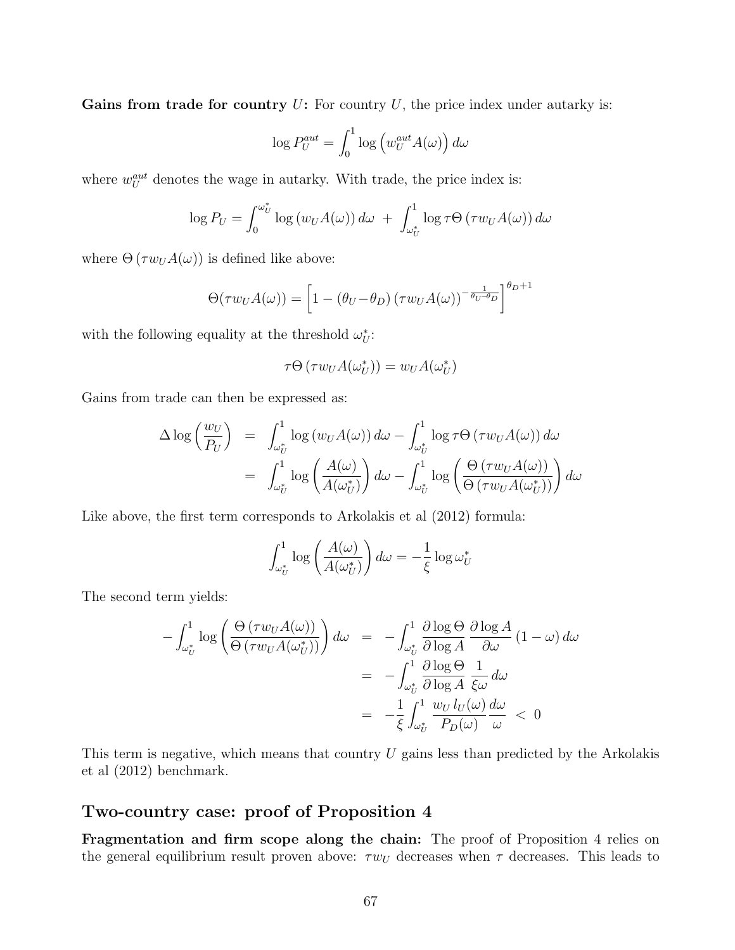Gains from trade for country  $U$ : For country  $U$ , the price index under autarky is:

$$
\log P_U^{aut} = \int_0^1 \log \left( w_U^{aut} A(\omega) \right) d\omega
$$

where  $w_U^{aut}$  denotes the wage in autarky. With trade, the price index is:

$$
\log P_U = \int_0^{\omega_U^*} \log (w_U A(\omega)) d\omega + \int_{\omega_U^*}^1 \log \tau \Theta (\tau w_U A(\omega)) d\omega
$$

where  $\Theta(\tau w_U A(\omega))$  is defined like above:

$$
\Theta(\tau w_U A(\omega)) = \left[1 - (\theta_U - \theta_D) (\tau w_U A(\omega))^{-\frac{1}{\theta_U - \theta_D}}\right]^{\theta_D + 1}
$$

with the following equality at the threshold  $\omega_U^*$ :

$$
\tau\Theta\left(\tau w_U A(\omega^*_U)\right) = w_U A(\omega^*_U)
$$

Gains from trade can then be expressed as:

$$
\Delta \log \left( \frac{w_U}{P_U} \right) = \int_{\omega_U^*}^1 \log \left( w_U A(\omega) \right) d\omega - \int_{\omega_U^*}^1 \log \tau \Theta \left( \tau w_U A(\omega) \right) d\omega \n= \int_{\omega_U^*}^1 \log \left( \frac{A(\omega)}{A(\omega_U^*)} \right) d\omega - \int_{\omega_U^*}^1 \log \left( \frac{\Theta \left( \tau w_U A(\omega) \right)}{\Theta \left( \tau w_U A(\omega_U^*) \right)} \right) d\omega
$$

Like above, the first term corresponds to Arkolakis et al (2012) formula:

$$
\int_{\omega_U^*}^1 \log \left( \frac{A(\omega)}{A(\omega_U^*)} \right) d\omega = -\frac{1}{\xi} \log \omega_U^*
$$

The second term yields:

$$
-\int_{\omega_{U}^{*}}^{1} \log \left( \frac{\Theta \left( \tau w_{U} A(\omega) \right)}{\Theta \left( \tau w_{U} A(\omega_{U}^{*}) \right)} \right) d\omega = -\int_{\omega_{U}^{*}}^{1} \frac{\partial \log \Theta}{\partial \log A} \frac{\partial \log A}{\partial \omega} (1 - \omega) d\omega = -\int_{\omega_{U}^{*}}^{1} \frac{\partial \log \Theta}{\partial \log A} \frac{1}{\xi \omega} d\omega = -\frac{1}{\xi} \int_{\omega_{U}^{*}}^{1} \frac{w_{U} l_{U}(\omega)}{P_{D}(\omega)} \frac{d\omega}{\omega} < 0
$$

This term is negative, which means that country  $U$  gains less than predicted by the Arkolakis et al (2012) benchmark.

### Two-country case: proof of Proposition 4

Fragmentation and firm scope along the chain: The proof of Proposition 4 relies on the general equilibrium result proven above:  $\tau w_U$  decreases when  $\tau$  decreases. This leads to